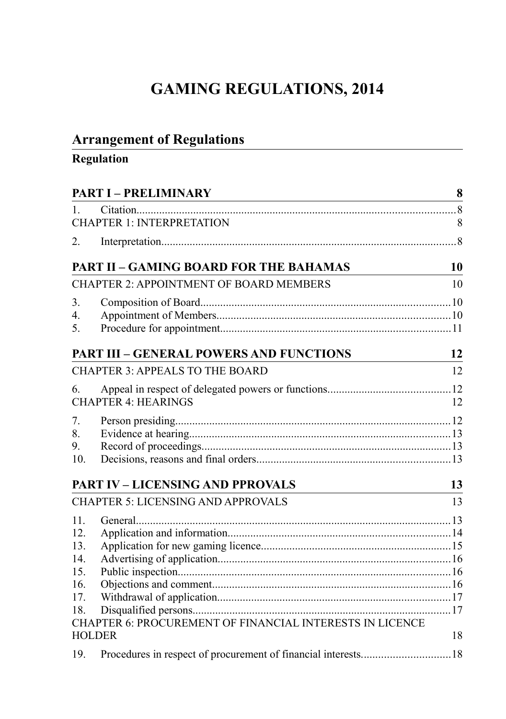# **GAMING REGULATIONS, 2014**

## **Arrangement of Regulations**

## **Regulation**

| <b>PART I - PRELIMINARY</b>        |                                                          | 8  |
|------------------------------------|----------------------------------------------------------|----|
| $\mathbf{1}$                       |                                                          |    |
|                                    | <b>CHAPTER 1: INTERPRETATION</b>                         | 8  |
| 2.                                 |                                                          |    |
|                                    | <b>PART II - GAMING BOARD FOR THE BAHAMAS</b>            | 10 |
|                                    | <b>CHAPTER 2: APPOINTMENT OF BOARD MEMBERS</b>           | 10 |
| 3.                                 |                                                          |    |
| $\mathbf{4}_{\cdot}$               |                                                          |    |
| 5.                                 |                                                          |    |
|                                    | <b>PART III - GENERAL POWERS AND FUNCTIONS</b>           | 12 |
|                                    | <b>CHAPTER 3: APPEALS TO THE BOARD</b>                   | 12 |
| 6.                                 |                                                          |    |
|                                    | <b>CHAPTER 4: HEARINGS</b>                               | 12 |
| $7_{\scriptscriptstyle{\ddot{c}}}$ |                                                          |    |
| 8.                                 |                                                          |    |
| 9.                                 |                                                          |    |
| 10.                                |                                                          |    |
|                                    | <b>PART IV - LICENSING AND PPROVALS</b>                  | 13 |
|                                    | <b>CHAPTER 5: LICENSING AND APPROVALS</b>                | 13 |
| 11.                                |                                                          |    |
| 12.                                |                                                          |    |
| 13.                                |                                                          |    |
| 14.                                |                                                          |    |
| 15.                                |                                                          |    |
| 16.                                |                                                          |    |
| 17.                                |                                                          |    |
| 18.                                |                                                          |    |
|                                    | CHAPTER 6: PROCUREMENT OF FINANCIAL INTERESTS IN LICENCE |    |
|                                    | <b>HOLDER</b>                                            | 18 |
| 19.                                |                                                          |    |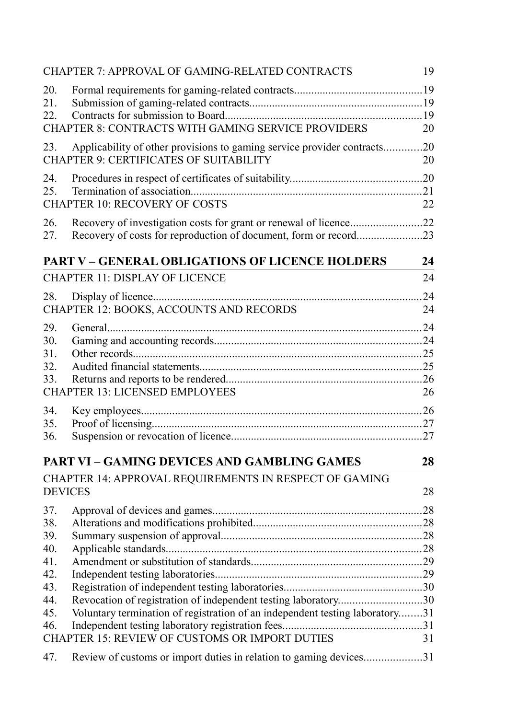|                                 | CHAPTER 7: APPROVAL OF GAMING-RELATED CONTRACTS                                                                                                | 19        |
|---------------------------------|------------------------------------------------------------------------------------------------------------------------------------------------|-----------|
| 20.<br>21.<br>22.               | CHAPTER 8: CONTRACTS WITH GAMING SERVICE PROVIDERS                                                                                             | 20        |
| 23.                             | Applicability of other provisions to gaming service provider contracts<br><b>CHAPTER 9: CERTIFICATES OF SUITABILITY</b>                        | .20<br>20 |
| 24.<br>25.                      | <b>CHAPTER 10: RECOVERY OF COSTS</b>                                                                                                           | 21<br>22  |
| 26.<br>27.                      |                                                                                                                                                |           |
|                                 | <b>PART V - GENERAL OBLIGATIONS OF LICENCE HOLDERS</b>                                                                                         | 24        |
|                                 | <b>CHAPTER 11: DISPLAY OF LICENCE</b>                                                                                                          | 24        |
| 28.                             | CHAPTER 12: BOOKS, ACCOUNTS AND RECORDS                                                                                                        | 24<br>24  |
| 29.<br>30.<br>31.<br>32.<br>33. | <b>CHAPTER 13: LICENSED EMPLOYEES</b>                                                                                                          | 24<br>26  |
| 34.<br>35.<br>36.               |                                                                                                                                                |           |
|                                 | <b>PART VI - GAMING DEVICES AND GAMBLING GAMES</b>                                                                                             | 28        |
|                                 | CHAPTER 14: APPROVAL REQUIREMENTS IN RESPECT OF GAMING<br><b>DEVICES</b>                                                                       | 28        |
| 37.<br>38.<br>39.<br>40.        |                                                                                                                                                | 28        |
| 41.<br>42.<br>43.               |                                                                                                                                                |           |
| 44.<br>45.<br>46.               | Revocation of registration of independent testing laboratory30<br>Voluntary termination of registration of an independent testing laboratory31 |           |
|                                 | CHAPTER 15: REVIEW OF CUSTOMS OR IMPORT DUTIES                                                                                                 | 31        |
| 47.                             | Review of customs or import duties in relation to gaming devices31                                                                             |           |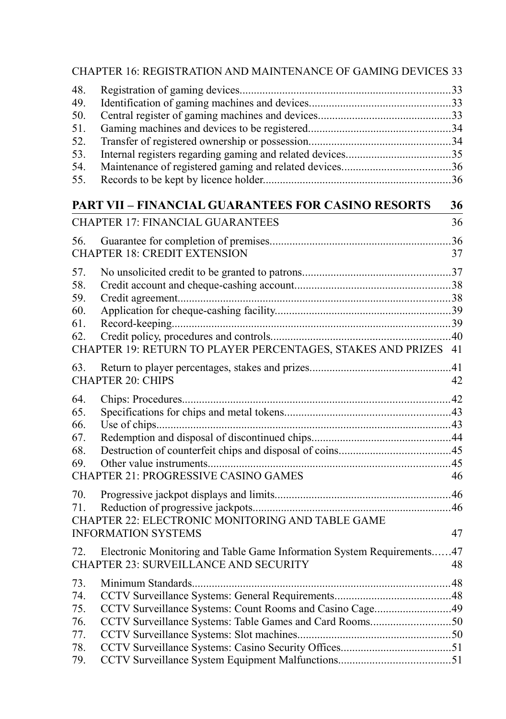|                                                      | <b>CHAPTER 16: REGISTRATION AND MAINTENANCE OF GAMING DEVICES 33</b>                                                 |           |
|------------------------------------------------------|----------------------------------------------------------------------------------------------------------------------|-----------|
| 48.<br>49.<br>50.<br>51.<br>52.<br>53.<br>54.<br>55. |                                                                                                                      |           |
|                                                      | <b>PART VII - FINANCIAL GUARANTEES FOR CASINO RESORTS</b>                                                            | 36        |
|                                                      | <b>CHAPTER 17: FINANCIAL GUARANTEES</b>                                                                              | 36        |
| 56.                                                  | <b>CHAPTER 18: CREDIT EXTENSION</b>                                                                                  | 37        |
| 57.<br>58.<br>59.<br>60.<br>61.<br>62.               | CHAPTER 19: RETURN TO PLAYER PERCENTAGES, STAKES AND PRIZES 41                                                       |           |
| 63.                                                  | <b>CHAPTER 20: CHIPS</b>                                                                                             | 42        |
| 64.<br>65.<br>66.<br>67.<br>68.<br>69.               | <b>CHAPTER 21: PROGRESSIVE CASINO GAMES</b>                                                                          | 46        |
| 70.<br>71.                                           | CHAPTER 22: ELECTRONIC MONITORING AND TABLE GAME<br><b>INFORMATION SYSTEMS</b>                                       | 47        |
| 72.                                                  | Electronic Monitoring and Table Game Information System Requirements<br><b>CHAPTER 23: SURVEILLANCE AND SECURITY</b> | .47<br>48 |
| 73.<br>74.<br>75.<br>76.<br>77.<br>78.               | CCTV Surveillance Systems: Count Rooms and Casino Cage49<br>CCTV Surveillance Systems: Table Games and Card Rooms50  |           |
| 79.                                                  |                                                                                                                      |           |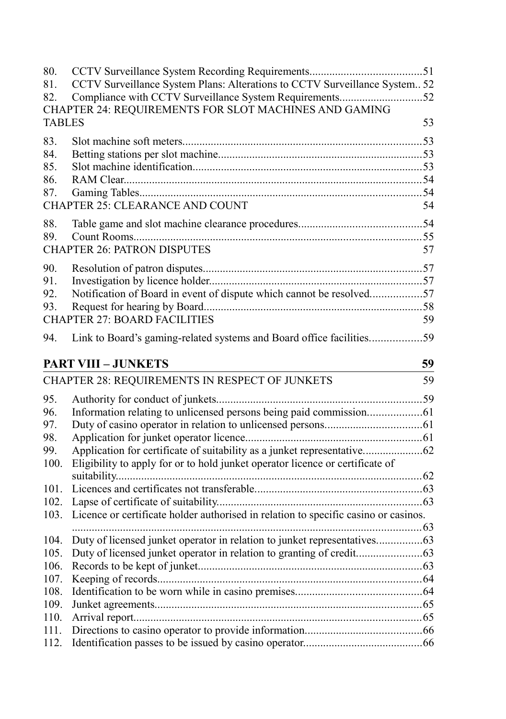| 80.<br>81.<br>82.               | CCTV Surveillance System Plans: Alterations to CCTV Surveillance System 52<br>Compliance with CCTV Surveillance System Requirements52<br>CHAPTER 24: REQUIREMENTS FOR SLOT MACHINES AND GAMING |    |
|---------------------------------|------------------------------------------------------------------------------------------------------------------------------------------------------------------------------------------------|----|
| <b>TABLES</b>                   |                                                                                                                                                                                                | 53 |
| 83.<br>84.<br>85.<br>86.<br>87. | CHAPTER 25: CLEARANCE AND COUNT                                                                                                                                                                | 54 |
| 88.                             |                                                                                                                                                                                                |    |
| 89.                             |                                                                                                                                                                                                |    |
|                                 | <b>CHAPTER 26: PATRON DISPUTES</b>                                                                                                                                                             | 57 |
| 90.                             |                                                                                                                                                                                                |    |
| 91.                             |                                                                                                                                                                                                |    |
| 92.                             | Notification of Board in event of dispute which cannot be resolved57                                                                                                                           |    |
| 93.                             |                                                                                                                                                                                                |    |
|                                 | <b>CHAPTER 27: BOARD FACILITIES</b>                                                                                                                                                            | 59 |
| 94.                             | Link to Board's gaming-related systems and Board office facilities59                                                                                                                           |    |
|                                 | <b>PART VIII - JUNKETS</b>                                                                                                                                                                     | 59 |
|                                 | CHAPTER 28: REQUIREMENTS IN RESPECT OF JUNKETS                                                                                                                                                 | 59 |
| 95.                             |                                                                                                                                                                                                |    |
| 96.                             |                                                                                                                                                                                                |    |
| 97.                             |                                                                                                                                                                                                |    |
| 98.                             |                                                                                                                                                                                                |    |
| 99.                             |                                                                                                                                                                                                |    |
| 100.                            | Eligibility to apply for or to hold junket operator licence or certificate of                                                                                                                  |    |
| 101.                            |                                                                                                                                                                                                |    |
| 102.                            |                                                                                                                                                                                                |    |
| 103.                            | Licence or certificate holder authorised in relation to specific casino or casinos.                                                                                                            |    |
|                                 |                                                                                                                                                                                                |    |
| 104.                            |                                                                                                                                                                                                |    |
| 105.                            |                                                                                                                                                                                                |    |
| 106.                            |                                                                                                                                                                                                |    |
| 107.                            |                                                                                                                                                                                                |    |
| 108.                            |                                                                                                                                                                                                |    |
| 109.                            |                                                                                                                                                                                                |    |
| 110.<br>111.                    |                                                                                                                                                                                                |    |
| 112.                            |                                                                                                                                                                                                |    |
|                                 |                                                                                                                                                                                                |    |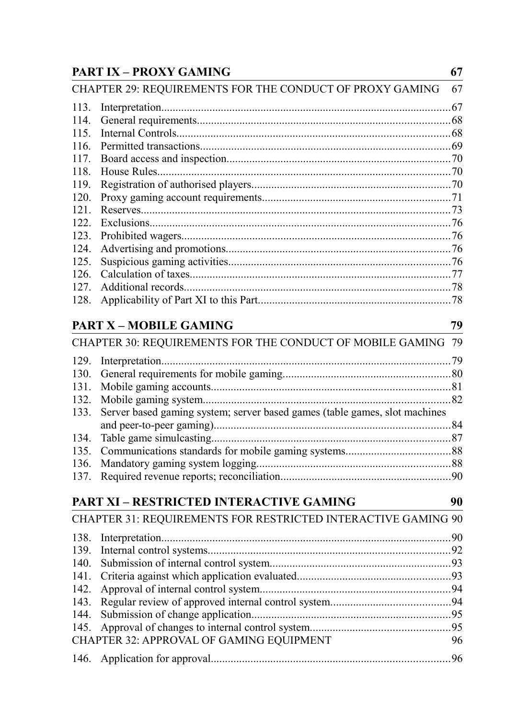## **[PART IX – PROXY GAMING](#page-66-2) 67**

## [CHAPTER 29: REQUIREMENTS FOR THE CONDUCT OF PROXY GAMING](#page-66-1) 67 113. [Interpretation......................................................................................................67](#page-66-0)

| 121. |  |
|------|--|
| 122. |  |
|      |  |
|      |  |
|      |  |
| 126. |  |
| 127. |  |
|      |  |
|      |  |

## **[PART X – MOBILE GAMING](#page-78-2) 79**

| CHAPTER 30: REQUIREMENTS FOR THE CONDUCT OF MOBILE GAMING 79                    |  |
|---------------------------------------------------------------------------------|--|
|                                                                                 |  |
|                                                                                 |  |
|                                                                                 |  |
|                                                                                 |  |
| 133. Server based gaming system; server based games (table games, slot machines |  |
|                                                                                 |  |
|                                                                                 |  |
|                                                                                 |  |
|                                                                                 |  |
|                                                                                 |  |

## **[PART XI – RESTRICTED INTERACTIVE GAMING](#page-89-2) 90**

| <b>CHAPTER 31: REQUIREMENTS FOR RESTRICTED INTERACTIVE GAMING 90</b> |    |
|----------------------------------------------------------------------|----|
|                                                                      |    |
|                                                                      |    |
|                                                                      |    |
|                                                                      |    |
|                                                                      |    |
|                                                                      |    |
|                                                                      |    |
|                                                                      |    |
| CHAPTER 32: APPROVAL OF GAMING EQUIPMENT                             | 96 |
|                                                                      |    |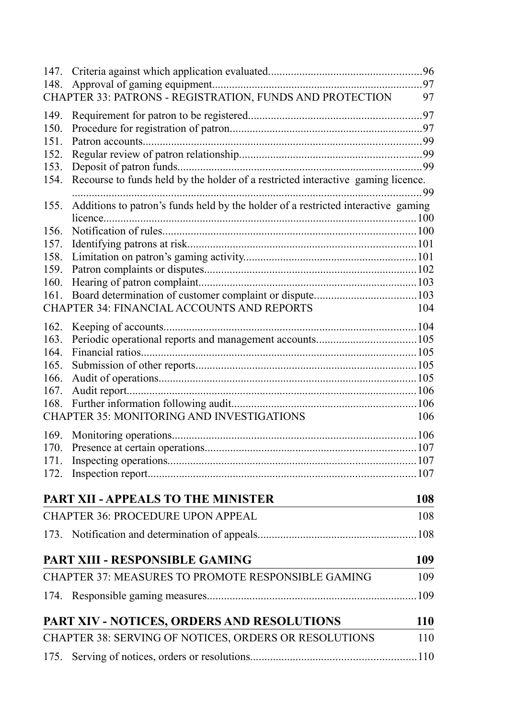| 147. |                                                                                   |            |
|------|-----------------------------------------------------------------------------------|------------|
| 148. |                                                                                   |            |
|      | CHAPTER 33: PATRONS - REGISTRATION, FUNDS AND PROTECTION                          | 97         |
| 149. |                                                                                   |            |
| 150. |                                                                                   |            |
| 151. |                                                                                   |            |
| 152. |                                                                                   |            |
| 153. |                                                                                   |            |
| 154. | Recourse to funds held by the holder of a restricted interactive gaming licence.  | .99        |
| 155. | Additions to patron's funds held by the holder of a restricted interactive gaming |            |
|      |                                                                                   |            |
| 156. |                                                                                   |            |
| 157. |                                                                                   |            |
| 158. |                                                                                   |            |
| 159. |                                                                                   |            |
| 160. |                                                                                   |            |
| 161. |                                                                                   |            |
|      | <b>CHAPTER 34: FINANCIAL ACCOUNTS AND REPORTS</b>                                 | 104        |
| 162. |                                                                                   |            |
| 163. |                                                                                   |            |
| 164. |                                                                                   |            |
| 165. |                                                                                   |            |
| 166. |                                                                                   |            |
| 167. |                                                                                   |            |
| 168. |                                                                                   |            |
|      | <b>CHAPTER 35: MONITORING AND INVESTIGATIONS</b>                                  | 106        |
| 169. |                                                                                   |            |
| 170. |                                                                                   |            |
| 171. |                                                                                   |            |
| 172. |                                                                                   |            |
|      | PART XII - APPEALS TO THE MINISTER                                                | <b>108</b> |
|      | CHAPTER 36: PROCEDURE UPON APPEAL                                                 | 108        |
|      |                                                                                   |            |
|      | PART XIII - RESPONSIBLE GAMING                                                    | 109        |
|      | CHAPTER 37: MEASURES TO PROMOTE RESPONSIBLE GAMING                                | 109        |
|      |                                                                                   | .109       |
|      | PART XIV - NOTICES, ORDERS AND RESOLUTIONS                                        | <b>110</b> |
|      | CHAPTER 38: SERVING OF NOTICES, ORDERS OR RESOLUTIONS                             | 110        |
|      |                                                                                   |            |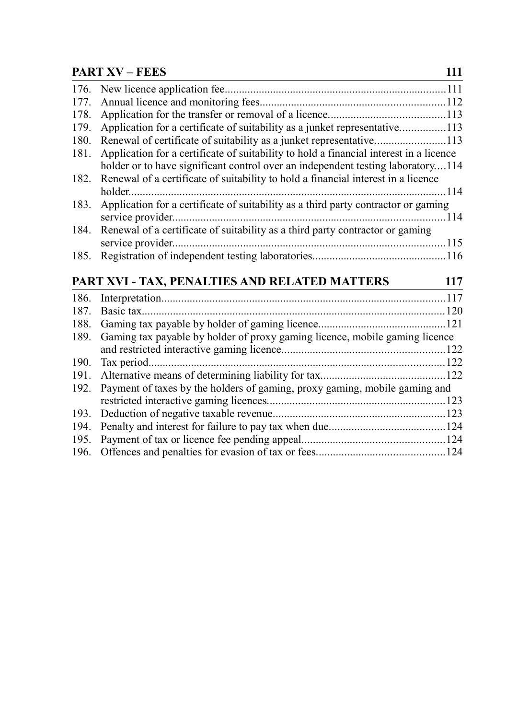## **[PART XV – FEES](#page-110-1) 111**

| 176. |                                                                                        |  |
|------|----------------------------------------------------------------------------------------|--|
| 177. |                                                                                        |  |
| 178. |                                                                                        |  |
| 179. | Application for a certificate of suitability as a junket representative113             |  |
| 180. | Renewal of certificate of suitability as a junket representative113                    |  |
| 181. | Application for a certificate of suitability to hold a financial interest in a licence |  |
|      | holder or to have significant control over an independent testing laboratory114        |  |
| 182. | Renewal of a certificate of suitability to hold a financial interest in a licence      |  |
|      | holder.                                                                                |  |
| 183. | Application for a certificate of suitability as a third party contractor or gaming     |  |
|      | service provider                                                                       |  |
| 184. | Renewal of a certificate of suitability as a third party contractor or gaming          |  |
|      | service provider                                                                       |  |
| 185. |                                                                                        |  |
|      | PART XVI - TAX, PENALTIES AND RELATED MATTERS                                          |  |
|      | 117                                                                                    |  |
| 186. |                                                                                        |  |
| 187. | Basic tax                                                                              |  |
| 188. |                                                                                        |  |
|      |                                                                                        |  |

|                                                                                 | 189. Gaming tax payable by holder of proxy gaming licence, mobile gaming licence |  |
|---------------------------------------------------------------------------------|----------------------------------------------------------------------------------|--|
|                                                                                 |                                                                                  |  |
|                                                                                 |                                                                                  |  |
|                                                                                 |                                                                                  |  |
| 192. Payment of taxes by the holders of gaming, proxy gaming, mobile gaming and |                                                                                  |  |
|                                                                                 |                                                                                  |  |
|                                                                                 |                                                                                  |  |
|                                                                                 |                                                                                  |  |
|                                                                                 |                                                                                  |  |
|                                                                                 |                                                                                  |  |
|                                                                                 |                                                                                  |  |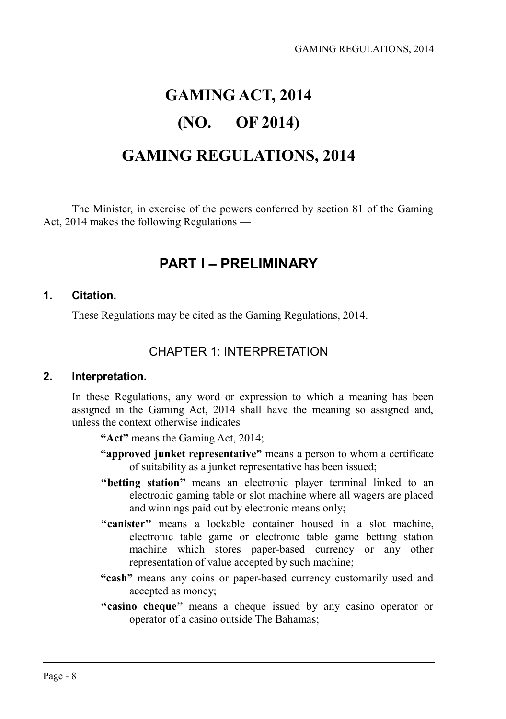# **GAMING ACT, 2014**

## **(NO. OF 2014)**

## **GAMING REGULATIONS, 2014**

The Minister, in exercise of the powers conferred by section 81 of the Gaming Act, 2014 makes the following Regulations —

## <span id="page-7-0"></span>**PART I – PRELIMINARY**

#### **1. Citation.**

<span id="page-7-3"></span>These Regulations may be cited as the Gaming Regulations, 2014.

## <span id="page-7-2"></span>CHAPTER 1: INTERPRETATION

#### **2. Interpretation.**

<span id="page-7-1"></span>In these Regulations, any word or expression to which a meaning has been assigned in the Gaming Act, 2014 shall have the meaning so assigned and, unless the context otherwise indicates —

**"Act"** means the Gaming Act, 2014;

- **"approved junket representative"** means a person to whom a certificate of suitability as a junket representative has been issued;
- **''betting station''** means an electronic player terminal linked to an electronic gaming table or slot machine where all wagers are placed and winnings paid out by electronic means only;
- "canister" means a lockable container housed in a slot machine, electronic table game or electronic table game betting station machine which stores paper-based currency or any other representation of value accepted by such machine;
- **"cash"** means any coins or paper-based currency customarily used and accepted as money;
- **''casino cheque''** means a cheque issued by any casino operator or operator of a casino outside The Bahamas;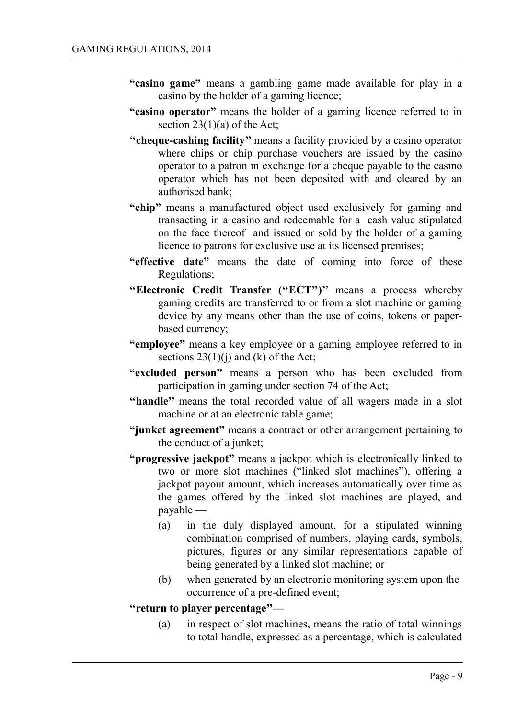- **"casino game"** means a gambling game made available for play in a casino by the holder of a gaming licence;
- **"casino operator"** means the holder of a gaming licence referred to in section  $23(1)(a)$  of the Act;
- '**'cheque-cashing facility''** means a facility provided by a casino operator where chips or chip purchase vouchers are issued by the casino operator to a patron in exchange for a cheque payable to the casino operator which has not been deposited with and cleared by an authorised bank;
- **"chip"** means a manufactured object used exclusively for gaming and transacting in a casino and redeemable for a cash value stipulated on the face thereof and issued or sold by the holder of a gaming licence to patrons for exclusive use at its licensed premises;
- **"effective date"** means the date of coming into force of these Regulations;
- **''Electronic Credit Transfer (''ECT'')'**' means a process whereby gaming credits are transferred to or from a slot machine or gaming device by any means other than the use of coins, tokens or paperbased currency;
- **"employee"** means a key employee or a gaming employee referred to in sections  $23(1)(i)$  and (k) of the Act;
- **"excluded person"** means a person who has been excluded from participation in gaming under section 74 of the Act;
- "handle" means the total recorded value of all wagers made in a slot machine or at an electronic table game;
- **"junket agreement"** means a contract or other arrangement pertaining to the conduct of a junket;
- **"progressive jackpot"** means a jackpot which is electronically linked to two or more slot machines ("linked slot machines"), offering a jackpot payout amount, which increases automatically over time as the games offered by the linked slot machines are played, and payable —
	- (a) in the duly displayed amount, for a stipulated winning combination comprised of numbers, playing cards, symbols, pictures, figures or any similar representations capable of being generated by a linked slot machine; or
	- (b) when generated by an electronic monitoring system upon the occurrence of a pre-defined event;

#### **''return to player percentage''—**

(a) in respect of slot machines, means the ratio of total winnings to total handle, expressed as a percentage, which is calculated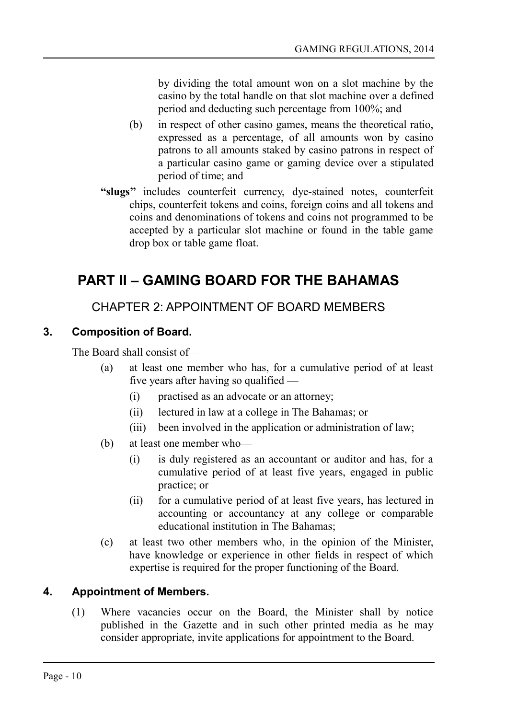by dividing the total amount won on a slot machine by the casino by the total handle on that slot machine over a defined period and deducting such percentage from 100%; and

- (b) in respect of other casino games, means the theoretical ratio, expressed as a percentage, of all amounts won by casino patrons to all amounts staked by casino patrons in respect of a particular casino game or gaming device over a stipulated period of time; and
- **"slugs''** includes counterfeit currency, dye-stained notes, counterfeit chips, counterfeit tokens and coins, foreign coins and all tokens and coins and denominations of tokens and coins not programmed to be accepted by a particular slot machine or found in the table game drop box or table game float.

## <span id="page-9-3"></span>**PART II – GAMING BOARD FOR THE BAHAMAS**

## <span id="page-9-2"></span>CHAPTER 2: APPOINTMENT OF BOARD MEMBERS

## **3. Composition of Board.**

<span id="page-9-1"></span>The Board shall consist of—

- (a) at least one member who has, for a cumulative period of at least five years after having so qualified —
	- (i) practised as an advocate or an attorney;
	- (ii) lectured in law at a college in The Bahamas; or
	- (iii) been involved in the application or administration of law;
- (b) at least one member who—
	- (i) is duly registered as an accountant or auditor and has, for a cumulative period of at least five years, engaged in public practice; or
	- (ii) for a cumulative period of at least five years, has lectured in accounting or accountancy at any college or comparable educational institution in The Bahamas;
- (c) at least two other members who, in the opinion of the Minister, have knowledge or experience in other fields in respect of which expertise is required for the proper functioning of the Board.

## **4. Appointment of Members.**

<span id="page-9-0"></span>(1) Where vacancies occur on the Board, the Minister shall by notice published in the Gazette and in such other printed media as he may consider appropriate, invite applications for appointment to the Board.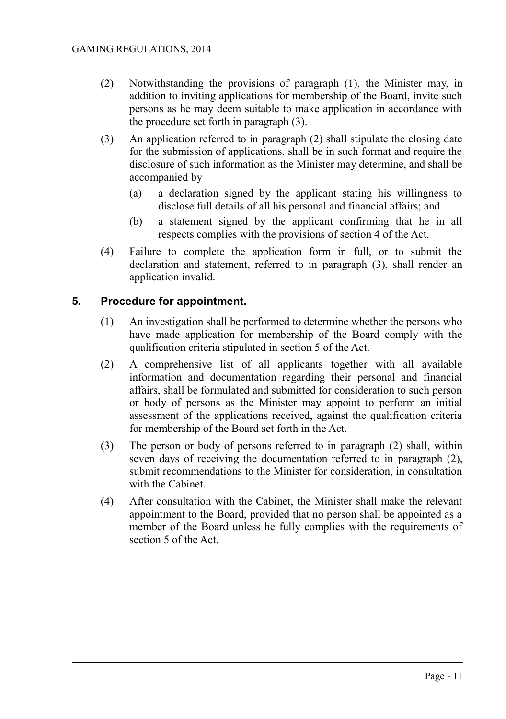- (2) Notwithstanding the provisions of paragraph (1), the Minister may, in addition to inviting applications for membership of the Board, invite such persons as he may deem suitable to make application in accordance with the procedure set forth in paragraph (3).
- (3) An application referred to in paragraph (2) shall stipulate the closing date for the submission of applications, shall be in such format and require the disclosure of such information as the Minister may determine, and shall be accompanied by —
	- (a) a declaration signed by the applicant stating his willingness to disclose full details of all his personal and financial affairs; and
	- (b) a statement signed by the applicant confirming that he in all respects complies with the provisions of section 4 of the Act.
- (4) Failure to complete the application form in full, or to submit the declaration and statement, referred to in paragraph (3), shall render an application invalid.

## **5. Procedure for appointment.**

- <span id="page-10-0"></span>(1) An investigation shall be performed to determine whether the persons who have made application for membership of the Board comply with the qualification criteria stipulated in section 5 of the Act.
- (2) A comprehensive list of all applicants together with all available information and documentation regarding their personal and financial affairs, shall be formulated and submitted for consideration to such person or body of persons as the Minister may appoint to perform an initial assessment of the applications received, against the qualification criteria for membership of the Board set forth in the Act.
- (3) The person or body of persons referred to in paragraph (2) shall, within seven days of receiving the documentation referred to in paragraph (2), submit recommendations to the Minister for consideration, in consultation with the Cabinet.
- (4) After consultation with the Cabinet, the Minister shall make the relevant appointment to the Board, provided that no person shall be appointed as a member of the Board unless he fully complies with the requirements of section 5 of the Act.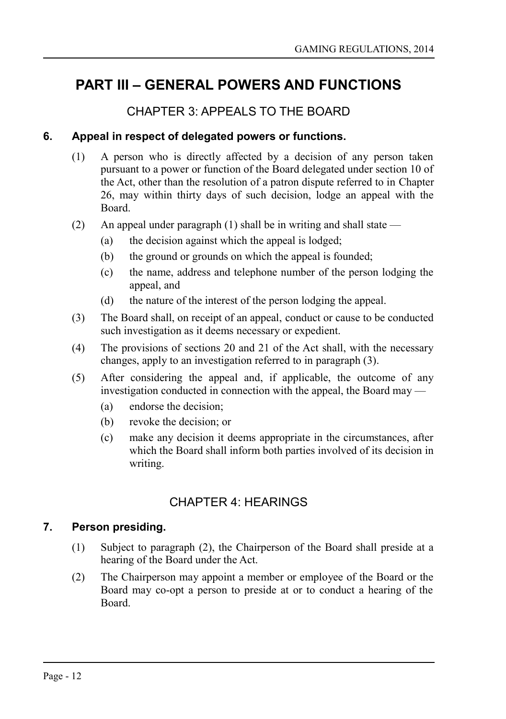## <span id="page-11-4"></span>**PART III – GENERAL POWERS AND FUNCTIONS**

## <span id="page-11-3"></span>CHAPTER 3: APPEALS TO THE BOARD

### **6. Appeal in respect of delegated powers or functions.**

- <span id="page-11-2"></span>(1) A person who is directly affected by a decision of any person taken pursuant to a power or function of the Board delegated under section 10 of the Act, other than the resolution of a patron dispute referred to in Chapter 26, may within thirty days of such decision, lodge an appeal with the Board.
- (2) An appeal under paragraph (1) shall be in writing and shall state
	- (a) the decision against which the appeal is lodged;
	- (b) the ground or grounds on which the appeal is founded;
	- (c) the name, address and telephone number of the person lodging the appeal, and
	- (d) the nature of the interest of the person lodging the appeal.
- (3) The Board shall, on receipt of an appeal, conduct or cause to be conducted such investigation as it deems necessary or expedient.
- (4) The provisions of sections 20 and 21 of the Act shall, with the necessary changes, apply to an investigation referred to in paragraph (3).
- (5) After considering the appeal and, if applicable, the outcome of any investigation conducted in connection with the appeal, the Board may —
	- (a) endorse the decision;
	- (b) revoke the decision; or
	- (c) make any decision it deems appropriate in the circumstances, after which the Board shall inform both parties involved of its decision in writing.

## <span id="page-11-1"></span>CHAPTER 4: HEARINGS

## **7. Person presiding.**

- <span id="page-11-0"></span>(1) Subject to paragraph (2), the Chairperson of the Board shall preside at a hearing of the Board under the Act.
- (2) The Chairperson may appoint a member or employee of the Board or the Board may co-opt a person to preside at or to conduct a hearing of the Board.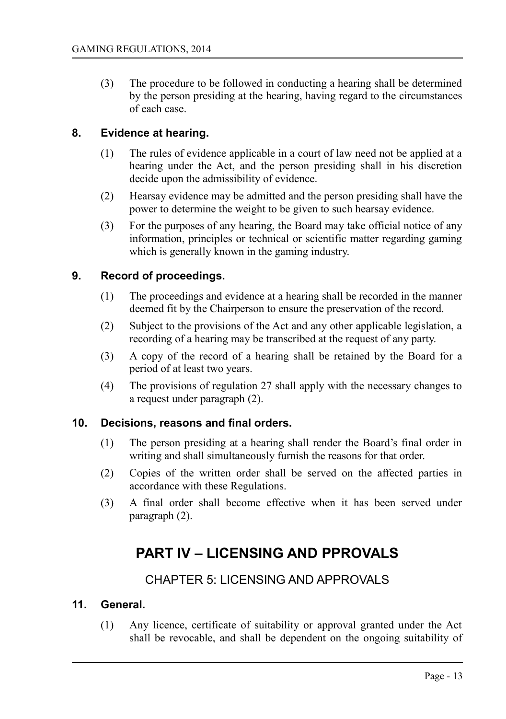(3) The procedure to be followed in conducting a hearing shall be determined by the person presiding at the hearing, having regard to the circumstances of each case.

### **8. Evidence at hearing.**

- <span id="page-12-5"></span>(1) The rules of evidence applicable in a court of law need not be applied at a hearing under the Act, and the person presiding shall in his discretion decide upon the admissibility of evidence.
- (2) Hearsay evidence may be admitted and the person presiding shall have the power to determine the weight to be given to such hearsay evidence.
- (3) For the purposes of any hearing, the Board may take official notice of any information, principles or technical or scientific matter regarding gaming which is generally known in the gaming industry.

### **9. Record of proceedings.**

- <span id="page-12-4"></span>(1) The proceedings and evidence at a hearing shall be recorded in the manner deemed fit by the Chairperson to ensure the preservation of the record.
- (2) Subject to the provisions of the Act and any other applicable legislation, a recording of a hearing may be transcribed at the request of any party.
- (3) A copy of the record of a hearing shall be retained by the Board for a period of at least two years.
- (4) The provisions of regulation 27 shall apply with the necessary changes to a request under paragraph (2).

#### **10. Decisions, reasons and final orders.**

- <span id="page-12-3"></span>(1) The person presiding at a hearing shall render the Board's final order in writing and shall simultaneously furnish the reasons for that order.
- (2) Copies of the written order shall be served on the affected parties in accordance with these Regulations.
- (3) A final order shall become effective when it has been served under paragraph (2).

## <span id="page-12-2"></span>**PART IV – LICENSING AND PPROVALS**

## <span id="page-12-1"></span>CHAPTER 5: LICENSING AND APPROVALS

#### **11. General.**

<span id="page-12-0"></span>(1) Any licence, certificate of suitability or approval granted under the Act shall be revocable, and shall be dependent on the ongoing suitability of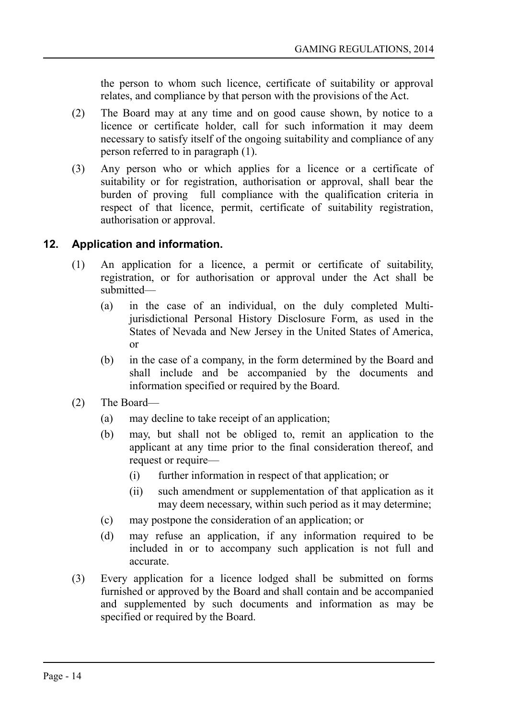the person to whom such licence, certificate of suitability or approval relates, and compliance by that person with the provisions of the Act.

- (2) The Board may at any time and on good cause shown, by notice to a licence or certificate holder, call for such information it may deem necessary to satisfy itself of the ongoing suitability and compliance of any person referred to in paragraph (1).
- (3) Any person who or which applies for a licence or a certificate of suitability or for registration, authorisation or approval, shall bear the burden of proving full compliance with the qualification criteria in respect of that licence, permit, certificate of suitability registration, authorisation or approval.

## **12. Application and information.**

- <span id="page-13-0"></span>(1) An application for a licence, a permit or certificate of suitability, registration, or for authorisation or approval under the Act shall be submitted—
	- (a) in the case of an individual, on the duly completed Multijurisdictional Personal History Disclosure Form, as used in the States of Nevada and New Jersey in the United States of America, or
	- (b) in the case of a company, in the form determined by the Board and shall include and be accompanied by the documents and information specified or required by the Board.
- (2) The Board—
	- (a) may decline to take receipt of an application;
	- (b) may, but shall not be obliged to, remit an application to the applicant at any time prior to the final consideration thereof, and request or require—
		- (i) further information in respect of that application; or
		- (ii) such amendment or supplementation of that application as it may deem necessary, within such period as it may determine;
	- (c) may postpone the consideration of an application; or
	- (d) may refuse an application, if any information required to be included in or to accompany such application is not full and accurate.
- (3) Every application for a licence lodged shall be submitted on forms furnished or approved by the Board and shall contain and be accompanied and supplemented by such documents and information as may be specified or required by the Board.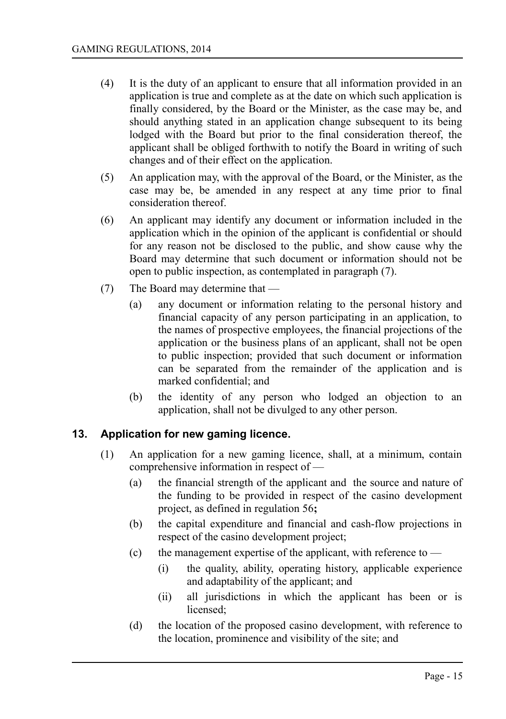- (4) It is the duty of an applicant to ensure that all information provided in an application is true and complete as at the date on which such application is finally considered, by the Board or the Minister, as the case may be, and should anything stated in an application change subsequent to its being lodged with the Board but prior to the final consideration thereof, the applicant shall be obliged forthwith to notify the Board in writing of such changes and of their effect on the application.
- (5) An application may, with the approval of the Board, or the Minister, as the case may be, be amended in any respect at any time prior to final consideration thereof.
- (6) An applicant may identify any document or information included in the application which in the opinion of the applicant is confidential or should for any reason not be disclosed to the public, and show cause why the Board may determine that such document or information should not be open to public inspection, as contemplated in paragraph (7).
- (7) The Board may determine that
	- (a) any document or information relating to the personal history and financial capacity of any person participating in an application, to the names of prospective employees, the financial projections of the application or the business plans of an applicant, shall not be open to public inspection; provided that such document or information can be separated from the remainder of the application and is marked confidential; and
	- (b) the identity of any person who lodged an objection to an application, shall not be divulged to any other person.

## **13. Application for new gaming licence.**

- <span id="page-14-0"></span>(1) An application for a new gaming licence, shall, at a minimum, contain comprehensive information in respect of —
	- (a) the financial strength of the applicant and the source and nature of the funding to be provided in respect of the casino development project, as defined in regulation 56**;**
	- (b) the capital expenditure and financial and cash-flow projections in respect of the casino development project;
	- (c) the management expertise of the applicant, with reference to
		- (i) the quality, ability, operating history, applicable experience and adaptability of the applicant; and
		- (ii) all jurisdictions in which the applicant has been or is licensed;
	- (d) the location of the proposed casino development, with reference to the location, prominence and visibility of the site; and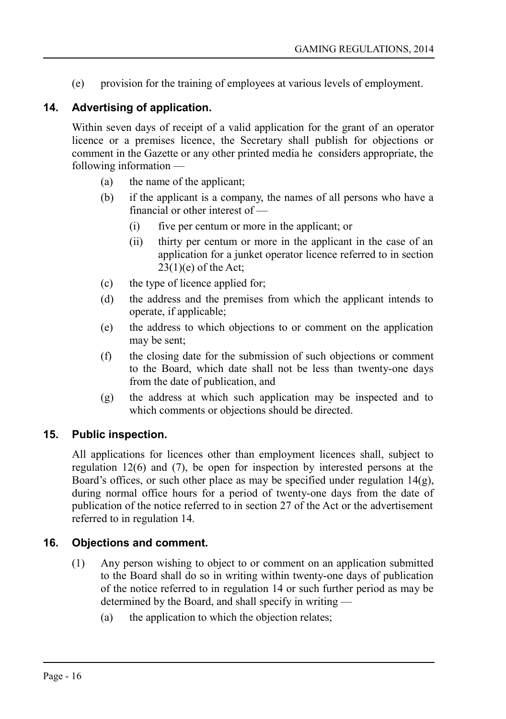(e) provision for the training of employees at various levels of employment.

## **14. Advertising of application.**

<span id="page-15-2"></span>Within seven days of receipt of a valid application for the grant of an operator licence or a premises licence, the Secretary shall publish for objections or comment in the Gazette or any other printed media he considers appropriate, the following information —

- (a) the name of the applicant;
- (b) if the applicant is a company, the names of all persons who have a financial or other interest of —
	- (i) five per centum or more in the applicant; or
	- (ii) thirty per centum or more in the applicant in the case of an application for a junket operator licence referred to in section 23(1)(e) of the Act;
- (c) the type of licence applied for;
- (d) the address and the premises from which the applicant intends to operate, if applicable;
- (e) the address to which objections to or comment on the application may be sent;
- (f) the closing date for the submission of such objections or comment to the Board, which date shall not be less than twenty-one days from the date of publication, and
- (g) the address at which such application may be inspected and to which comments or objections should be directed.

## **15. Public inspection.**

<span id="page-15-1"></span>All applications for licences other than employment licences shall, subject to regulation 12(6) and (7), be open for inspection by interested persons at the Board's offices, or such other place as may be specified under regulation  $14(g)$ , during normal office hours for a period of twenty-one days from the date of publication of the notice referred to in section 27 of the Act or the advertisement referred to in regulation 14.

## **16. Objections and comment.**

- <span id="page-15-0"></span>(1) Any person wishing to object to or comment on an application submitted to the Board shall do so in writing within twenty-one days of publication of the notice referred to in regulation 14 or such further period as may be determined by the Board, and shall specify in writing —
	- (a) the application to which the objection relates;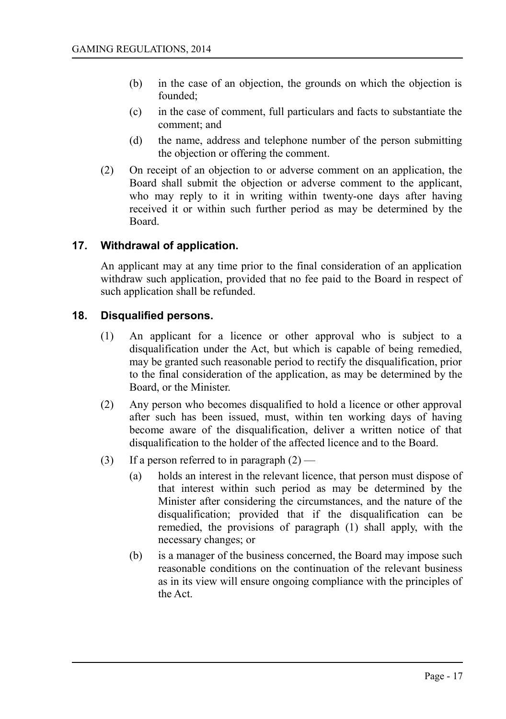- (b) in the case of an objection, the grounds on which the objection is founded;
- (c) in the case of comment, full particulars and facts to substantiate the comment; and
- (d) the name, address and telephone number of the person submitting the objection or offering the comment.
- (2) On receipt of an objection to or adverse comment on an application, the Board shall submit the objection or adverse comment to the applicant, who may reply to it in writing within twenty-one days after having received it or within such further period as may be determined by the Board.

## **17. Withdrawal of application.**

<span id="page-16-1"></span>An applicant may at any time prior to the final consideration of an application withdraw such application, provided that no fee paid to the Board in respect of such application shall be refunded.

### **18. Disqualified persons.**

- <span id="page-16-0"></span>(1) An applicant for a licence or other approval who is subject to a disqualification under the Act, but which is capable of being remedied, may be granted such reasonable period to rectify the disqualification, prior to the final consideration of the application, as may be determined by the Board, or the Minister.
- (2) Any person who becomes disqualified to hold a licence or other approval after such has been issued, must, within ten working days of having become aware of the disqualification, deliver a written notice of that disqualification to the holder of the affected licence and to the Board.
- (3) If a person referred to in paragraph  $(2)$ 
	- (a) holds an interest in the relevant licence, that person must dispose of that interest within such period as may be determined by the Minister after considering the circumstances, and the nature of the disqualification; provided that if the disqualification can be remedied, the provisions of paragraph (1) shall apply, with the necessary changes; or
	- (b) is a manager of the business concerned, the Board may impose such reasonable conditions on the continuation of the relevant business as in its view will ensure ongoing compliance with the principles of the Act.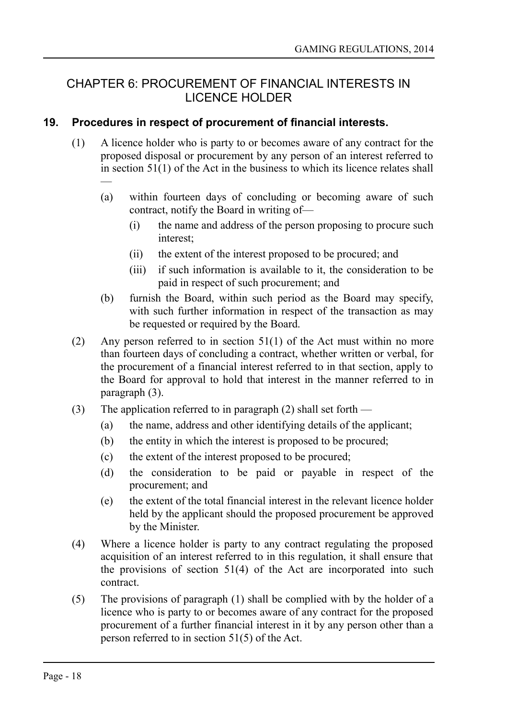## <span id="page-17-1"></span>CHAPTER 6: PROCUREMENT OF FINANCIAL INTERESTS IN LICENCE HOLDER

### **19. Procedures in respect of procurement of financial interests.**

- <span id="page-17-0"></span>(1) A licence holder who is party to or becomes aware of any contract for the proposed disposal or procurement by any person of an interest referred to in section  $51(1)$  of the Act in the business to which its licence relates shall —
	- (a) within fourteen days of concluding or becoming aware of such contract, notify the Board in writing of—
		- (i) the name and address of the person proposing to procure such interest;
		- (ii) the extent of the interest proposed to be procured; and
		- (iii) if such information is available to it, the consideration to be paid in respect of such procurement; and
	- (b) furnish the Board, within such period as the Board may specify, with such further information in respect of the transaction as may be requested or required by the Board.
- (2) Any person referred to in section  $51(1)$  of the Act must within no more than fourteen days of concluding a contract, whether written or verbal, for the procurement of a financial interest referred to in that section, apply to the Board for approval to hold that interest in the manner referred to in paragraph (3).
- (3) The application referred to in paragraph (2) shall set forth
	- (a) the name, address and other identifying details of the applicant;
	- (b) the entity in which the interest is proposed to be procured;
	- (c) the extent of the interest proposed to be procured;
	- (d) the consideration to be paid or payable in respect of the procurement; and
	- (e) the extent of the total financial interest in the relevant licence holder held by the applicant should the proposed procurement be approved by the Minister.
- (4) Where a licence holder is party to any contract regulating the proposed acquisition of an interest referred to in this regulation, it shall ensure that the provisions of section  $51(4)$  of the Act are incorporated into such contract.
- (5) The provisions of paragraph (1) shall be complied with by the holder of a licence who is party to or becomes aware of any contract for the proposed procurement of a further financial interest in it by any person other than a person referred to in section 51(5) of the Act.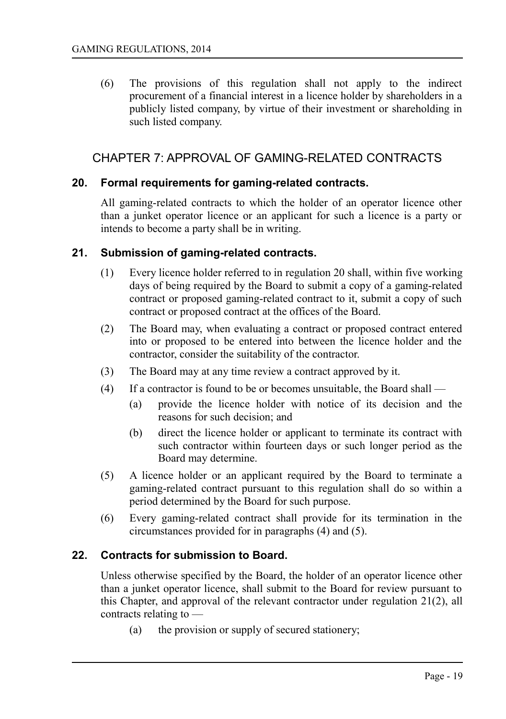(6) The provisions of this regulation shall not apply to the indirect procurement of a financial interest in a licence holder by shareholders in a publicly listed company, by virtue of their investment or shareholding in such listed company.

## <span id="page-18-3"></span>CHAPTER 7: APPROVAL OF GAMING-RELATED CONTRACTS

#### **20. Formal requirements for gaming-related contracts.**

<span id="page-18-2"></span>All gaming-related contracts to which the holder of an operator licence other than a junket operator licence or an applicant for such a licence is a party or intends to become a party shall be in writing.

#### **21. Submission of gaming-related contracts.**

- <span id="page-18-1"></span>(1) Every licence holder referred to in regulation 20 shall, within five working days of being required by the Board to submit a copy of a gaming-related contract or proposed gaming-related contract to it, submit a copy of such contract or proposed contract at the offices of the Board.
- (2) The Board may, when evaluating a contract or proposed contract entered into or proposed to be entered into between the licence holder and the contractor, consider the suitability of the contractor.
- (3) The Board may at any time review a contract approved by it.
- (4) If a contractor is found to be or becomes unsuitable, the Board shall
	- (a) provide the licence holder with notice of its decision and the reasons for such decision; and
	- (b) direct the licence holder or applicant to terminate its contract with such contractor within fourteen days or such longer period as the Board may determine.
- (5) A licence holder or an applicant required by the Board to terminate a gaming-related contract pursuant to this regulation shall do so within a period determined by the Board for such purpose.
- (6) Every gaming-related contract shall provide for its termination in the circumstances provided for in paragraphs (4) and (5).

#### **22. Contracts for submission to Board.**

<span id="page-18-0"></span>Unless otherwise specified by the Board, the holder of an operator licence other than a junket operator licence, shall submit to the Board for review pursuant to this Chapter, and approval of the relevant contractor under regulation 21(2), all contracts relating to —

(a) the provision or supply of secured stationery;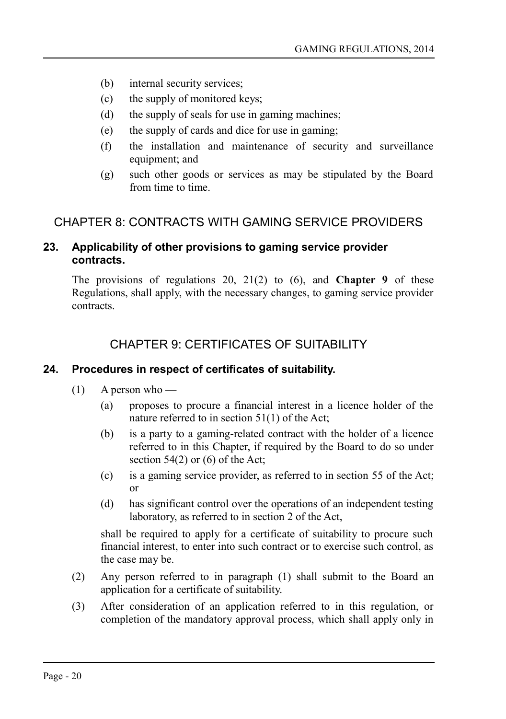- (b) internal security services;
- (c) the supply of monitored keys;
- (d) the supply of seals for use in gaming machines;
- (e) the supply of cards and dice for use in gaming;
- (f) the installation and maintenance of security and surveillance equipment; and
- (g) such other goods or services as may be stipulated by the Board from time to time.

## <span id="page-19-3"></span>CHAPTER 8: CONTRACTS WITH GAMING SERVICE PROVIDERS

### <span id="page-19-2"></span>**23. Applicability of other provisions to gaming service provider contracts.**

The provisions of regulations 20, 21(2) to (6), and **Chapter 9** of these Regulations, shall apply, with the necessary changes, to gaming service provider contracts.

## <span id="page-19-1"></span>CHAPTER 9: CERTIFICATES OF SUITABILITY

## **24. Procedures in respect of certificates of suitability.**

- <span id="page-19-0"></span> $(1)$  A person who —
	- (a) proposes to procure a financial interest in a licence holder of the nature referred to in section 51(1) of the Act;
	- (b) is a party to a gaming-related contract with the holder of a licence referred to in this Chapter, if required by the Board to do so under section  $54(2)$  or  $(6)$  of the Act;
	- (c) is a gaming service provider, as referred to in section 55 of the Act; or
	- (d) has significant control over the operations of an independent testing laboratory, as referred to in section 2 of the Act,

shall be required to apply for a certificate of suitability to procure such financial interest, to enter into such contract or to exercise such control, as the case may be.

- (2) Any person referred to in paragraph (1) shall submit to the Board an application for a certificate of suitability.
- (3) After consideration of an application referred to in this regulation, or completion of the mandatory approval process, which shall apply only in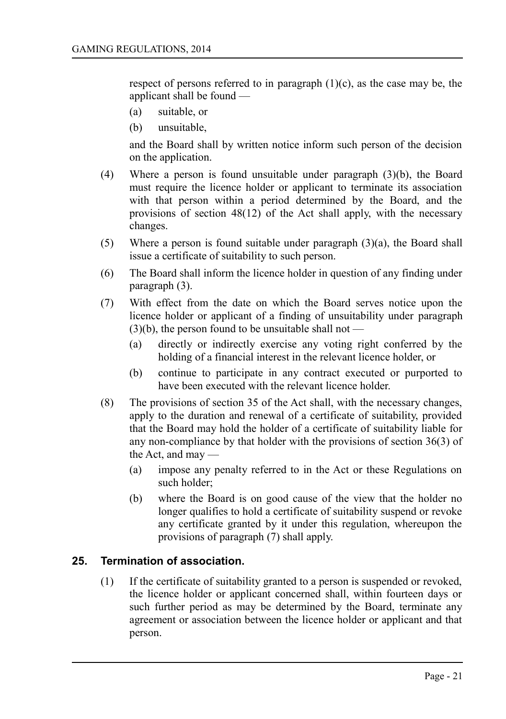respect of persons referred to in paragraph  $(1)(c)$ , as the case may be, the applicant shall be found —

- (a) suitable, or
- (b) unsuitable,

and the Board shall by written notice inform such person of the decision on the application.

- (4) Where a person is found unsuitable under paragraph (3)(b), the Board must require the licence holder or applicant to terminate its association with that person within a period determined by the Board, and the provisions of section 48(12) of the Act shall apply, with the necessary changes.
- (5) Where a person is found suitable under paragraph (3)(a), the Board shall issue a certificate of suitability to such person.
- (6) The Board shall inform the licence holder in question of any finding under paragraph (3).
- (7) With effect from the date on which the Board serves notice upon the licence holder or applicant of a finding of unsuitability under paragraph  $(3)(b)$ , the person found to be unsuitable shall not —
	- (a) directly or indirectly exercise any voting right conferred by the holding of a financial interest in the relevant licence holder, or
	- (b) continue to participate in any contract executed or purported to have been executed with the relevant licence holder.
- (8) The provisions of section 35 of the Act shall, with the necessary changes, apply to the duration and renewal of a certificate of suitability, provided that the Board may hold the holder of a certificate of suitability liable for any non-compliance by that holder with the provisions of section 36(3) of the Act, and may —
	- (a) impose any penalty referred to in the Act or these Regulations on such holder;
	- (b) where the Board is on good cause of the view that the holder no longer qualifies to hold a certificate of suitability suspend or revoke any certificate granted by it under this regulation, whereupon the provisions of paragraph (7) shall apply.

## **25. Termination of association.**

<span id="page-20-0"></span>(1) If the certificate of suitability granted to a person is suspended or revoked, the licence holder or applicant concerned shall, within fourteen days or such further period as may be determined by the Board, terminate any agreement or association between the licence holder or applicant and that person.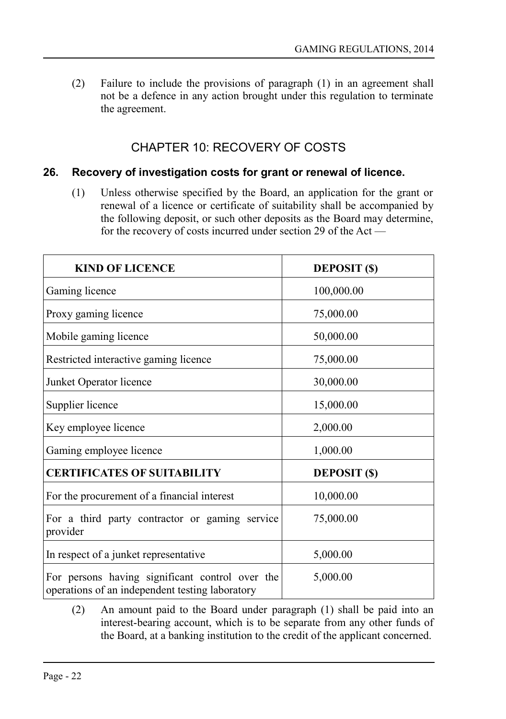(2) Failure to include the provisions of paragraph (1) in an agreement shall not be a defence in any action brought under this regulation to terminate the agreement.

## <span id="page-21-1"></span>CHAPTER 10: RECOVERY OF COSTS

#### **26. Recovery of investigation costs for grant or renewal of licence.**

<span id="page-21-0"></span>(1) Unless otherwise specified by the Board, an application for the grant or renewal of a licence or certificate of suitability shall be accompanied by the following deposit, or such other deposits as the Board may determine, for the recovery of costs incurred under section 29 of the Act —

| <b>KIND OF LICENCE</b>                                                                             | <b>DEPOSIT</b> (\$) |
|----------------------------------------------------------------------------------------------------|---------------------|
| Gaming licence                                                                                     | 100,000.00          |
| Proxy gaming licence                                                                               | 75,000.00           |
| Mobile gaming licence                                                                              | 50,000.00           |
| Restricted interactive gaming licence                                                              | 75,000.00           |
| Junket Operator licence                                                                            | 30,000.00           |
| Supplier licence                                                                                   | 15,000.00           |
| Key employee licence                                                                               | 2,000.00            |
| Gaming employee licence                                                                            | 1,000.00            |
| <b>CERTIFICATES OF SUITABILITY</b>                                                                 | <b>DEPOSIT</b> (\$) |
| For the procurement of a financial interest                                                        | 10,000.00           |
| For a third party contractor or gaming service<br>provider                                         | 75,000.00           |
| In respect of a junket representative                                                              | 5,000.00            |
| For persons having significant control over the<br>operations of an independent testing laboratory | 5,000.00            |

(2) An amount paid to the Board under paragraph (1) shall be paid into an interest-bearing account, which is to be separate from any other funds of the Board, at a banking institution to the credit of the applicant concerned.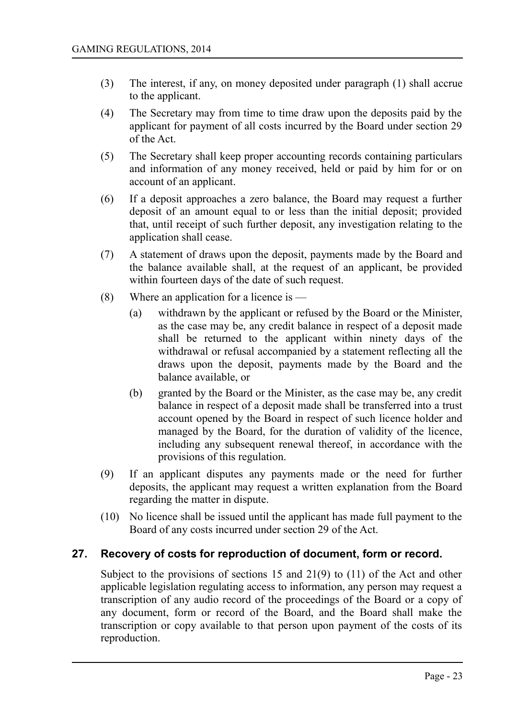- (3) The interest, if any, on money deposited under paragraph (1) shall accrue to the applicant.
- (4) The Secretary may from time to time draw upon the deposits paid by the applicant for payment of all costs incurred by the Board under section 29 of the Act.
- (5) The Secretary shall keep proper accounting records containing particulars and information of any money received, held or paid by him for or on account of an applicant.
- (6) If a deposit approaches a zero balance, the Board may request a further deposit of an amount equal to or less than the initial deposit; provided that, until receipt of such further deposit, any investigation relating to the application shall cease.
- (7) A statement of draws upon the deposit, payments made by the Board and the balance available shall, at the request of an applicant, be provided within fourteen days of the date of such request.
- (8) Where an application for a licence is
	- (a) withdrawn by the applicant or refused by the Board or the Minister, as the case may be, any credit balance in respect of a deposit made shall be returned to the applicant within ninety days of the withdrawal or refusal accompanied by a statement reflecting all the draws upon the deposit, payments made by the Board and the balance available, or
	- (b) granted by the Board or the Minister, as the case may be, any credit balance in respect of a deposit made shall be transferred into a trust account opened by the Board in respect of such licence holder and managed by the Board, for the duration of validity of the licence, including any subsequent renewal thereof, in accordance with the provisions of this regulation.
- (9) If an applicant disputes any payments made or the need for further deposits, the applicant may request a written explanation from the Board regarding the matter in dispute.
- (10) No licence shall be issued until the applicant has made full payment to the Board of any costs incurred under section 29 of the Act.

## **27. Recovery of costs for reproduction of document, form or record.**

<span id="page-22-0"></span>Subject to the provisions of sections 15 and 21(9) to (11) of the Act and other applicable legislation regulating access to information, any person may request a transcription of any audio record of the proceedings of the Board or a copy of any document, form or record of the Board, and the Board shall make the transcription or copy available to that person upon payment of the costs of its reproduction.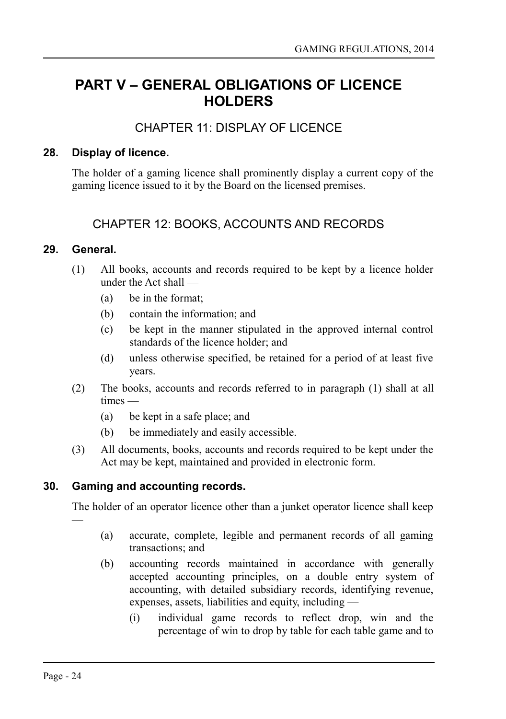## <span id="page-23-5"></span>**PART V – GENERAL OBLIGATIONS OF LICENCE HOLDERS**

## <span id="page-23-4"></span>CHAPTER 11: DISPLAY OF LICENCE

### **28. Display of licence.**

<span id="page-23-3"></span>The holder of a gaming licence shall prominently display a current copy of the gaming licence issued to it by the Board on the licensed premises.

## <span id="page-23-2"></span>CHAPTER 12: BOOKS, ACCOUNTS AND RECORDS

### **29. General.**

- <span id="page-23-1"></span>(1) All books, accounts and records required to be kept by a licence holder under the Act shall —
	- (a) be in the format;
	- (b) contain the information; and
	- (c) be kept in the manner stipulated in the approved internal control standards of the licence holder; and
	- (d) unless otherwise specified, be retained for a period of at least five years.
- (2) The books, accounts and records referred to in paragraph (1) shall at all times —
	- (a) be kept in a safe place; and
	- (b) be immediately and easily accessible.
- (3) All documents, books, accounts and records required to be kept under the Act may be kept, maintained and provided in electronic form.

## **30. Gaming and accounting records.**

<span id="page-23-0"></span>The holder of an operator licence other than a junket operator licence shall keep

- (a) accurate, complete, legible and permanent records of all gaming transactions; and
- (b) accounting records maintained in accordance with generally accepted accounting principles, on a double entry system of accounting, with detailed subsidiary records, identifying revenue, expenses, assets, liabilities and equity, including —
	- (i) individual game records to reflect drop, win and the percentage of win to drop by table for each table game and to

—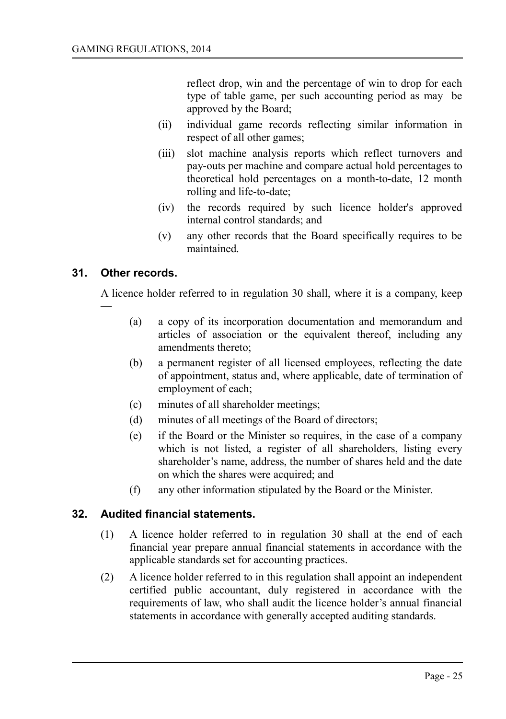reflect drop, win and the percentage of win to drop for each type of table game, per such accounting period as may be approved by the Board;

- (ii) individual game records reflecting similar information in respect of all other games;
- (iii) slot machine analysis reports which reflect turnovers and pay-outs per machine and compare actual hold percentages to theoretical hold percentages on a month-to-date, 12 month rolling and life-to-date;
- (iv) the records required by such licence holder's approved internal control standards; and
- (v) any other records that the Board specifically requires to be maintained.

### **31. Other records.**

—

<span id="page-24-1"></span>A licence holder referred to in regulation 30 shall, where it is a company, keep

- (a) a copy of its incorporation documentation and memorandum and articles of association or the equivalent thereof, including any amendments thereto;
- (b) a permanent register of all licensed employees, reflecting the date of appointment, status and, where applicable, date of termination of employment of each;
- (c) minutes of all shareholder meetings;
- (d) minutes of all meetings of the Board of directors;
- (e) if the Board or the Minister so requires, in the case of a company which is not listed, a register of all shareholders, listing every shareholder's name, address, the number of shares held and the date on which the shares were acquired; and
- (f) any other information stipulated by the Board or the Minister.

## **32. Audited financial statements.**

- <span id="page-24-0"></span>(1) A licence holder referred to in regulation 30 shall at the end of each financial year prepare annual financial statements in accordance with the applicable standards set for accounting practices.
- (2) A licence holder referred to in this regulation shall appoint an independent certified public accountant, duly registered in accordance with the requirements of law, who shall audit the licence holder's annual financial statements in accordance with generally accepted auditing standards.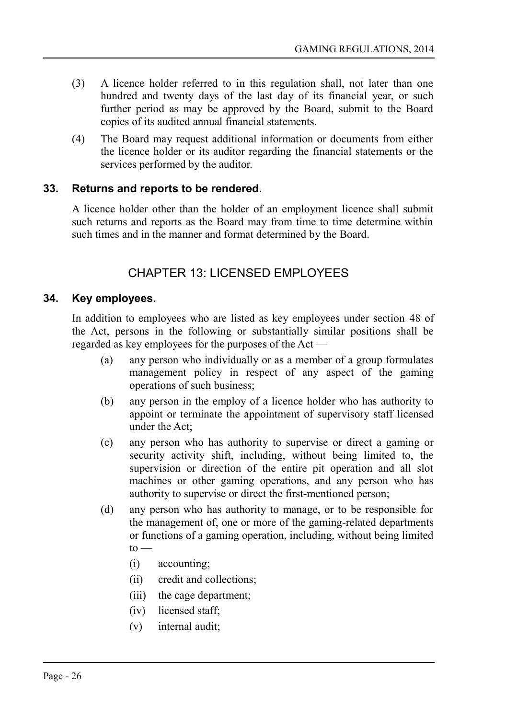- (3) A licence holder referred to in this regulation shall, not later than one hundred and twenty days of the last day of its financial year, or such further period as may be approved by the Board, submit to the Board copies of its audited annual financial statements.
- (4) The Board may request additional information or documents from either the licence holder or its auditor regarding the financial statements or the services performed by the auditor.

## **33. Returns and reports to be rendered.**

<span id="page-25-2"></span>A licence holder other than the holder of an employment licence shall submit such returns and reports as the Board may from time to time determine within such times and in the manner and format determined by the Board.

## <span id="page-25-1"></span>CHAPTER 13: LICENSED EMPLOYEES

## **34. Key employees.**

<span id="page-25-0"></span>In addition to employees who are listed as key employees under section 48 of the Act, persons in the following or substantially similar positions shall be regarded as key employees for the purposes of the Act —

- (a) any person who individually or as a member of a group formulates management policy in respect of any aspect of the gaming operations of such business;
- (b) any person in the employ of a licence holder who has authority to appoint or terminate the appointment of supervisory staff licensed under the Act;
- (c) any person who has authority to supervise or direct a gaming or security activity shift, including, without being limited to, the supervision or direction of the entire pit operation and all slot machines or other gaming operations, and any person who has authority to supervise or direct the first-mentioned person;
- (d) any person who has authority to manage, or to be responsible for the management of, one or more of the gaming-related departments or functions of a gaming operation, including, without being limited  $to -$ 
	- (i) accounting;
	- (ii) credit and collections;
	- (iii) the cage department;
	- (iv) licensed staff;
	- (v) internal audit;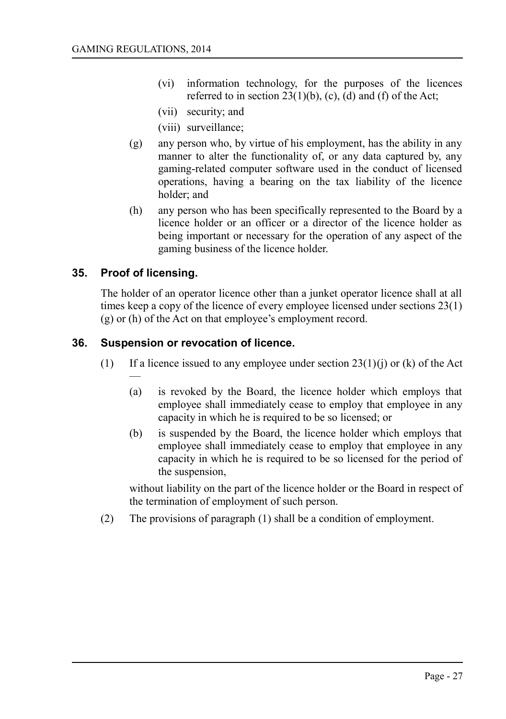- (vi) information technology, for the purposes of the licences referred to in section  $23(1)(b)$ , (c), (d) and (f) of the Act;
- (vii) security; and
- (viii) surveillance;
- (g) any person who, by virtue of his employment, has the ability in any manner to alter the functionality of, or any data captured by, any gaming-related computer software used in the conduct of licensed operations, having a bearing on the tax liability of the licence holder; and
- (h) any person who has been specifically represented to the Board by a licence holder or an officer or a director of the licence holder as being important or necessary for the operation of any aspect of the gaming business of the licence holder.

## **35. Proof of licensing.**

<span id="page-26-1"></span>The holder of an operator licence other than a junket operator licence shall at all times keep a copy of the licence of every employee licensed under sections 23(1) (g) or (h) of the Act on that employee's employment record.

### **36. Suspension or revocation of licence.**

- <span id="page-26-0"></span>(1) If a licence issued to any employee under section  $23(1)(i)$  or (k) of the Act —
	- (a) is revoked by the Board, the licence holder which employs that employee shall immediately cease to employ that employee in any capacity in which he is required to be so licensed; or
	- (b) is suspended by the Board, the licence holder which employs that employee shall immediately cease to employ that employee in any capacity in which he is required to be so licensed for the period of the suspension,

without liability on the part of the licence holder or the Board in respect of the termination of employment of such person.

(2) The provisions of paragraph (1) shall be a condition of employment.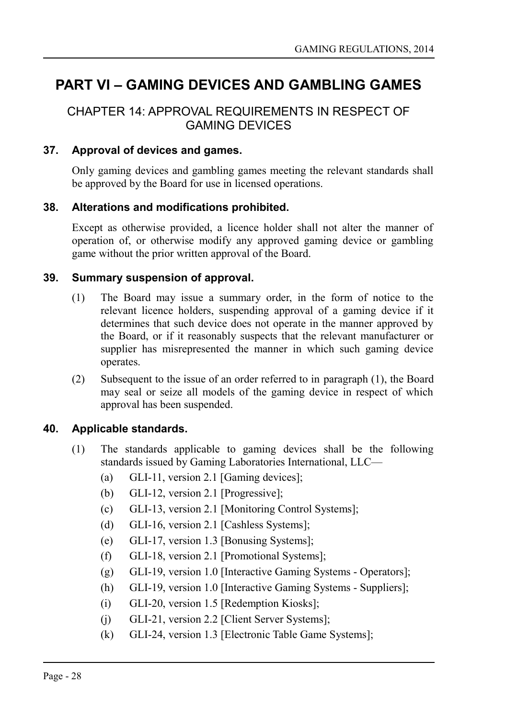## <span id="page-27-5"></span>**PART VI – GAMING DEVICES AND GAMBLING GAMES**

## <span id="page-27-4"></span>CHAPTER 14: APPROVAL REQUIREMENTS IN RESPECT OF GAMING DEVICES

### **37. Approval of devices and games.**

<span id="page-27-3"></span>Only gaming devices and gambling games meeting the relevant standards shall be approved by the Board for use in licensed operations.

### **38. Alterations and modifications prohibited.**

<span id="page-27-2"></span>Except as otherwise provided, a licence holder shall not alter the manner of operation of, or otherwise modify any approved gaming device or gambling game without the prior written approval of the Board.

### **39. Summary suspension of approval.**

- <span id="page-27-1"></span>(1) The Board may issue a summary order, in the form of notice to the relevant licence holders, suspending approval of a gaming device if it determines that such device does not operate in the manner approved by the Board, or if it reasonably suspects that the relevant manufacturer or supplier has misrepresented the manner in which such gaming device operates.
- (2) Subsequent to the issue of an order referred to in paragraph (1), the Board may seal or seize all models of the gaming device in respect of which approval has been suspended.

#### **40. Applicable standards.**

- <span id="page-27-0"></span>(1) The standards applicable to gaming devices shall be the following standards issued by Gaming Laboratories International, LLC—
	- (a) GLI-11, version 2.1 [Gaming devices];
	- (b) GLI-12, version 2.1 [Progressive];
	- (c) GLI-13, version 2.1 [Monitoring Control Systems];
	- (d) GLI-16, version 2.1 [Cashless Systems];
	- (e) GLI-17, version 1.3 [Bonusing Systems];
	- (f) GLI-18, version 2.1 [Promotional Systems];
	- (g) GLI-19, version 1.0 [Interactive Gaming Systems Operators];
	- (h) GLI-19, version 1.0 [Interactive Gaming Systems Suppliers];
	- (i) GLI-20, version 1.5 [Redemption Kiosks];
	- (j) GLI-21, version 2.2 [Client Server Systems];
	- (k) GLI-24, version 1.3 [Electronic Table Game Systems];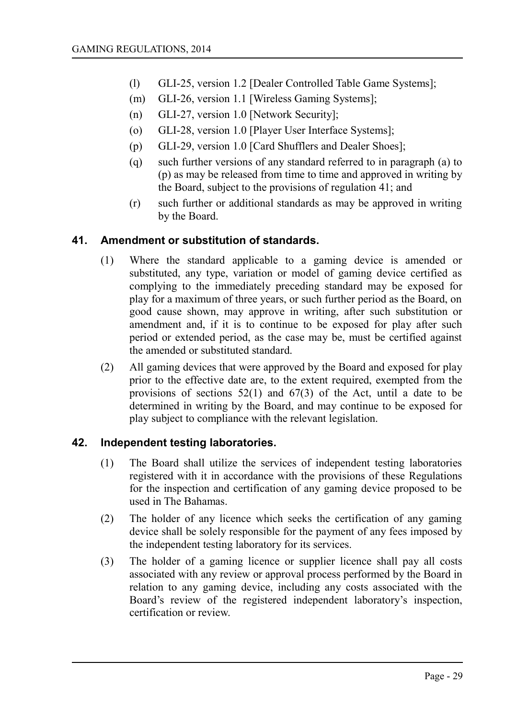- (l) GLI-25, version 1.2 [Dealer Controlled Table Game Systems];
- (m) GLI-26, version 1.1 [Wireless Gaming Systems];
- (n) GLI-27, version 1.0 [Network Security];
- (o) GLI-28, version 1.0 [Player User Interface Systems];
- (p) GLI-29, version 1.0 [Card Shufflers and Dealer Shoes];
- (q) such further versions of any standard referred to in paragraph (a) to (p) as may be released from time to time and approved in writing by the Board, subject to the provisions of regulation 41; and
- (r) such further or additional standards as may be approved in writing by the Board.

### **41. Amendment or substitution of standards.**

- <span id="page-28-1"></span>(1) Where the standard applicable to a gaming device is amended or substituted, any type, variation or model of gaming device certified as complying to the immediately preceding standard may be exposed for play for a maximum of three years, or such further period as the Board, on good cause shown, may approve in writing, after such substitution or amendment and, if it is to continue to be exposed for play after such period or extended period, as the case may be, must be certified against the amended or substituted standard.
- (2) All gaming devices that were approved by the Board and exposed for play prior to the effective date are, to the extent required, exempted from the provisions of sections  $52(1)$  and  $67(3)$  of the Act, until a date to be determined in writing by the Board, and may continue to be exposed for play subject to compliance with the relevant legislation.

## **42. Independent testing laboratories.**

- <span id="page-28-0"></span>(1) The Board shall utilize the services of independent testing laboratories registered with it in accordance with the provisions of these Regulations for the inspection and certification of any gaming device proposed to be used in The Bahamas.
- (2) The holder of any licence which seeks the certification of any gaming device shall be solely responsible for the payment of any fees imposed by the independent testing laboratory for its services.
- (3) The holder of a gaming licence or supplier licence shall pay all costs associated with any review or approval process performed by the Board in relation to any gaming device, including any costs associated with the Board's review of the registered independent laboratory's inspection, certification or review.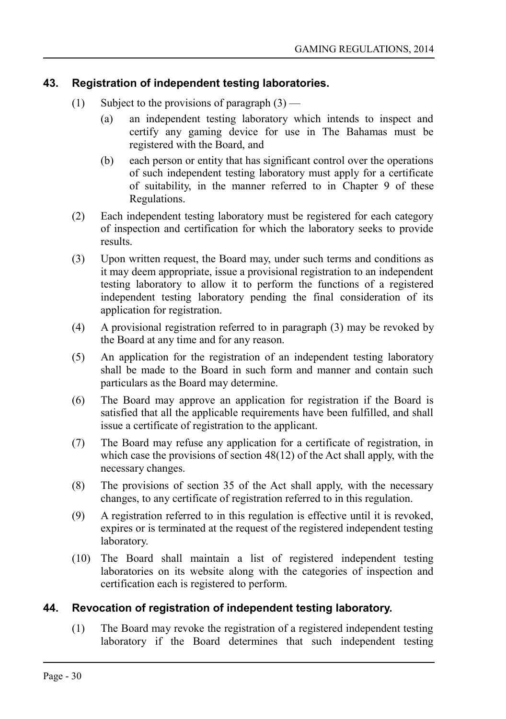## **43. Registration of independent testing laboratories.**

- <span id="page-29-1"></span>(1) Subject to the provisions of paragraph  $(3)$  —
	- (a) an independent testing laboratory which intends to inspect and certify any gaming device for use in The Bahamas must be registered with the Board, and
	- (b) each person or entity that has significant control over the operations of such independent testing laboratory must apply for a certificate of suitability, in the manner referred to in Chapter 9 of these Regulations.
- (2) Each independent testing laboratory must be registered for each category of inspection and certification for which the laboratory seeks to provide results.
- (3) Upon written request, the Board may, under such terms and conditions as it may deem appropriate, issue a provisional registration to an independent testing laboratory to allow it to perform the functions of a registered independent testing laboratory pending the final consideration of its application for registration.
- (4) A provisional registration referred to in paragraph (3) may be revoked by the Board at any time and for any reason.
- (5) An application for the registration of an independent testing laboratory shall be made to the Board in such form and manner and contain such particulars as the Board may determine.
- (6) The Board may approve an application for registration if the Board is satisfied that all the applicable requirements have been fulfilled, and shall issue a certificate of registration to the applicant.
- (7) The Board may refuse any application for a certificate of registration, in which case the provisions of section 48(12) of the Act shall apply, with the necessary changes.
- (8) The provisions of section 35 of the Act shall apply, with the necessary changes, to any certificate of registration referred to in this regulation.
- (9) A registration referred to in this regulation is effective until it is revoked, expires or is terminated at the request of the registered independent testing laboratory.
- (10) The Board shall maintain a list of registered independent testing laboratories on its website along with the categories of inspection and certification each is registered to perform.

## **44. Revocation of registration of independent testing laboratory.**

<span id="page-29-0"></span>(1) The Board may revoke the registration of a registered independent testing laboratory if the Board determines that such independent testing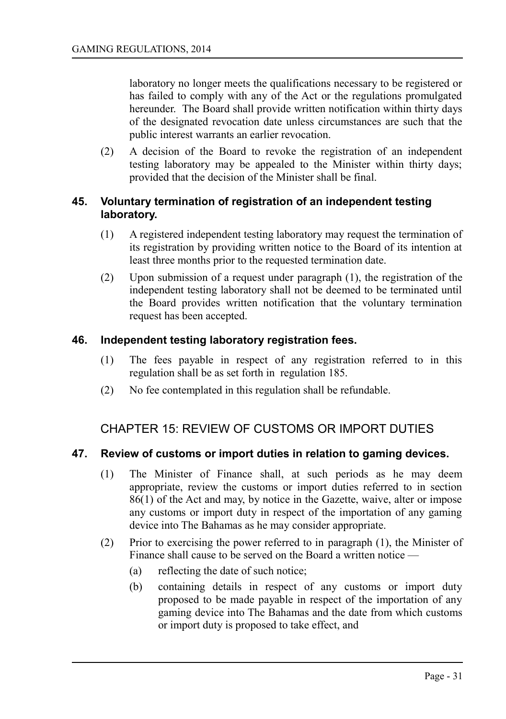laboratory no longer meets the qualifications necessary to be registered or has failed to comply with any of the Act or the regulations promulgated hereunder. The Board shall provide written notification within thirty days of the designated revocation date unless circumstances are such that the public interest warrants an earlier revocation.

(2) A decision of the Board to revoke the registration of an independent testing laboratory may be appealed to the Minister within thirty days; provided that the decision of the Minister shall be final.

### <span id="page-30-3"></span>**45. Voluntary termination of registration of an independent testing laboratory.**

- (1) A registered independent testing laboratory may request the termination of its registration by providing written notice to the Board of its intention at least three months prior to the requested termination date.
- (2) Upon submission of a request under paragraph (1), the registration of the independent testing laboratory shall not be deemed to be terminated until the Board provides written notification that the voluntary termination request has been accepted.

### **46. Independent testing laboratory registration fees.**

- <span id="page-30-2"></span>(1) The fees payable in respect of any registration referred to in this regulation shall be as set forth in regulation 185.
- (2) No fee contemplated in this regulation shall be refundable.

## <span id="page-30-1"></span>CHAPTER 15: REVIEW OF CUSTOMS OR IMPORT DUTIES

#### **47. Review of customs or import duties in relation to gaming devices.**

- <span id="page-30-0"></span>(1) The Minister of Finance shall, at such periods as he may deem appropriate, review the customs or import duties referred to in section 86(1) of the Act and may, by notice in the Gazette, waive, alter or impose any customs or import duty in respect of the importation of any gaming device into The Bahamas as he may consider appropriate.
- (2) Prior to exercising the power referred to in paragraph (1), the Minister of Finance shall cause to be served on the Board a written notice —
	- (a) reflecting the date of such notice;
	- (b) containing details in respect of any customs or import duty proposed to be made payable in respect of the importation of any gaming device into The Bahamas and the date from which customs or import duty is proposed to take effect, and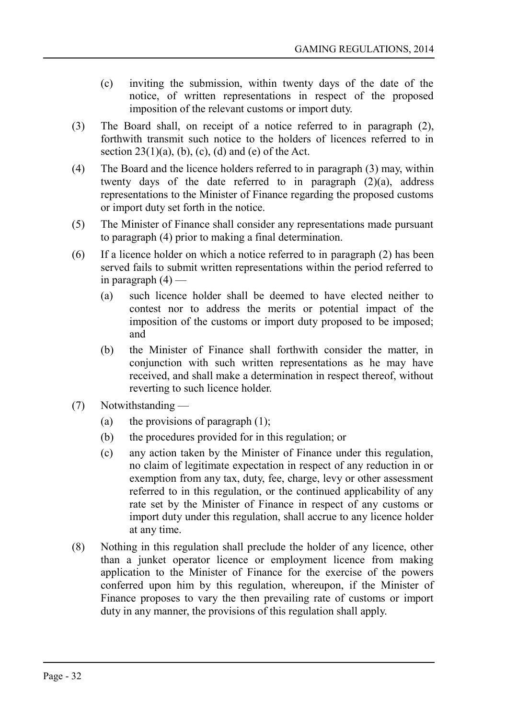- (c) inviting the submission, within twenty days of the date of the notice, of written representations in respect of the proposed imposition of the relevant customs or import duty.
- (3) The Board shall, on receipt of a notice referred to in paragraph (2), forthwith transmit such notice to the holders of licences referred to in section  $23(1)(a)$ , (b), (c), (d) and (e) of the Act.
- (4) The Board and the licence holders referred to in paragraph (3) may, within twenty days of the date referred to in paragraph (2)(a), address representations to the Minister of Finance regarding the proposed customs or import duty set forth in the notice.
- (5) The Minister of Finance shall consider any representations made pursuant to paragraph (4) prior to making a final determination.
- (6) If a licence holder on which a notice referred to in paragraph (2) has been served fails to submit written representations within the period referred to in paragraph  $(4)$  —
	- (a) such licence holder shall be deemed to have elected neither to contest nor to address the merits or potential impact of the imposition of the customs or import duty proposed to be imposed; and
	- (b) the Minister of Finance shall forthwith consider the matter, in conjunction with such written representations as he may have received, and shall make a determination in respect thereof, without reverting to such licence holder.
- (7) Notwithstanding
	- (a) the provisions of paragraph  $(1)$ ;
	- (b) the procedures provided for in this regulation; or
	- (c) any action taken by the Minister of Finance under this regulation, no claim of legitimate expectation in respect of any reduction in or exemption from any tax, duty, fee, charge, levy or other assessment referred to in this regulation, or the continued applicability of any rate set by the Minister of Finance in respect of any customs or import duty under this regulation, shall accrue to any licence holder at any time.
- (8) Nothing in this regulation shall preclude the holder of any licence, other than a junket operator licence or employment licence from making application to the Minister of Finance for the exercise of the powers conferred upon him by this regulation, whereupon, if the Minister of Finance proposes to vary the then prevailing rate of customs or import duty in any manner, the provisions of this regulation shall apply.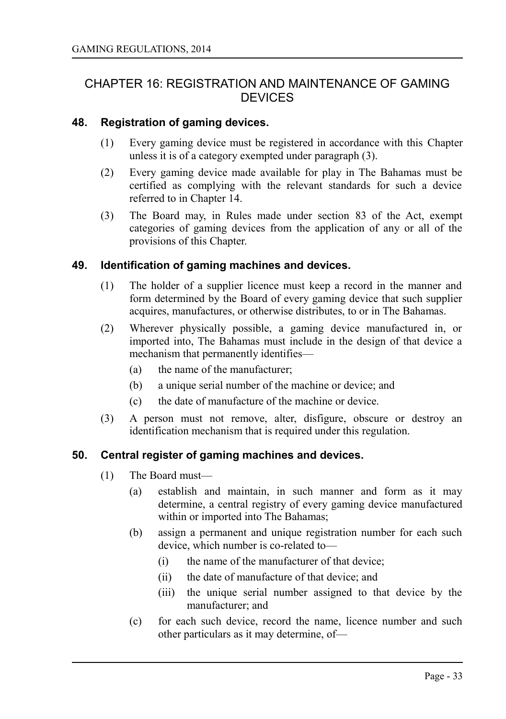## <span id="page-32-3"></span>CHAPTER 16: REGISTRATION AND MAINTENANCE OF GAMING **DEVICES**

#### **48. Registration of gaming devices.**

- <span id="page-32-2"></span>(1) Every gaming device must be registered in accordance with this Chapter unless it is of a category exempted under paragraph (3).
- (2) Every gaming device made available for play in The Bahamas must be certified as complying with the relevant standards for such a device referred to in Chapter 14.
- (3) The Board may, in Rules made under section 83 of the Act, exempt categories of gaming devices from the application of any or all of the provisions of this Chapter.

### **49. Identification of gaming machines and devices.**

- <span id="page-32-1"></span>(1) The holder of a supplier licence must keep a record in the manner and form determined by the Board of every gaming device that such supplier acquires, manufactures, or otherwise distributes, to or in The Bahamas.
- (2) Wherever physically possible, a gaming device manufactured in, or imported into, The Bahamas must include in the design of that device a mechanism that permanently identifies—
	- (a) the name of the manufacturer;
	- (b) a unique serial number of the machine or device; and
	- (c) the date of manufacture of the machine or device.
- (3) A person must not remove, alter, disfigure, obscure or destroy an identification mechanism that is required under this regulation.

## **50. Central register of gaming machines and devices.**

- <span id="page-32-0"></span>(1) The Board must—
	- (a) establish and maintain, in such manner and form as it may determine, a central registry of every gaming device manufactured within or imported into The Bahamas;
	- (b) assign a permanent and unique registration number for each such device, which number is co-related to—
		- (i) the name of the manufacturer of that device;
		- (ii) the date of manufacture of that device; and
		- (iii) the unique serial number assigned to that device by the manufacturer; and
	- (c) for each such device, record the name, licence number and such other particulars as it may determine, of—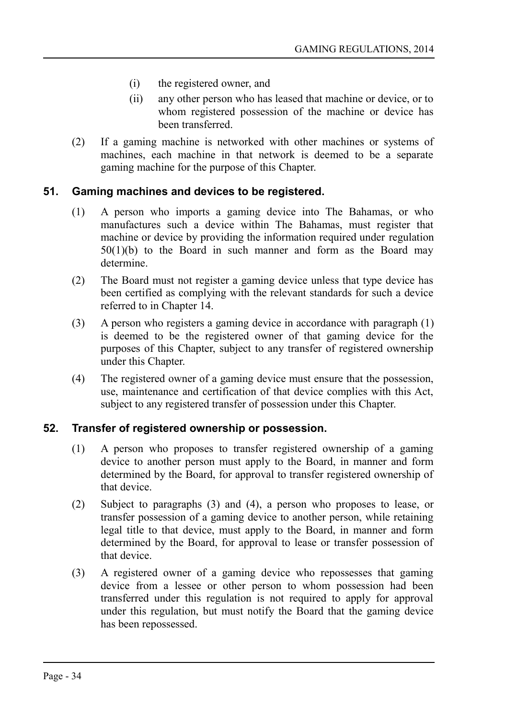- (i) the registered owner, and
- (ii) any other person who has leased that machine or device, or to whom registered possession of the machine or device has been transferred.
- (2) If a gaming machine is networked with other machines or systems of machines, each machine in that network is deemed to be a separate gaming machine for the purpose of this Chapter.

### **51. Gaming machines and devices to be registered.**

- <span id="page-33-1"></span>(1) A person who imports a gaming device into The Bahamas, or who manufactures such a device within The Bahamas, must register that machine or device by providing the information required under regulation 50(1)(b) to the Board in such manner and form as the Board may determine.
- (2) The Board must not register a gaming device unless that type device has been certified as complying with the relevant standards for such a device referred to in Chapter 14.
- (3) A person who registers a gaming device in accordance with paragraph (1) is deemed to be the registered owner of that gaming device for the purposes of this Chapter, subject to any transfer of registered ownership under this Chapter.
- (4) The registered owner of a gaming device must ensure that the possession, use, maintenance and certification of that device complies with this Act, subject to any registered transfer of possession under this Chapter.

#### **52. Transfer of registered ownership or possession.**

- <span id="page-33-0"></span>(1) A person who proposes to transfer registered ownership of a gaming device to another person must apply to the Board, in manner and form determined by the Board, for approval to transfer registered ownership of that device.
- (2) Subject to paragraphs (3) and (4), a person who proposes to lease, or transfer possession of a gaming device to another person, while retaining legal title to that device, must apply to the Board, in manner and form determined by the Board, for approval to lease or transfer possession of that device.
- (3) A registered owner of a gaming device who repossesses that gaming device from a lessee or other person to whom possession had been transferred under this regulation is not required to apply for approval under this regulation, but must notify the Board that the gaming device has been repossessed.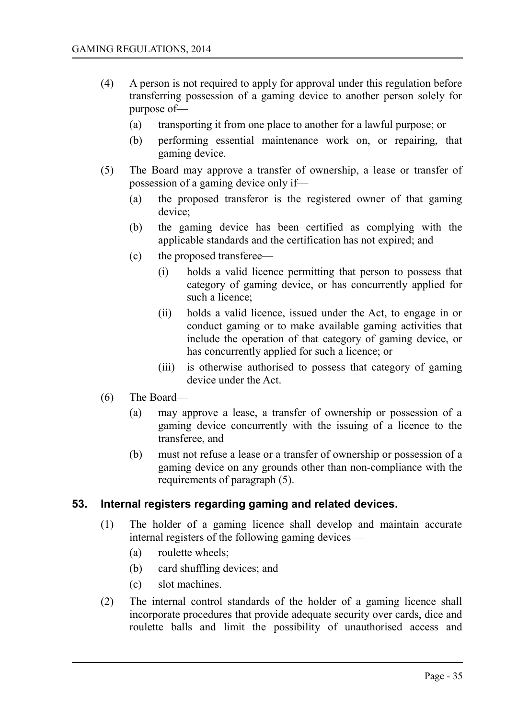- (4) A person is not required to apply for approval under this regulation before transferring possession of a gaming device to another person solely for purpose of—
	- (a) transporting it from one place to another for a lawful purpose; or
	- (b) performing essential maintenance work on, or repairing, that gaming device.
- (5) The Board may approve a transfer of ownership, a lease or transfer of possession of a gaming device only if—
	- (a) the proposed transferor is the registered owner of that gaming device;
	- (b) the gaming device has been certified as complying with the applicable standards and the certification has not expired; and
	- (c) the proposed transferee—
		- (i) holds a valid licence permitting that person to possess that category of gaming device, or has concurrently applied for such a licence;
		- (ii) holds a valid licence, issued under the Act, to engage in or conduct gaming or to make available gaming activities that include the operation of that category of gaming device, or has concurrently applied for such a licence; or
		- (iii) is otherwise authorised to possess that category of gaming device under the Act.
- (6) The Board—
	- (a) may approve a lease, a transfer of ownership or possession of a gaming device concurrently with the issuing of a licence to the transferee, and
	- (b) must not refuse a lease or a transfer of ownership or possession of a gaming device on any grounds other than non-compliance with the requirements of paragraph (5).

#### **53. Internal registers regarding gaming and related devices.**

- <span id="page-34-0"></span>(1) The holder of a gaming licence shall develop and maintain accurate internal registers of the following gaming devices —
	- (a) roulette wheels;
	- (b) card shuffling devices; and
	- (c) slot machines.
- (2) The internal control standards of the holder of a gaming licence shall incorporate procedures that provide adequate security over cards, dice and roulette balls and limit the possibility of unauthorised access and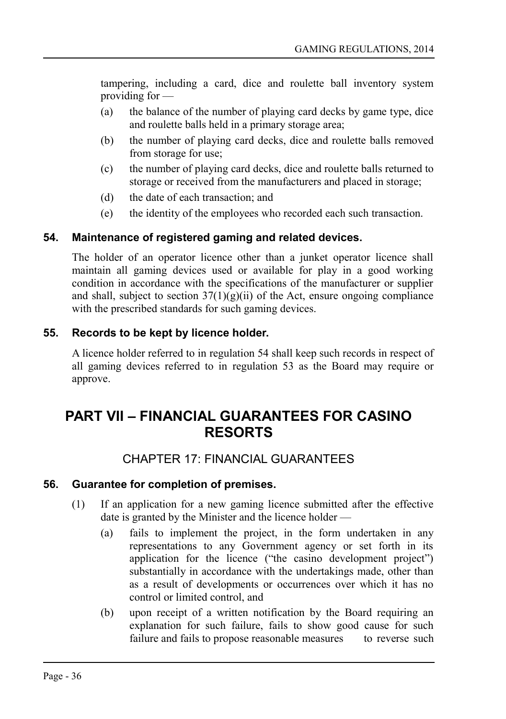tampering, including a card, dice and roulette ball inventory system providing for —

- (a) the balance of the number of playing card decks by game type, dice and roulette balls held in a primary storage area;
- (b) the number of playing card decks, dice and roulette balls removed from storage for use;
- (c) the number of playing card decks, dice and roulette balls returned to storage or received from the manufacturers and placed in storage;
- (d) the date of each transaction; and
- (e) the identity of the employees who recorded each such transaction.

## **54. Maintenance of registered gaming and related devices.**

<span id="page-35-4"></span>The holder of an operator licence other than a junket operator licence shall maintain all gaming devices used or available for play in a good working condition in accordance with the specifications of the manufacturer or supplier and shall, subject to section  $37(1)(g)(ii)$  of the Act, ensure ongoing compliance with the prescribed standards for such gaming devices.

## **55. Records to be kept by licence holder.**

<span id="page-35-3"></span>A licence holder referred to in regulation 54 shall keep such records in respect of all gaming devices referred to in regulation 53 as the Board may require or approve.

## <span id="page-35-2"></span>**PART VII – FINANCIAL GUARANTEES FOR CASINO RESORTS**

## <span id="page-35-1"></span>CHAPTER 17: FINANCIAL GUARANTEES

#### **56. Guarantee for completion of premises.**

- <span id="page-35-0"></span>(1) If an application for a new gaming licence submitted after the effective date is granted by the Minister and the licence holder —
	- (a) fails to implement the project, in the form undertaken in any representations to any Government agency or set forth in its application for the licence ("the casino development project") substantially in accordance with the undertakings made, other than as a result of developments or occurrences over which it has no control or limited control, and
	- (b) upon receipt of a written notification by the Board requiring an explanation for such failure, fails to show good cause for such failure and fails to propose reasonable measures to reverse such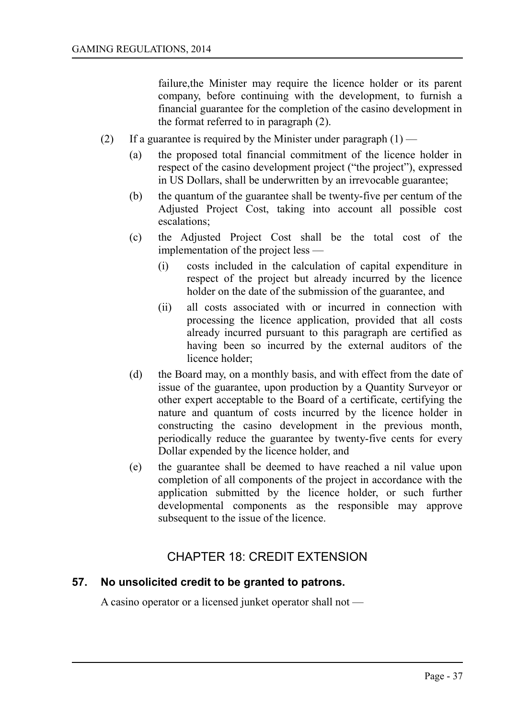failure,the Minister may require the licence holder or its parent company, before continuing with the development, to furnish a financial guarantee for the completion of the casino development in the format referred to in paragraph (2).

- (2) If a guarantee is required by the Minister under paragraph  $(1)$ 
	- (a) the proposed total financial commitment of the licence holder in respect of the casino development project ("the project"), expressed in US Dollars, shall be underwritten by an irrevocable guarantee;
	- (b) the quantum of the guarantee shall be twenty-five per centum of the Adjusted Project Cost, taking into account all possible cost escalations;
	- (c) the Adjusted Project Cost shall be the total cost of the implementation of the project less —
		- (i) costs included in the calculation of capital expenditure in respect of the project but already incurred by the licence holder on the date of the submission of the guarantee, and
		- (ii) all costs associated with or incurred in connection with processing the licence application, provided that all costs already incurred pursuant to this paragraph are certified as having been so incurred by the external auditors of the licence holder;
	- (d) the Board may, on a monthly basis, and with effect from the date of issue of the guarantee, upon production by a Quantity Surveyor or other expert acceptable to the Board of a certificate, certifying the nature and quantum of costs incurred by the licence holder in constructing the casino development in the previous month, periodically reduce the guarantee by twenty-five cents for every Dollar expended by the licence holder, and
	- (e) the guarantee shall be deemed to have reached a nil value upon completion of all components of the project in accordance with the application submitted by the licence holder, or such further developmental components as the responsible may approve subsequent to the issue of the licence.

## CHAPTER 18: CREDIT EXTENSION

#### **57. No unsolicited credit to be granted to patrons.**

A casino operator or a licensed junket operator shall not —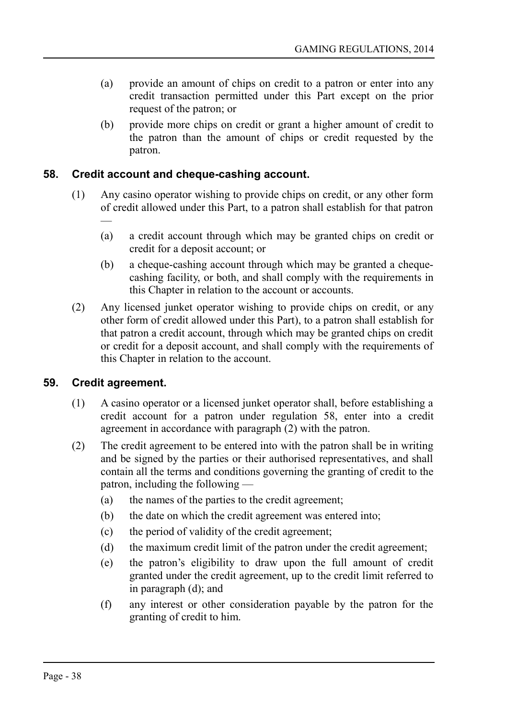- (a) provide an amount of chips on credit to a patron or enter into any credit transaction permitted under this Part except on the prior request of the patron; or
- (b) provide more chips on credit or grant a higher amount of credit to the patron than the amount of chips or credit requested by the patron.

#### **58. Credit account and cheque-cashing account.**

- (1) Any casino operator wishing to provide chips on credit, or any other form of credit allowed under this Part, to a patron shall establish for that patron
	- (a) a credit account through which may be granted chips on credit or credit for a deposit account; or
	- (b) a cheque-cashing account through which may be granted a chequecashing facility, or both, and shall comply with the requirements in this Chapter in relation to the account or accounts.
- (2) Any licensed junket operator wishing to provide chips on credit, or any other form of credit allowed under this Part), to a patron shall establish for that patron a credit account, through which may be granted chips on credit or credit for a deposit account, and shall comply with the requirements of this Chapter in relation to the account.

#### **59. Credit agreement.**

—

- (1) A casino operator or a licensed junket operator shall, before establishing a credit account for a patron under regulation 58, enter into a credit agreement in accordance with paragraph (2) with the patron.
- (2) The credit agreement to be entered into with the patron shall be in writing and be signed by the parties or their authorised representatives, and shall contain all the terms and conditions governing the granting of credit to the patron, including the following —
	- (a) the names of the parties to the credit agreement;
	- (b) the date on which the credit agreement was entered into;
	- (c) the period of validity of the credit agreement;
	- (d) the maximum credit limit of the patron under the credit agreement;
	- (e) the patron's eligibility to draw upon the full amount of credit granted under the credit agreement, up to the credit limit referred to in paragraph (d); and
	- (f) any interest or other consideration payable by the patron for the granting of credit to him.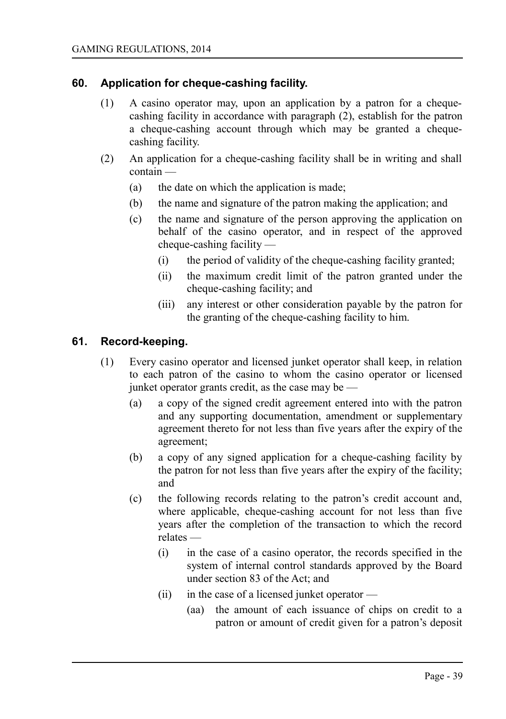### **60. Application for cheque-cashing facility.**

- (1) A casino operator may, upon an application by a patron for a chequecashing facility in accordance with paragraph (2), establish for the patron a cheque-cashing account through which may be granted a chequecashing facility.
- (2) An application for a cheque-cashing facility shall be in writing and shall contain —
	- (a) the date on which the application is made;
	- (b) the name and signature of the patron making the application; and
	- (c) the name and signature of the person approving the application on behalf of the casino operator, and in respect of the approved cheque-cashing facility —
		- (i) the period of validity of the cheque-cashing facility granted;
		- (ii) the maximum credit limit of the patron granted under the cheque-cashing facility; and
		- (iii) any interest or other consideration payable by the patron for the granting of the cheque-cashing facility to him.

#### **61. Record-keeping.**

- (1) Every casino operator and licensed junket operator shall keep, in relation to each patron of the casino to whom the casino operator or licensed junket operator grants credit, as the case may be —
	- (a) a copy of the signed credit agreement entered into with the patron and any supporting documentation, amendment or supplementary agreement thereto for not less than five years after the expiry of the agreement;
	- (b) a copy of any signed application for a cheque-cashing facility by the patron for not less than five years after the expiry of the facility; and
	- (c) the following records relating to the patron's credit account and, where applicable, cheque-cashing account for not less than five years after the completion of the transaction to which the record relates —
		- (i) in the case of a casino operator, the records specified in the system of internal control standards approved by the Board under section 83 of the Act; and
		- (ii) in the case of a licensed junket operator
			- (aa) the amount of each issuance of chips on credit to a patron or amount of credit given for a patron's deposit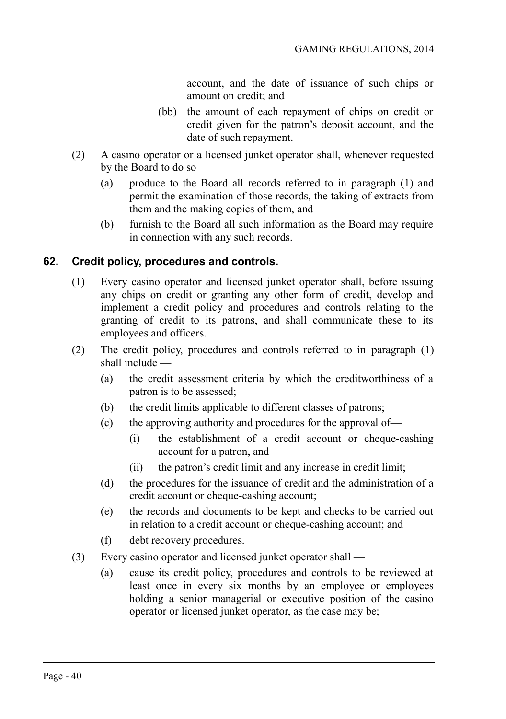account, and the date of issuance of such chips or amount on credit; and

- (bb) the amount of each repayment of chips on credit or credit given for the patron's deposit account, and the date of such repayment.
- (2) A casino operator or a licensed junket operator shall, whenever requested by the Board to do so —
	- (a) produce to the Board all records referred to in paragraph (1) and permit the examination of those records, the taking of extracts from them and the making copies of them, and
	- (b) furnish to the Board all such information as the Board may require in connection with any such records.

### **62. Credit policy, procedures and controls.**

- (1) Every casino operator and licensed junket operator shall, before issuing any chips on credit or granting any other form of credit, develop and implement a credit policy and procedures and controls relating to the granting of credit to its patrons, and shall communicate these to its employees and officers.
- (2) The credit policy, procedures and controls referred to in paragraph (1) shall include —
	- (a) the credit assessment criteria by which the creditworthiness of a patron is to be assessed;
	- (b) the credit limits applicable to different classes of patrons;
	- (c) the approving authority and procedures for the approval of—
		- (i) the establishment of a credit account or cheque-cashing account for a patron, and
		- (ii) the patron's credit limit and any increase in credit limit;
	- (d) the procedures for the issuance of credit and the administration of a credit account or cheque-cashing account;
	- (e) the records and documents to be kept and checks to be carried out in relation to a credit account or cheque-cashing account; and
	- (f) debt recovery procedures.
- (3) Every casino operator and licensed junket operator shall
	- (a) cause its credit policy, procedures and controls to be reviewed at least once in every six months by an employee or employees holding a senior managerial or executive position of the casino operator or licensed junket operator, as the case may be;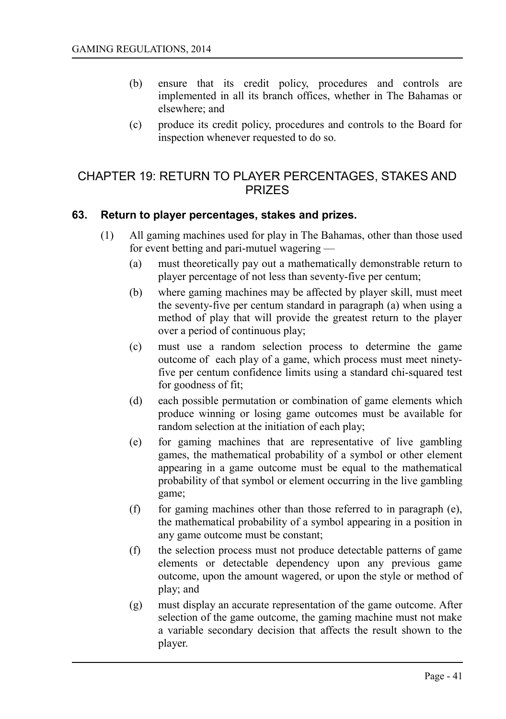- (b) ensure that its credit policy, procedures and controls are implemented in all its branch offices, whether in The Bahamas or elsewhere; and
- (c) produce its credit policy, procedures and controls to the Board for inspection whenever requested to do so.

## CHAPTER 19: RETURN TO PLAYER PERCENTAGES, STAKES AND PRIZES

#### **63. Return to player percentages, stakes and prizes.**

- (1) All gaming machines used for play in The Bahamas, other than those used for event betting and pari-mutuel wagering —
	- (a) must theoretically pay out a mathematically demonstrable return to player percentage of not less than seventy-five per centum;
	- (b) where gaming machines may be affected by player skill, must meet the seventy-five per centum standard in paragraph (a) when using a method of play that will provide the greatest return to the player over a period of continuous play;
	- (c) must use a random selection process to determine the game outcome of each play of a game, which process must meet ninetyfive per centum confidence limits using a standard chi-squared test for goodness of fit;
	- (d) each possible permutation or combination of game elements which produce winning or losing game outcomes must be available for random selection at the initiation of each play;
	- (e) for gaming machines that are representative of live gambling games, the mathematical probability of a symbol or other element appearing in a game outcome must be equal to the mathematical probability of that symbol or element occurring in the live gambling game;
	- (f) for gaming machines other than those referred to in paragraph (e), the mathematical probability of a symbol appearing in a position in any game outcome must be constant;
	- (f) the selection process must not produce detectable patterns of game elements or detectable dependency upon any previous game outcome, upon the amount wagered, or upon the style or method of play; and
	- (g) must display an accurate representation of the game outcome. After selection of the game outcome, the gaming machine must not make a variable secondary decision that affects the result shown to the player.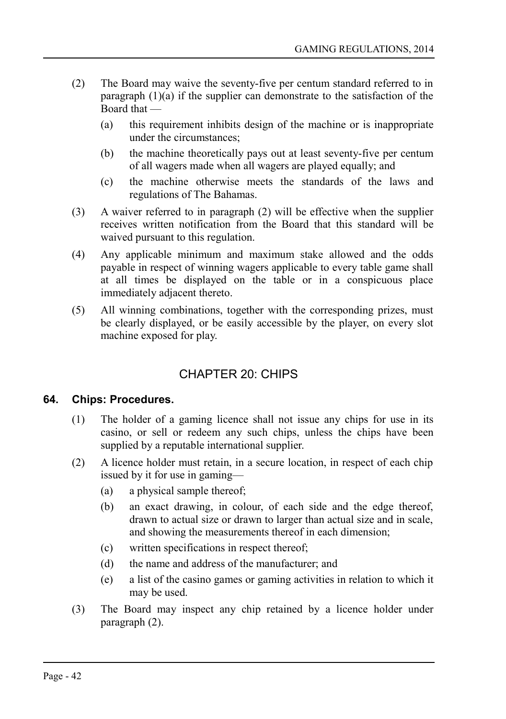- (2) The Board may waive the seventy-five per centum standard referred to in paragraph (1)(a) if the supplier can demonstrate to the satisfaction of the Board that —
	- (a) this requirement inhibits design of the machine or is inappropriate under the circumstances;
	- (b) the machine theoretically pays out at least seventy-five per centum of all wagers made when all wagers are played equally; and
	- (c) the machine otherwise meets the standards of the laws and regulations of The Bahamas.
- (3) A waiver referred to in paragraph (2) will be effective when the supplier receives written notification from the Board that this standard will be waived pursuant to this regulation.
- (4) Any applicable minimum and maximum stake allowed and the odds payable in respect of winning wagers applicable to every table game shall at all times be displayed on the table or in a conspicuous place immediately adjacent thereto.
- (5) All winning combinations, together with the corresponding prizes, must be clearly displayed, or be easily accessible by the player, on every slot machine exposed for play.

# CHAPTER 20: CHIPS

### **64. Chips: Procedures.**

- (1) The holder of a gaming licence shall not issue any chips for use in its casino, or sell or redeem any such chips, unless the chips have been supplied by a reputable international supplier.
- (2) A licence holder must retain, in a secure location, in respect of each chip issued by it for use in gaming—
	- (a) a physical sample thereof;
	- (b) an exact drawing, in colour, of each side and the edge thereof, drawn to actual size or drawn to larger than actual size and in scale, and showing the measurements thereof in each dimension;
	- (c) written specifications in respect thereof;
	- (d) the name and address of the manufacturer; and
	- (e) a list of the casino games or gaming activities in relation to which it may be used.
- (3) The Board may inspect any chip retained by a licence holder under paragraph (2).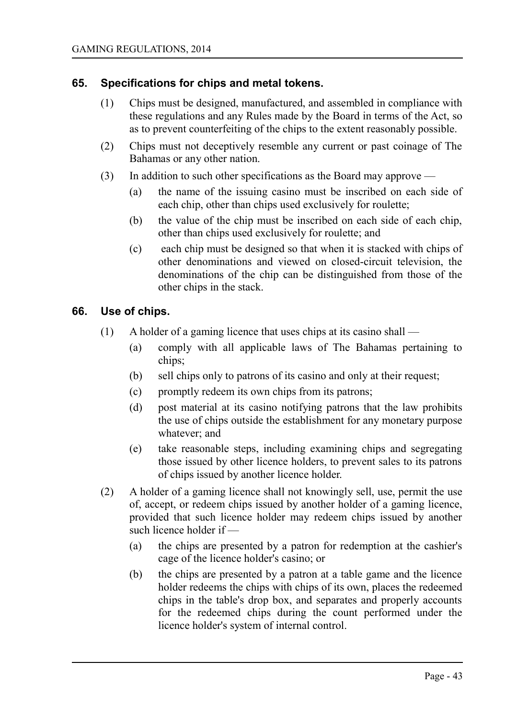#### **65. Specifications for chips and metal tokens.**

- (1) Chips must be designed, manufactured, and assembled in compliance with these regulations and any Rules made by the Board in terms of the Act, so as to prevent counterfeiting of the chips to the extent reasonably possible.
- (2) Chips must not deceptively resemble any current or past coinage of The Bahamas or any other nation.
- (3) In addition to such other specifications as the Board may approve
	- (a) the name of the issuing casino must be inscribed on each side of each chip, other than chips used exclusively for roulette;
	- (b) the value of the chip must be inscribed on each side of each chip, other than chips used exclusively for roulette; and
	- (c) each chip must be designed so that when it is stacked with chips of other denominations and viewed on closed-circuit television, the denominations of the chip can be distinguished from those of the other chips in the stack.

#### **66. Use of chips.**

- (1) A holder of a gaming licence that uses chips at its casino shall
	- (a) comply with all applicable laws of The Bahamas pertaining to chips;
	- (b) sell chips only to patrons of its casino and only at their request;
	- (c) promptly redeem its own chips from its patrons;
	- (d) post material at its casino notifying patrons that the law prohibits the use of chips outside the establishment for any monetary purpose whatever; and
	- (e) take reasonable steps, including examining chips and segregating those issued by other licence holders, to prevent sales to its patrons of chips issued by another licence holder.
- (2) A holder of a gaming licence shall not knowingly sell, use, permit the use of, accept, or redeem chips issued by another holder of a gaming licence, provided that such licence holder may redeem chips issued by another such licence holder if —
	- (a) the chips are presented by a patron for redemption at the cashier's cage of the licence holder's casino; or
	- (b) the chips are presented by a patron at a table game and the licence holder redeems the chips with chips of its own, places the redeemed chips in the table's drop box, and separates and properly accounts for the redeemed chips during the count performed under the licence holder's system of internal control.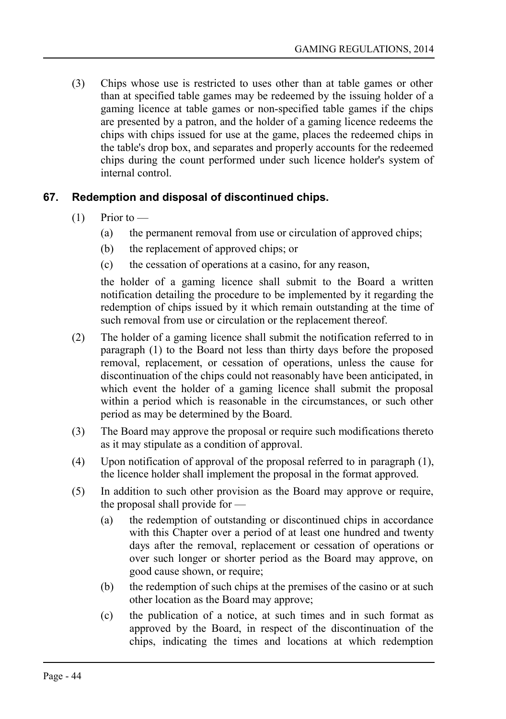(3) Chips whose use is restricted to uses other than at table games or other than at specified table games may be redeemed by the issuing holder of a gaming licence at table games or non-specified table games if the chips are presented by a patron, and the holder of a gaming licence redeems the chips with chips issued for use at the game, places the redeemed chips in the table's drop box, and separates and properly accounts for the redeemed chips during the count performed under such licence holder's system of internal control.

## **67. Redemption and disposal of discontinued chips.**

- $(1)$  Prior to
	- (a) the permanent removal from use or circulation of approved chips;
	- (b) the replacement of approved chips; or
	- (c) the cessation of operations at a casino, for any reason,

the holder of a gaming licence shall submit to the Board a written notification detailing the procedure to be implemented by it regarding the redemption of chips issued by it which remain outstanding at the time of such removal from use or circulation or the replacement thereof.

- (2) The holder of a gaming licence shall submit the notification referred to in paragraph (1) to the Board not less than thirty days before the proposed removal, replacement, or cessation of operations, unless the cause for discontinuation of the chips could not reasonably have been anticipated, in which event the holder of a gaming licence shall submit the proposal within a period which is reasonable in the circumstances, or such other period as may be determined by the Board.
- (3) The Board may approve the proposal or require such modifications thereto as it may stipulate as a condition of approval.
- (4) Upon notification of approval of the proposal referred to in paragraph (1), the licence holder shall implement the proposal in the format approved.
- (5) In addition to such other provision as the Board may approve or require, the proposal shall provide for —
	- (a) the redemption of outstanding or discontinued chips in accordance with this Chapter over a period of at least one hundred and twenty days after the removal, replacement or cessation of operations or over such longer or shorter period as the Board may approve, on good cause shown, or require;
	- (b) the redemption of such chips at the premises of the casino or at such other location as the Board may approve;
	- (c) the publication of a notice, at such times and in such format as approved by the Board, in respect of the discontinuation of the chips, indicating the times and locations at which redemption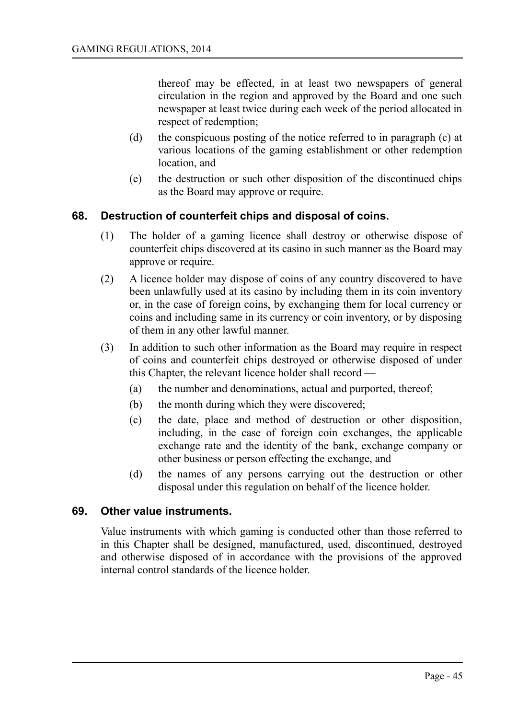thereof may be effected, in at least two newspapers of general circulation in the region and approved by the Board and one such newspaper at least twice during each week of the period allocated in respect of redemption;

- (d) the conspicuous posting of the notice referred to in paragraph (c) at various locations of the gaming establishment or other redemption location, and
- (e) the destruction or such other disposition of the discontinued chips as the Board may approve or require.

#### **68. Destruction of counterfeit chips and disposal of coins.**

- (1) The holder of a gaming licence shall destroy or otherwise dispose of counterfeit chips discovered at its casino in such manner as the Board may approve or require.
- (2) A licence holder may dispose of coins of any country discovered to have been unlawfully used at its casino by including them in its coin inventory or, in the case of foreign coins, by exchanging them for local currency or coins and including same in its currency or coin inventory, or by disposing of them in any other lawful manner.
- (3) In addition to such other information as the Board may require in respect of coins and counterfeit chips destroyed or otherwise disposed of under this Chapter, the relevant licence holder shall record —
	- (a) the number and denominations, actual and purported, thereof;
	- (b) the month during which they were discovered;
	- (c) the date, place and method of destruction or other disposition, including, in the case of foreign coin exchanges, the applicable exchange rate and the identity of the bank, exchange company or other business or person effecting the exchange, and
	- (d) the names of any persons carrying out the destruction or other disposal under this regulation on behalf of the licence holder.

#### **69. Other value instruments.**

Value instruments with which gaming is conducted other than those referred to in this Chapter shall be designed, manufactured, used, discontinued, destroyed and otherwise disposed of in accordance with the provisions of the approved internal control standards of the licence holder.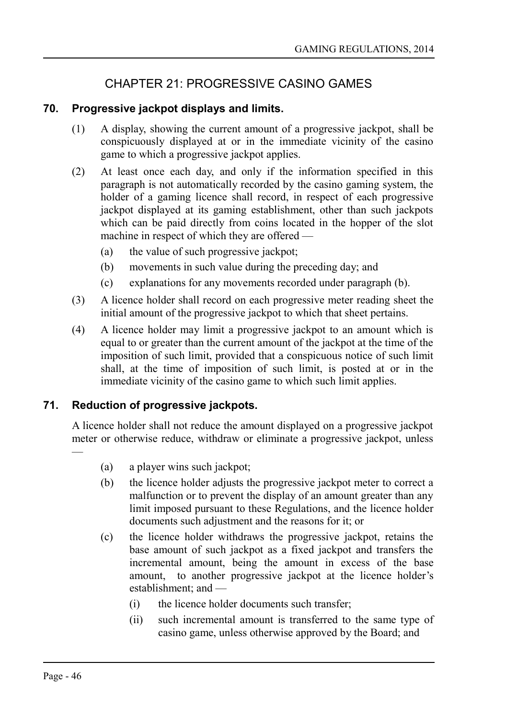# CHAPTER 21: PROGRESSIVE CASINO GAMES

## **70. Progressive jackpot displays and limits.**

- (1) A display, showing the current amount of a progressive jackpot, shall be conspicuously displayed at or in the immediate vicinity of the casino game to which a progressive jackpot applies.
- (2) At least once each day, and only if the information specified in this paragraph is not automatically recorded by the casino gaming system, the holder of a gaming licence shall record, in respect of each progressive jackpot displayed at its gaming establishment, other than such jackpots which can be paid directly from coins located in the hopper of the slot machine in respect of which they are offered —
	- (a) the value of such progressive jackpot;
	- (b) movements in such value during the preceding day; and
	- (c) explanations for any movements recorded under paragraph (b).
- (3) A licence holder shall record on each progressive meter reading sheet the initial amount of the progressive jackpot to which that sheet pertains.
- (4) A licence holder may limit a progressive jackpot to an amount which is equal to or greater than the current amount of the jackpot at the time of the imposition of such limit, provided that a conspicuous notice of such limit shall, at the time of imposition of such limit, is posted at or in the immediate vicinity of the casino game to which such limit applies.

## **71. Reduction of progressive jackpots.**

A licence holder shall not reduce the amount displayed on a progressive jackpot meter or otherwise reduce, withdraw or eliminate a progressive jackpot, unless —

- (a) a player wins such jackpot;
- (b) the licence holder adjusts the progressive jackpot meter to correct a malfunction or to prevent the display of an amount greater than any limit imposed pursuant to these Regulations, and the licence holder documents such adjustment and the reasons for it; or
- (c) the licence holder withdraws the progressive jackpot, retains the base amount of such jackpot as a fixed jackpot and transfers the incremental amount, being the amount in excess of the base amount, to another progressive jackpot at the licence holder's establishment; and —
	- (i) the licence holder documents such transfer;
	- (ii) such incremental amount is transferred to the same type of casino game, unless otherwise approved by the Board; and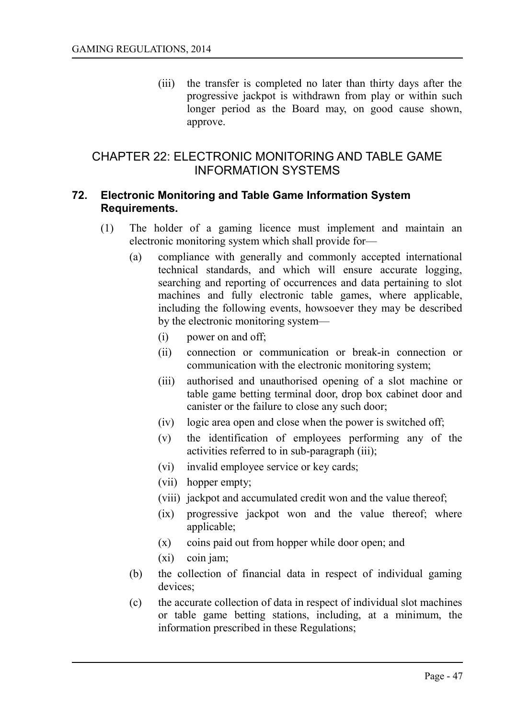(iii) the transfer is completed no later than thirty days after the progressive jackpot is withdrawn from play or within such longer period as the Board may, on good cause shown, approve.

## CHAPTER 22: ELECTRONIC MONITORING AND TABLE GAME INFORMATION SYSTEMS

#### **72. Electronic Monitoring and Table Game Information System Requirements.**

- (1) The holder of a gaming licence must implement and maintain an electronic monitoring system which shall provide for—
	- (a) compliance with generally and commonly accepted international technical standards, and which will ensure accurate logging, searching and reporting of occurrences and data pertaining to slot machines and fully electronic table games, where applicable, including the following events, howsoever they may be described by the electronic monitoring system—
		- (i) power on and off;
		- (ii) connection or communication or break-in connection or communication with the electronic monitoring system;
		- (iii) authorised and unauthorised opening of a slot machine or table game betting terminal door, drop box cabinet door and canister or the failure to close any such door;
		- (iv) logic area open and close when the power is switched off;
		- (v) the identification of employees performing any of the activities referred to in sub-paragraph (iii);
		- (vi) invalid employee service or key cards;
		- (vii) hopper empty;
		- (viii) jackpot and accumulated credit won and the value thereof;
		- (ix) progressive jackpot won and the value thereof; where applicable;
		- (x) coins paid out from hopper while door open; and
		- (xi) coin jam;
	- (b) the collection of financial data in respect of individual gaming devices;
	- (c) the accurate collection of data in respect of individual slot machines or table game betting stations, including, at a minimum, the information prescribed in these Regulations;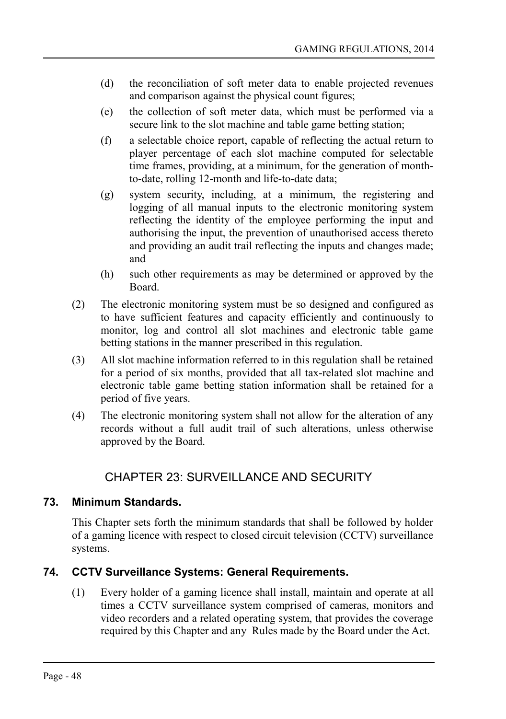- (d) the reconciliation of soft meter data to enable projected revenues and comparison against the physical count figures;
- (e) the collection of soft meter data, which must be performed via a secure link to the slot machine and table game betting station;
- (f) a selectable choice report, capable of reflecting the actual return to player percentage of each slot machine computed for selectable time frames, providing, at a minimum, for the generation of monthto-date, rolling 12-month and life-to-date data;
- (g) system security, including, at a minimum, the registering and logging of all manual inputs to the electronic monitoring system reflecting the identity of the employee performing the input and authorising the input, the prevention of unauthorised access thereto and providing an audit trail reflecting the inputs and changes made; and
- (h) such other requirements as may be determined or approved by the Board.
- (2) The electronic monitoring system must be so designed and configured as to have sufficient features and capacity efficiently and continuously to monitor, log and control all slot machines and electronic table game betting stations in the manner prescribed in this regulation.
- (3) All slot machine information referred to in this regulation shall be retained for a period of six months, provided that all tax-related slot machine and electronic table game betting station information shall be retained for a period of five years.
- (4) The electronic monitoring system shall not allow for the alteration of any records without a full audit trail of such alterations, unless otherwise approved by the Board.

# CHAPTER 23: SURVEILLANCE AND SECURITY

## **73. Minimum Standards.**

This Chapter sets forth the minimum standards that shall be followed by holder of a gaming licence with respect to closed circuit television (CCTV) surveillance systems.

## **74. CCTV Surveillance Systems: General Requirements.**

(1) Every holder of a gaming licence shall install, maintain and operate at all times a CCTV surveillance system comprised of cameras, monitors and video recorders and a related operating system, that provides the coverage required by this Chapter and any Rules made by the Board under the Act.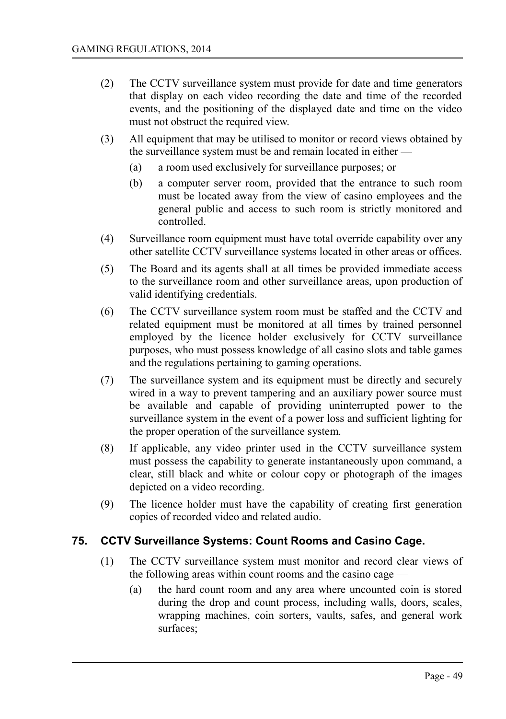- (2) The CCTV surveillance system must provide for date and time generators that display on each video recording the date and time of the recorded events, and the positioning of the displayed date and time on the video must not obstruct the required view.
- (3) All equipment that may be utilised to monitor or record views obtained by the surveillance system must be and remain located in either —
	- (a) a room used exclusively for surveillance purposes; or
	- (b) a computer server room, provided that the entrance to such room must be located away from the view of casino employees and the general public and access to such room is strictly monitored and controlled.
- (4) Surveillance room equipment must have total override capability over any other satellite CCTV surveillance systems located in other areas or offices.
- (5) The Board and its agents shall at all times be provided immediate access to the surveillance room and other surveillance areas, upon production of valid identifying credentials.
- (6) The CCTV surveillance system room must be staffed and the CCTV and related equipment must be monitored at all times by trained personnel employed by the licence holder exclusively for CCTV surveillance purposes, who must possess knowledge of all casino slots and table games and the regulations pertaining to gaming operations.
- (7) The surveillance system and its equipment must be directly and securely wired in a way to prevent tampering and an auxiliary power source must be available and capable of providing uninterrupted power to the surveillance system in the event of a power loss and sufficient lighting for the proper operation of the surveillance system.
- (8) If applicable, any video printer used in the CCTV surveillance system must possess the capability to generate instantaneously upon command, a clear, still black and white or colour copy or photograph of the images depicted on a video recording.
- (9) The licence holder must have the capability of creating first generation copies of recorded video and related audio.

#### **75. CCTV Surveillance Systems: Count Rooms and Casino Cage.**

- (1) The CCTV surveillance system must monitor and record clear views of the following areas within count rooms and the casino cage —
	- (a) the hard count room and any area where uncounted coin is stored during the drop and count process, including walls, doors, scales, wrapping machines, coin sorters, vaults, safes, and general work surfaces;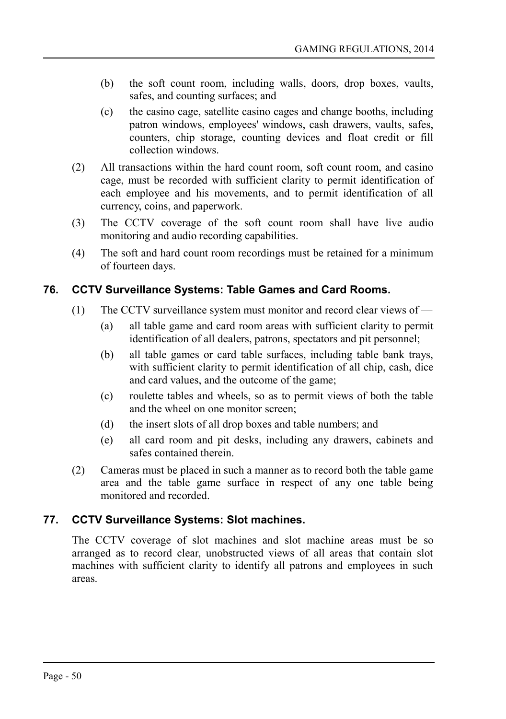- (b) the soft count room, including walls, doors, drop boxes, vaults, safes, and counting surfaces; and
- (c) the casino cage, satellite casino cages and change booths, including patron windows, employees' windows, cash drawers, vaults, safes, counters, chip storage, counting devices and float credit or fill collection windows.
- (2) All transactions within the hard count room, soft count room, and casino cage, must be recorded with sufficient clarity to permit identification of each employee and his movements, and to permit identification of all currency, coins, and paperwork.
- (3) The CCTV coverage of the soft count room shall have live audio monitoring and audio recording capabilities.
- (4) The soft and hard count room recordings must be retained for a minimum of fourteen days.

## **76. CCTV Surveillance Systems: Table Games and Card Rooms.**

- (1) The CCTV surveillance system must monitor and record clear views of
	- (a) all table game and card room areas with sufficient clarity to permit identification of all dealers, patrons, spectators and pit personnel;
	- (b) all table games or card table surfaces, including table bank trays, with sufficient clarity to permit identification of all chip, cash, dice and card values, and the outcome of the game;
	- (c) roulette tables and wheels, so as to permit views of both the table and the wheel on one monitor screen;
	- (d) the insert slots of all drop boxes and table numbers; and
	- (e) all card room and pit desks, including any drawers, cabinets and safes contained therein.
- (2) Cameras must be placed in such a manner as to record both the table game area and the table game surface in respect of any one table being monitored and recorded.

### **77. CCTV Surveillance Systems: Slot machines.**

The CCTV coverage of slot machines and slot machine areas must be so arranged as to record clear, unobstructed views of all areas that contain slot machines with sufficient clarity to identify all patrons and employees in such areas.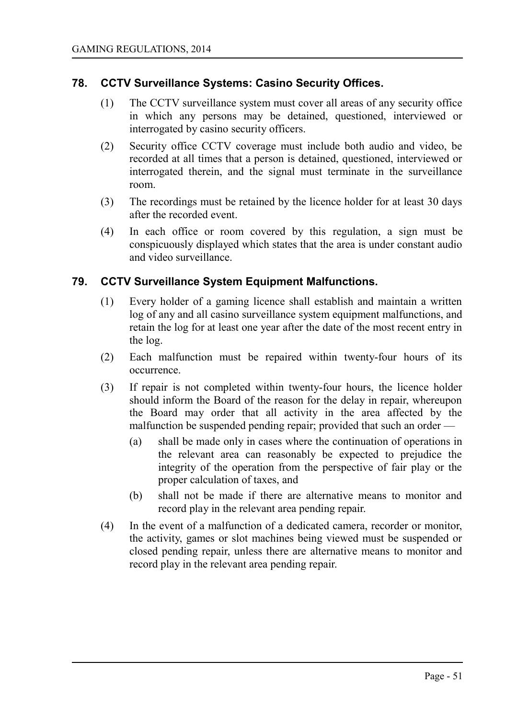#### **78. CCTV Surveillance Systems: Casino Security Offices.**

- (1) The CCTV surveillance system must cover all areas of any security office in which any persons may be detained, questioned, interviewed or interrogated by casino security officers.
- (2) Security office CCTV coverage must include both audio and video, be recorded at all times that a person is detained, questioned, interviewed or interrogated therein, and the signal must terminate in the surveillance room.
- (3) The recordings must be retained by the licence holder for at least 30 days after the recorded event.
- (4) In each office or room covered by this regulation, a sign must be conspicuously displayed which states that the area is under constant audio and video surveillance.

#### **79. CCTV Surveillance System Equipment Malfunctions.**

- (1) Every holder of a gaming licence shall establish and maintain a written log of any and all casino surveillance system equipment malfunctions, and retain the log for at least one year after the date of the most recent entry in the log.
- (2) Each malfunction must be repaired within twenty-four hours of its occurrence.
- (3) If repair is not completed within twenty-four hours, the licence holder should inform the Board of the reason for the delay in repair, whereupon the Board may order that all activity in the area affected by the malfunction be suspended pending repair; provided that such an order —
	- (a) shall be made only in cases where the continuation of operations in the relevant area can reasonably be expected to prejudice the integrity of the operation from the perspective of fair play or the proper calculation of taxes, and
	- (b) shall not be made if there are alternative means to monitor and record play in the relevant area pending repair.
- (4) In the event of a malfunction of a dedicated camera, recorder or monitor, the activity, games or slot machines being viewed must be suspended or closed pending repair, unless there are alternative means to monitor and record play in the relevant area pending repair.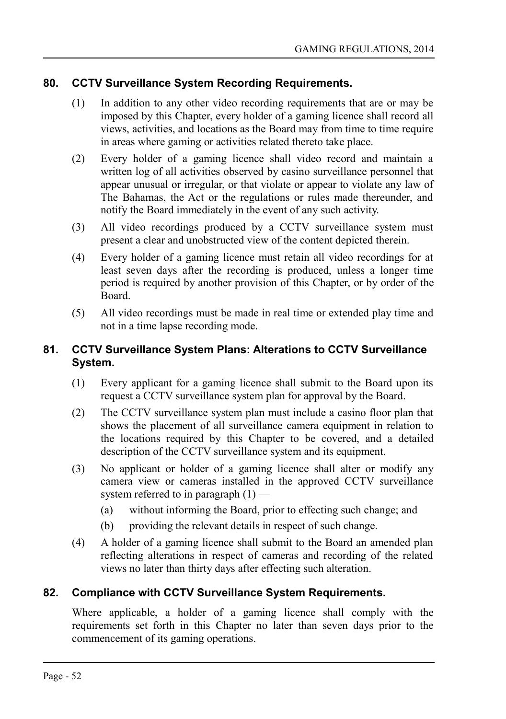### **80. CCTV Surveillance System Recording Requirements.**

- (1) In addition to any other video recording requirements that are or may be imposed by this Chapter, every holder of a gaming licence shall record all views, activities, and locations as the Board may from time to time require in areas where gaming or activities related thereto take place.
- (2) Every holder of a gaming licence shall video record and maintain a written log of all activities observed by casino surveillance personnel that appear unusual or irregular, or that violate or appear to violate any law of The Bahamas, the Act or the regulations or rules made thereunder, and notify the Board immediately in the event of any such activity.
- (3) All video recordings produced by a CCTV surveillance system must present a clear and unobstructed view of the content depicted therein.
- (4) Every holder of a gaming licence must retain all video recordings for at least seven days after the recording is produced, unless a longer time period is required by another provision of this Chapter, or by order of the Board.
- (5) All video recordings must be made in real time or extended play time and not in a time lapse recording mode.

## **81. CCTV Surveillance System Plans: Alterations to CCTV Surveillance System.**

- (1) Every applicant for a gaming licence shall submit to the Board upon its request a CCTV surveillance system plan for approval by the Board.
- (2) The CCTV surveillance system plan must include a casino floor plan that shows the placement of all surveillance camera equipment in relation to the locations required by this Chapter to be covered, and a detailed description of the CCTV surveillance system and its equipment.
- (3) No applicant or holder of a gaming licence shall alter or modify any camera view or cameras installed in the approved CCTV surveillance system referred to in paragraph  $(1)$  —
	- (a) without informing the Board, prior to effecting such change; and
	- (b) providing the relevant details in respect of such change.
- (4) A holder of a gaming licence shall submit to the Board an amended plan reflecting alterations in respect of cameras and recording of the related views no later than thirty days after effecting such alteration.

### **82. Compliance with CCTV Surveillance System Requirements.**

Where applicable, a holder of a gaming licence shall comply with the requirements set forth in this Chapter no later than seven days prior to the commencement of its gaming operations.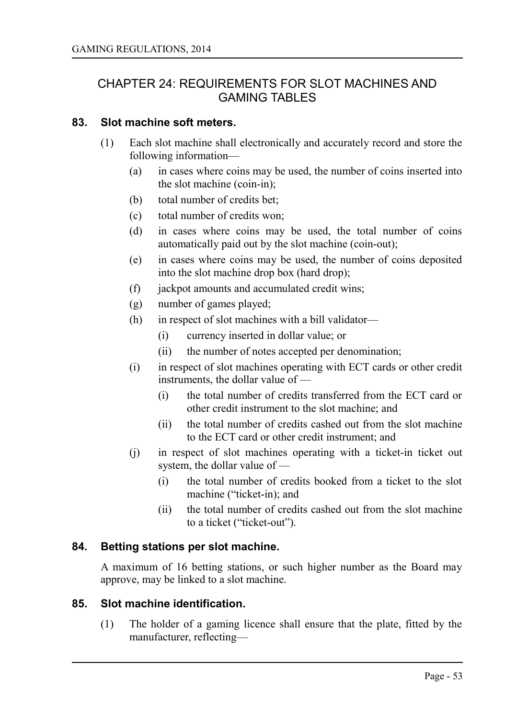## CHAPTER 24: REQUIREMENTS FOR SLOT MACHINES AND GAMING TABLES

#### **83. Slot machine soft meters.**

- (1) Each slot machine shall electronically and accurately record and store the following information—
	- (a) in cases where coins may be used, the number of coins inserted into the slot machine (coin-in);
	- (b) total number of credits bet;
	- (c) total number of credits won;
	- (d) in cases where coins may be used, the total number of coins automatically paid out by the slot machine (coin-out);
	- (e) in cases where coins may be used, the number of coins deposited into the slot machine drop box (hard drop);
	- (f) jackpot amounts and accumulated credit wins;
	- (g) number of games played;
	- (h) in respect of slot machines with a bill validator—
		- (i) currency inserted in dollar value; or
		- (ii) the number of notes accepted per denomination;
	- (i) in respect of slot machines operating with ECT cards or other credit instruments, the dollar value of —
		- (i) the total number of credits transferred from the ECT card or other credit instrument to the slot machine; and
		- (ii) the total number of credits cashed out from the slot machine to the ECT card or other credit instrument; and
	- (j) in respect of slot machines operating with a ticket-in ticket out system, the dollar value of —
		- (i) the total number of credits booked from a ticket to the slot machine ("ticket-in); and
		- (ii) the total number of credits cashed out from the slot machine to a ticket ("ticket-out").

#### **84. Betting stations per slot machine.**

A maximum of 16 betting stations, or such higher number as the Board may approve, may be linked to a slot machine.

#### **85. Slot machine identification.**

(1) The holder of a gaming licence shall ensure that the plate, fitted by the manufacturer, reflecting—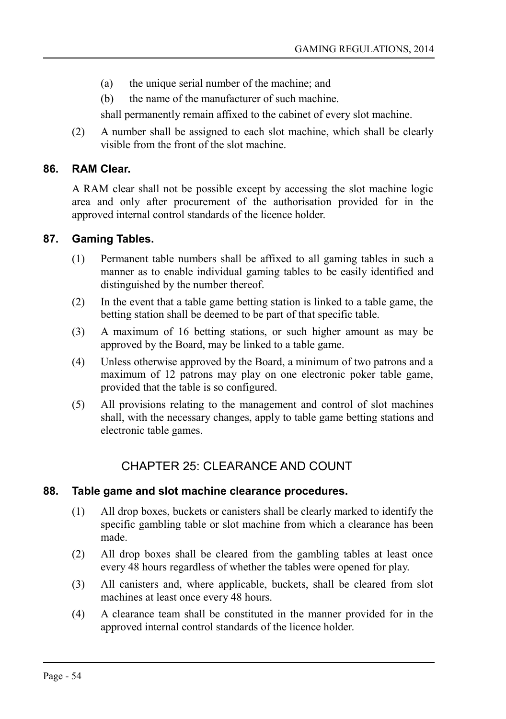- (a) the unique serial number of the machine; and
- (b) the name of the manufacturer of such machine.

shall permanently remain affixed to the cabinet of every slot machine.

(2) A number shall be assigned to each slot machine, which shall be clearly visible from the front of the slot machine.

#### **86. RAM Clear.**

A RAM clear shall not be possible except by accessing the slot machine logic area and only after procurement of the authorisation provided for in the approved internal control standards of the licence holder.

#### **87. Gaming Tables.**

- (1) Permanent table numbers shall be affixed to all gaming tables in such a manner as to enable individual gaming tables to be easily identified and distinguished by the number thereof.
- (2) In the event that a table game betting station is linked to a table game, the betting station shall be deemed to be part of that specific table.
- (3) A maximum of 16 betting stations, or such higher amount as may be approved by the Board, may be linked to a table game.
- (4) Unless otherwise approved by the Board, a minimum of two patrons and a maximum of 12 patrons may play on one electronic poker table game, provided that the table is so configured.
- (5) All provisions relating to the management and control of slot machines shall, with the necessary changes, apply to table game betting stations and electronic table games.

## CHAPTER 25: CLEARANCE AND COUNT

#### **88. Table game and slot machine clearance procedures.**

- (1) All drop boxes, buckets or canisters shall be clearly marked to identify the specific gambling table or slot machine from which a clearance has been made.
- (2) All drop boxes shall be cleared from the gambling tables at least once every 48 hours regardless of whether the tables were opened for play.
- (3) All canisters and, where applicable, buckets, shall be cleared from slot machines at least once every 48 hours.
- (4) A clearance team shall be constituted in the manner provided for in the approved internal control standards of the licence holder.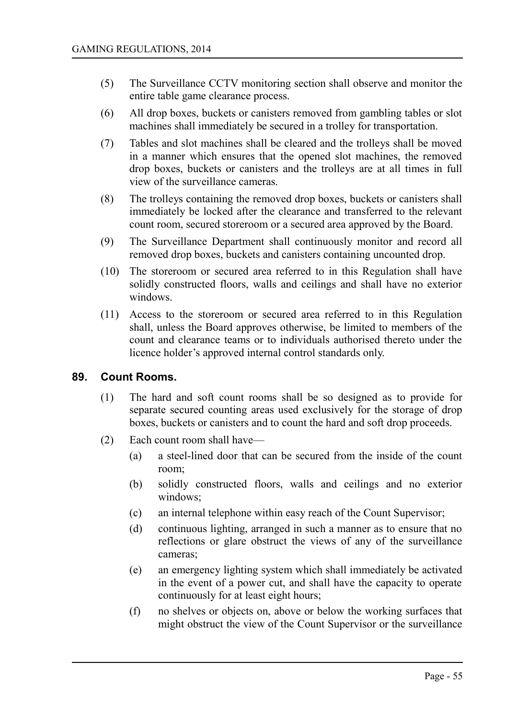- (5) The Surveillance CCTV monitoring section shall observe and monitor the entire table game clearance process.
- (6) All drop boxes, buckets or canisters removed from gambling tables or slot machines shall immediately be secured in a trolley for transportation.
- (7) Tables and slot machines shall be cleared and the trolleys shall be moved in a manner which ensures that the opened slot machines, the removed drop boxes, buckets or canisters and the trolleys are at all times in full view of the surveillance cameras.
- (8) The trolleys containing the removed drop boxes, buckets or canisters shall immediately be locked after the clearance and transferred to the relevant count room, secured storeroom or a secured area approved by the Board.
- (9) The Surveillance Department shall continuously monitor and record all removed drop boxes, buckets and canisters containing uncounted drop.
- (10) The storeroom or secured area referred to in this Regulation shall have solidly constructed floors, walls and ceilings and shall have no exterior windows.
- (11) Access to the storeroom or secured area referred to in this Regulation shall, unless the Board approves otherwise, be limited to members of the count and clearance teams or to individuals authorised thereto under the licence holder's approved internal control standards only.

#### **89. Count Rooms.**

- (1) The hard and soft count rooms shall be so designed as to provide for separate secured counting areas used exclusively for the storage of drop boxes, buckets or canisters and to count the hard and soft drop proceeds.
- (2) Each count room shall have—
	- (a) a steel-lined door that can be secured from the inside of the count room;
	- (b) solidly constructed floors, walls and ceilings and no exterior windows;
	- (c) an internal telephone within easy reach of the Count Supervisor;
	- (d) continuous lighting, arranged in such a manner as to ensure that no reflections or glare obstruct the views of any of the surveillance cameras;
	- (e) an emergency lighting system which shall immediately be activated in the event of a power cut, and shall have the capacity to operate continuously for at least eight hours;
	- (f) no shelves or objects on, above or below the working surfaces that might obstruct the view of the Count Supervisor or the surveillance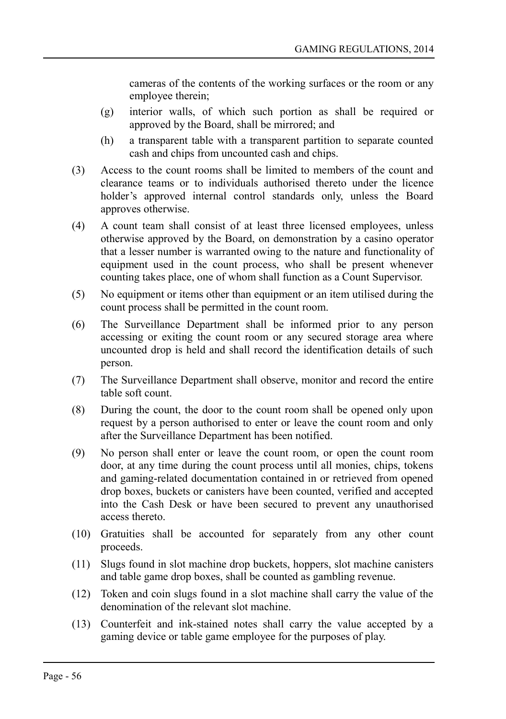cameras of the contents of the working surfaces or the room or any employee therein;

- (g) interior walls, of which such portion as shall be required or approved by the Board, shall be mirrored; and
- (h) a transparent table with a transparent partition to separate counted cash and chips from uncounted cash and chips.
- (3) Access to the count rooms shall be limited to members of the count and clearance teams or to individuals authorised thereto under the licence holder's approved internal control standards only, unless the Board approves otherwise.
- (4) A count team shall consist of at least three licensed employees, unless otherwise approved by the Board, on demonstration by a casino operator that a lesser number is warranted owing to the nature and functionality of equipment used in the count process, who shall be present whenever counting takes place, one of whom shall function as a Count Supervisor.
- (5) No equipment or items other than equipment or an item utilised during the count process shall be permitted in the count room.
- (6) The Surveillance Department shall be informed prior to any person accessing or exiting the count room or any secured storage area where uncounted drop is held and shall record the identification details of such person.
- (7) The Surveillance Department shall observe, monitor and record the entire table soft count.
- (8) During the count, the door to the count room shall be opened only upon request by a person authorised to enter or leave the count room and only after the Surveillance Department has been notified.
- (9) No person shall enter or leave the count room, or open the count room door, at any time during the count process until all monies, chips, tokens and gaming-related documentation contained in or retrieved from opened drop boxes, buckets or canisters have been counted, verified and accepted into the Cash Desk or have been secured to prevent any unauthorised access thereto.
- (10) Gratuities shall be accounted for separately from any other count proceeds.
- (11) Slugs found in slot machine drop buckets, hoppers, slot machine canisters and table game drop boxes, shall be counted as gambling revenue.
- (12) Token and coin slugs found in a slot machine shall carry the value of the denomination of the relevant slot machine.
- (13) Counterfeit and ink-stained notes shall carry the value accepted by a gaming device or table game employee for the purposes of play.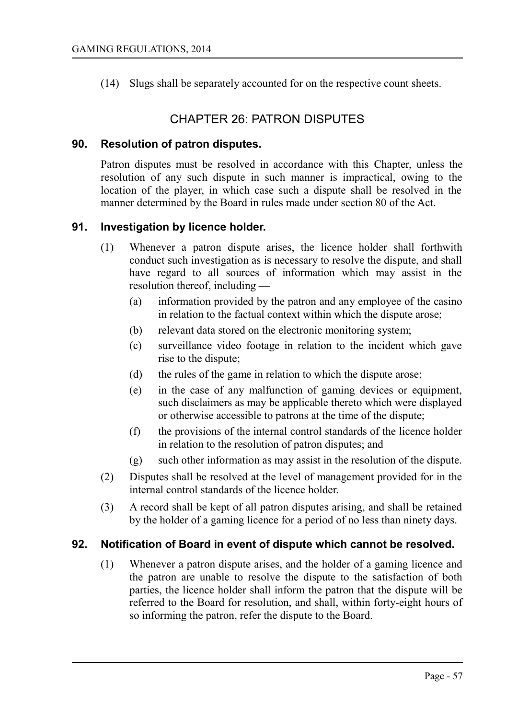(14) Slugs shall be separately accounted for on the respective count sheets.

## CHAPTER 26: PATRON DISPUTES

#### **90. Resolution of patron disputes.**

Patron disputes must be resolved in accordance with this Chapter, unless the resolution of any such dispute in such manner is impractical, owing to the location of the player, in which case such a dispute shall be resolved in the manner determined by the Board in rules made under section 80 of the Act.

#### **91. Investigation by licence holder.**

- (1) Whenever a patron dispute arises, the licence holder shall forthwith conduct such investigation as is necessary to resolve the dispute, and shall have regard to all sources of information which may assist in the resolution thereof, including —
	- (a) information provided by the patron and any employee of the casino in relation to the factual context within which the dispute arose;
	- (b) relevant data stored on the electronic monitoring system;
	- (c) surveillance video footage in relation to the incident which gave rise to the dispute;
	- (d) the rules of the game in relation to which the dispute arose;
	- (e) in the case of any malfunction of gaming devices or equipment, such disclaimers as may be applicable thereto which were displayed or otherwise accessible to patrons at the time of the dispute;
	- (f) the provisions of the internal control standards of the licence holder in relation to the resolution of patron disputes; and
	- (g) such other information as may assist in the resolution of the dispute.
- (2) Disputes shall be resolved at the level of management provided for in the internal control standards of the licence holder.
- (3) A record shall be kept of all patron disputes arising, and shall be retained by the holder of a gaming licence for a period of no less than ninety days.

#### **92. Notification of Board in event of dispute which cannot be resolved.**

(1) Whenever a patron dispute arises, and the holder of a gaming licence and the patron are unable to resolve the dispute to the satisfaction of both parties, the licence holder shall inform the patron that the dispute will be referred to the Board for resolution, and shall, within forty-eight hours of so informing the patron, refer the dispute to the Board.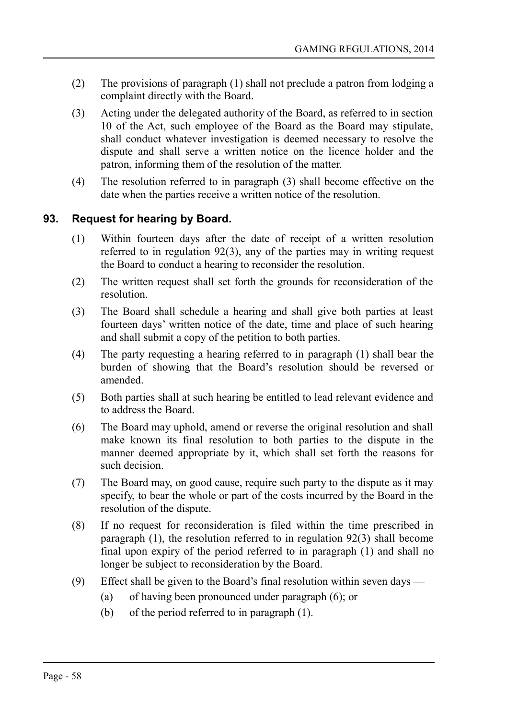- (2) The provisions of paragraph (1) shall not preclude a patron from lodging a complaint directly with the Board.
- (3) Acting under the delegated authority of the Board, as referred to in section 10 of the Act, such employee of the Board as the Board may stipulate, shall conduct whatever investigation is deemed necessary to resolve the dispute and shall serve a written notice on the licence holder and the patron, informing them of the resolution of the matter.
- (4) The resolution referred to in paragraph (3) shall become effective on the date when the parties receive a written notice of the resolution.

## **93. Request for hearing by Board.**

- (1) Within fourteen days after the date of receipt of a written resolution referred to in regulation 92(3), any of the parties may in writing request the Board to conduct a hearing to reconsider the resolution.
- (2) The written request shall set forth the grounds for reconsideration of the resolution.
- (3) The Board shall schedule a hearing and shall give both parties at least fourteen days' written notice of the date, time and place of such hearing and shall submit a copy of the petition to both parties.
- (4) The party requesting a hearing referred to in paragraph (1) shall bear the burden of showing that the Board's resolution should be reversed or amended.
- (5) Both parties shall at such hearing be entitled to lead relevant evidence and to address the Board.
- (6) The Board may uphold, amend or reverse the original resolution and shall make known its final resolution to both parties to the dispute in the manner deemed appropriate by it, which shall set forth the reasons for such decision.
- (7) The Board may, on good cause, require such party to the dispute as it may specify, to bear the whole or part of the costs incurred by the Board in the resolution of the dispute.
- (8) If no request for reconsideration is filed within the time prescribed in paragraph (1), the resolution referred to in regulation 92(3) shall become final upon expiry of the period referred to in paragraph (1) and shall no longer be subject to reconsideration by the Board.
- (9) Effect shall be given to the Board's final resolution within seven days
	- (a) of having been pronounced under paragraph (6); or
	- (b) of the period referred to in paragraph (1).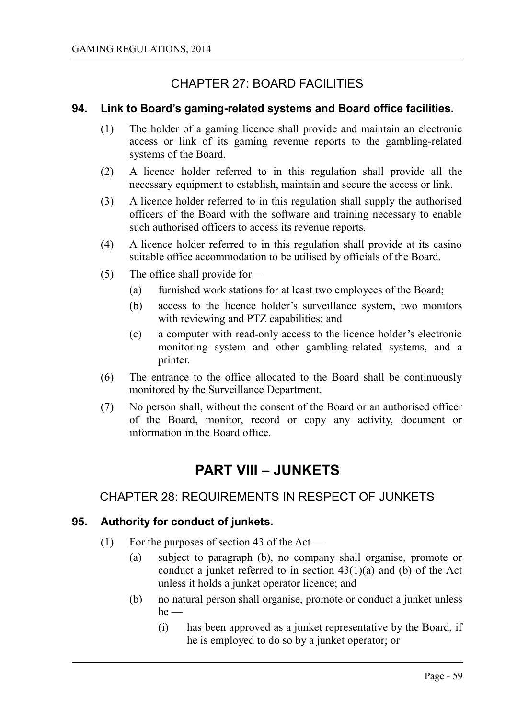# CHAPTER 27: BOARD FACILITIES

### **94. Link to Board's gaming-related systems and Board office facilities.**

- (1) The holder of a gaming licence shall provide and maintain an electronic access or link of its gaming revenue reports to the gambling-related systems of the Board.
- (2) A licence holder referred to in this regulation shall provide all the necessary equipment to establish, maintain and secure the access or link.
- (3) A licence holder referred to in this regulation shall supply the authorised officers of the Board with the software and training necessary to enable such authorised officers to access its revenue reports.
- (4) A licence holder referred to in this regulation shall provide at its casino suitable office accommodation to be utilised by officials of the Board.
- (5) The office shall provide for—
	- (a) furnished work stations for at least two employees of the Board;
	- (b) access to the licence holder's surveillance system, two monitors with reviewing and PTZ capabilities; and
	- (c) a computer with read-only access to the licence holder's electronic monitoring system and other gambling-related systems, and a printer.
- (6) The entrance to the office allocated to the Board shall be continuously monitored by the Surveillance Department.
- (7) No person shall, without the consent of the Board or an authorised officer of the Board, monitor, record or copy any activity, document or information in the Board office.

# **PART VIII – JUNKETS**

## CHAPTER 28: REQUIREMENTS IN RESPECT OF JUNKETS

#### **95. Authority for conduct of junkets.**

- (1) For the purposes of section 43 of the Act
	- (a) subject to paragraph (b), no company shall organise, promote or conduct a junket referred to in section 43(1)(a) and (b) of the Act unless it holds a junket operator licence; and
	- (b) no natural person shall organise, promote or conduct a junket unless  $he$  —
		- (i) has been approved as a junket representative by the Board, if he is employed to do so by a junket operator; or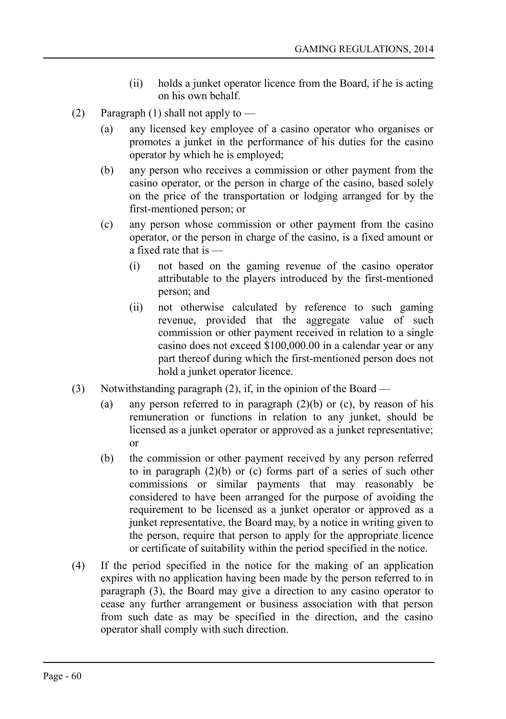- (ii) holds a junket operator licence from the Board, if he is acting on his own behalf.
- (2) Paragraph (1) shall not apply to  $-$ 
	- (a) any licensed key employee of a casino operator who organises or promotes a junket in the performance of his duties for the casino operator by which he is employed;
	- (b) any person who receives a commission or other payment from the casino operator, or the person in charge of the casino, based solely on the price of the transportation or lodging arranged for by the first-mentioned person; or
	- (c) any person whose commission or other payment from the casino operator, or the person in charge of the casino, is a fixed amount or a fixed rate that is —
		- (i) not based on the gaming revenue of the casino operator attributable to the players introduced by the first-mentioned person; and
		- (ii) not otherwise calculated by reference to such gaming revenue, provided that the aggregate value of such commission or other payment received in relation to a single casino does not exceed \$100,000.00 in a calendar year or any part thereof during which the first-mentioned person does not hold a junket operator licence.
- (3) Notwithstanding paragraph (2), if, in the opinion of the Board
	- (a) any person referred to in paragraph  $(2)(b)$  or (c), by reason of his remuneration or functions in relation to any junket, should be licensed as a junket operator or approved as a junket representative; or
	- (b) the commission or other payment received by any person referred to in paragraph (2)(b) or (c) forms part of a series of such other commissions or similar payments that may reasonably be considered to have been arranged for the purpose of avoiding the requirement to be licensed as a junket operator or approved as a junket representative, the Board may, by a notice in writing given to the person, require that person to apply for the appropriate licence or certificate of suitability within the period specified in the notice.
- (4) If the period specified in the notice for the making of an application expires with no application having been made by the person referred to in paragraph (3), the Board may give a direction to any casino operator to cease any further arrangement or business association with that person from such date as may be specified in the direction, and the casino operator shall comply with such direction.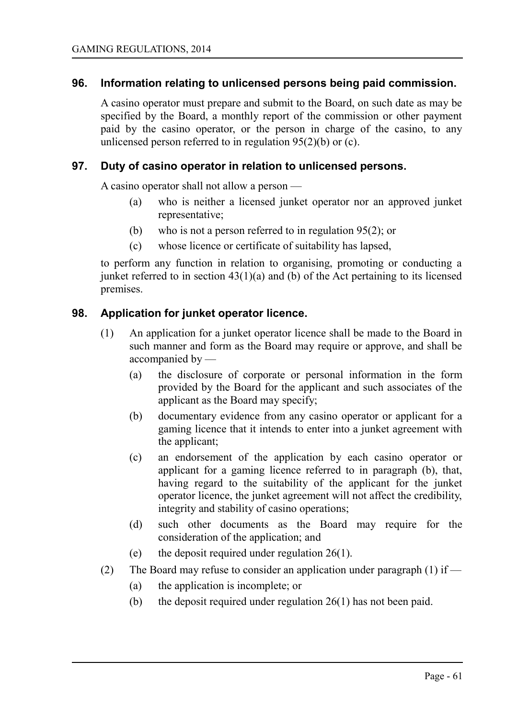#### **96. Information relating to unlicensed persons being paid commission.**

A casino operator must prepare and submit to the Board, on such date as may be specified by the Board, a monthly report of the commission or other payment paid by the casino operator, or the person in charge of the casino, to any unlicensed person referred to in regulation  $95(2)(b)$  or (c).

#### **97. Duty of casino operator in relation to unlicensed persons.**

A casino operator shall not allow a person —

- (a) who is neither a licensed junket operator nor an approved junket representative;
- (b) who is not a person referred to in regulation 95(2); or
- (c) whose licence or certificate of suitability has lapsed,

to perform any function in relation to organising, promoting or conducting a junket referred to in section  $43(1)(a)$  and (b) of the Act pertaining to its licensed premises.

#### **98. Application for junket operator licence.**

- (1) An application for a junket operator licence shall be made to the Board in such manner and form as the Board may require or approve, and shall be accompanied by —
	- (a) the disclosure of corporate or personal information in the form provided by the Board for the applicant and such associates of the applicant as the Board may specify;
	- (b) documentary evidence from any casino operator or applicant for a gaming licence that it intends to enter into a junket agreement with the applicant;
	- (c) an endorsement of the application by each casino operator or applicant for a gaming licence referred to in paragraph (b), that, having regard to the suitability of the applicant for the junket operator licence, the junket agreement will not affect the credibility, integrity and stability of casino operations;
	- (d) such other documents as the Board may require for the consideration of the application; and
	- (e) the deposit required under regulation 26(1).
- (2) The Board may refuse to consider an application under paragraph (1) if
	- (a) the application is incomplete; or
	- (b) the deposit required under regulation 26(1) has not been paid.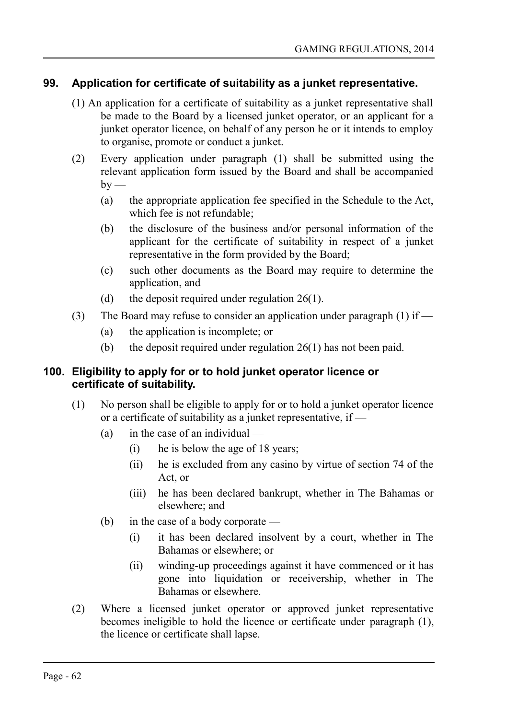## **99. Application for certificate of suitability as a junket representative.**

- (1) An application for a certificate of suitability as a junket representative shall be made to the Board by a licensed junket operator, or an applicant for a junket operator licence, on behalf of any person he or it intends to employ to organise, promote or conduct a junket.
- (2) Every application under paragraph (1) shall be submitted using the relevant application form issued by the Board and shall be accompanied  $by -$ 
	- (a) the appropriate application fee specified in the Schedule to the Act, which fee is not refundable;
	- (b) the disclosure of the business and/or personal information of the applicant for the certificate of suitability in respect of a junket representative in the form provided by the Board;
	- (c) such other documents as the Board may require to determine the application, and
	- (d) the deposit required under regulation  $26(1)$ .
- (3) The Board may refuse to consider an application under paragraph (1) if  $-$ 
	- (a) the application is incomplete; or
	- (b) the deposit required under regulation 26(1) has not been paid.

#### **100. Eligibility to apply for or to hold junket operator licence or certificate of suitability.**

- (1) No person shall be eligible to apply for or to hold a junket operator licence or a certificate of suitability as a junket representative, if —
	- (a) in the case of an individual  $-$ 
		- (i) he is below the age of 18 years;
		- (ii) he is excluded from any casino by virtue of section 74 of the Act, or
		- (iii) he has been declared bankrupt, whether in The Bahamas or elsewhere; and
	- (b) in the case of a body corporate
		- (i) it has been declared insolvent by a court, whether in The Bahamas or elsewhere; or
		- (ii) winding-up proceedings against it have commenced or it has gone into liquidation or receivership, whether in The Bahamas or elsewhere.
- (2) Where a licensed junket operator or approved junket representative becomes ineligible to hold the licence or certificate under paragraph (1), the licence or certificate shall lapse.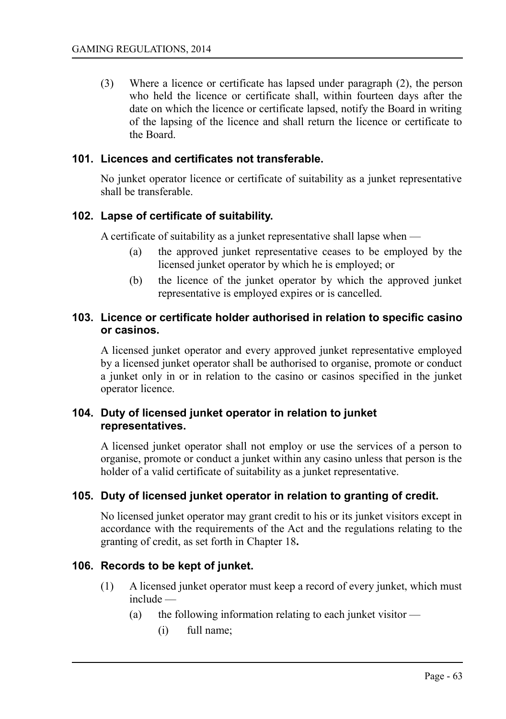(3) Where a licence or certificate has lapsed under paragraph (2), the person who held the licence or certificate shall, within fourteen days after the date on which the licence or certificate lapsed, notify the Board in writing of the lapsing of the licence and shall return the licence or certificate to the Board.

#### **101. Licences and certificates not transferable.**

No junket operator licence or certificate of suitability as a junket representative shall be transferable.

#### **102. Lapse of certificate of suitability.**

A certificate of suitability as a junket representative shall lapse when —

- (a) the approved junket representative ceases to be employed by the licensed junket operator by which he is employed; or
- (b) the licence of the junket operator by which the approved junket representative is employed expires or is cancelled.

#### **103. Licence or certificate holder authorised in relation to specific casino or casinos.**

A licensed junket operator and every approved junket representative employed by a licensed junket operator shall be authorised to organise, promote or conduct a junket only in or in relation to the casino or casinos specified in the junket operator licence.

#### **104. Duty of licensed junket operator in relation to junket representatives.**

A licensed junket operator shall not employ or use the services of a person to organise, promote or conduct a junket within any casino unless that person is the holder of a valid certificate of suitability as a junket representative.

#### **105. Duty of licensed junket operator in relation to granting of credit.**

No licensed junket operator may grant credit to his or its junket visitors except in accordance with the requirements of the Act and the regulations relating to the granting of credit, as set forth in Chapter 18**.**

#### **106. Records to be kept of junket.**

- (1) A licensed junket operator must keep a record of every junket, which must include —
	- (a) the following information relating to each junket visitor  $-$ 
		- (i) full name;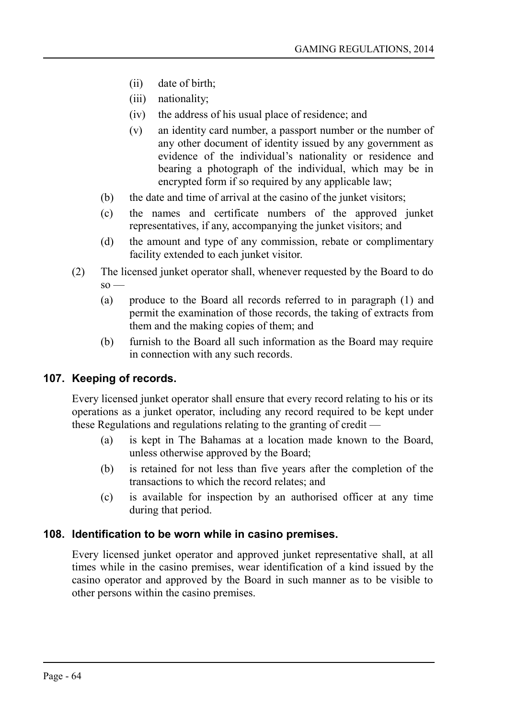- (ii) date of birth;
- (iii) nationality;
- (iv) the address of his usual place of residence; and
- (v) an identity card number, a passport number or the number of any other document of identity issued by any government as evidence of the individual's nationality or residence and bearing a photograph of the individual, which may be in encrypted form if so required by any applicable law;
- (b) the date and time of arrival at the casino of the junket visitors;
- (c) the names and certificate numbers of the approved junket representatives, if any, accompanying the junket visitors; and
- (d) the amount and type of any commission, rebate or complimentary facility extended to each junket visitor.
- (2) The licensed junket operator shall, whenever requested by the Board to do  $\mathrm{so}$  —
	- (a) produce to the Board all records referred to in paragraph (1) and permit the examination of those records, the taking of extracts from them and the making copies of them; and
	- (b) furnish to the Board all such information as the Board may require in connection with any such records.

### **107. Keeping of records.**

Every licensed junket operator shall ensure that every record relating to his or its operations as a junket operator, including any record required to be kept under these Regulations and regulations relating to the granting of credit —

- (a) is kept in The Bahamas at a location made known to the Board, unless otherwise approved by the Board;
- (b) is retained for not less than five years after the completion of the transactions to which the record relates; and
- (c) is available for inspection by an authorised officer at any time during that period.

#### **108. Identification to be worn while in casino premises.**

Every licensed junket operator and approved junket representative shall, at all times while in the casino premises, wear identification of a kind issued by the casino operator and approved by the Board in such manner as to be visible to other persons within the casino premises.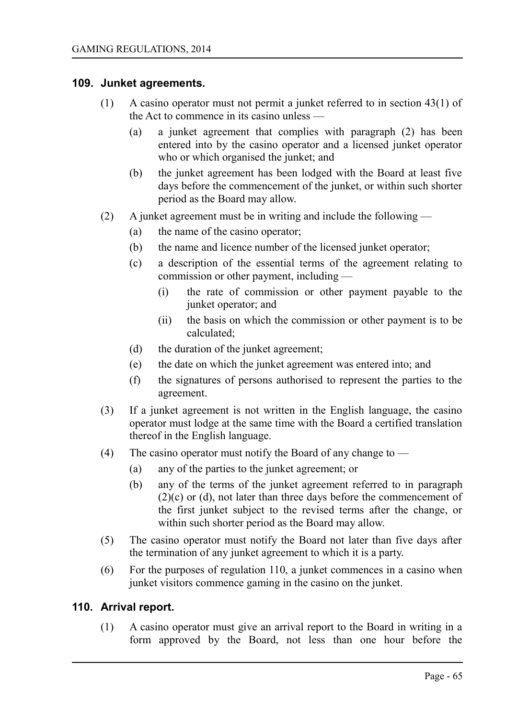#### **109. Junket agreements.**

- (1) A casino operator must not permit a junket referred to in section 43(1) of the Act to commence in its casino unless —
	- (a) a junket agreement that complies with paragraph (2) has been entered into by the casino operator and a licensed junket operator who or which organised the junket; and
	- (b) the junket agreement has been lodged with the Board at least five days before the commencement of the junket, or within such shorter period as the Board may allow.
- (2) A junket agreement must be in writing and include the following
	- (a) the name of the casino operator;
	- (b) the name and licence number of the licensed junket operator;
	- (c) a description of the essential terms of the agreement relating to commission or other payment, including —
		- (i) the rate of commission or other payment payable to the junket operator; and
		- (ii) the basis on which the commission or other payment is to be calculated;
	- (d) the duration of the junket agreement;
	- (e) the date on which the junket agreement was entered into; and
	- (f) the signatures of persons authorised to represent the parties to the agreement.
- (3) If a junket agreement is not written in the English language, the casino operator must lodge at the same time with the Board a certified translation thereof in the English language.
- (4) The casino operator must notify the Board of any change to
	- (a) any of the parties to the junket agreement; or
	- (b) any of the terms of the junket agreement referred to in paragraph (2)(c) or (d), not later than three days before the commencement of the first junket subject to the revised terms after the change, or within such shorter period as the Board may allow.
- (5) The casino operator must notify the Board not later than five days after the termination of any junket agreement to which it is a party.
- (6) For the purposes of regulation 110, a junket commences in a casino when junket visitors commence gaming in the casino on the junket.

#### **110. Arrival report.**

(1) A casino operator must give an arrival report to the Board in writing in a form approved by the Board, not less than one hour before the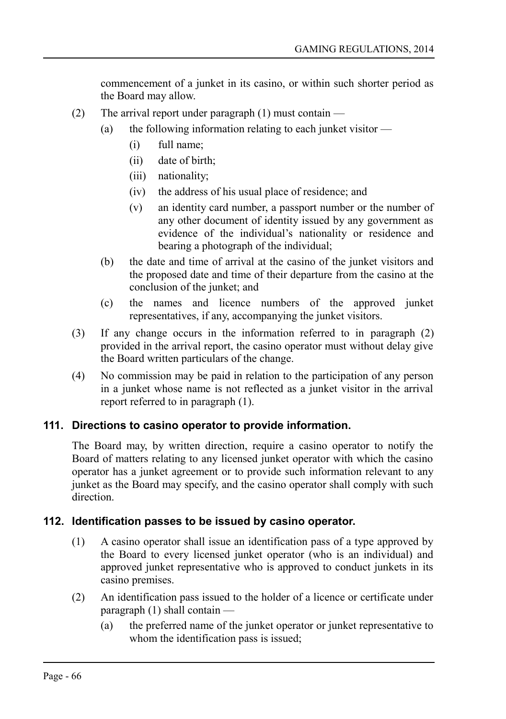commencement of a junket in its casino, or within such shorter period as the Board may allow.

- (2) The arrival report under paragraph (1) must contain
	- (a) the following information relating to each junket visitor  $\overline{\phantom{a}}$ 
		- (i) full name;
		- (ii) date of birth;
		- (iii) nationality;
		- (iv) the address of his usual place of residence; and
		- (v) an identity card number, a passport number or the number of any other document of identity issued by any government as evidence of the individual's nationality or residence and bearing a photograph of the individual;
		- (b) the date and time of arrival at the casino of the junket visitors and the proposed date and time of their departure from the casino at the conclusion of the junket; and
		- (c) the names and licence numbers of the approved junket representatives, if any, accompanying the junket visitors.
- (3) If any change occurs in the information referred to in paragraph (2) provided in the arrival report, the casino operator must without delay give the Board written particulars of the change.
- (4) No commission may be paid in relation to the participation of any person in a junket whose name is not reflected as a junket visitor in the arrival report referred to in paragraph (1).

### **111. Directions to casino operator to provide information.**

The Board may, by written direction, require a casino operator to notify the Board of matters relating to any licensed junket operator with which the casino operator has a junket agreement or to provide such information relevant to any junket as the Board may specify, and the casino operator shall comply with such direction.

### **112. Identification passes to be issued by casino operator.**

- (1) A casino operator shall issue an identification pass of a type approved by the Board to every licensed junket operator (who is an individual) and approved junket representative who is approved to conduct junkets in its casino premises.
- (2) An identification pass issued to the holder of a licence or certificate under paragraph (1) shall contain —
	- (a) the preferred name of the junket operator or junket representative to whom the identification pass is issued;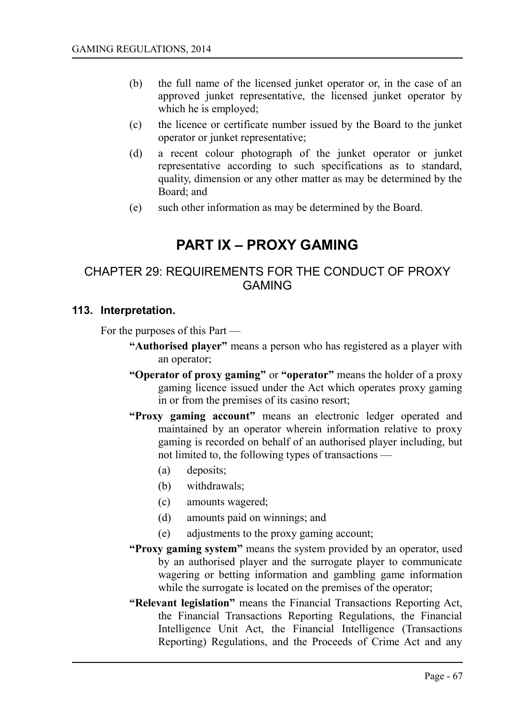- (b) the full name of the licensed junket operator or, in the case of an approved junket representative, the licensed junket operator by which he is employed;
- (c) the licence or certificate number issued by the Board to the junket operator or junket representative;
- (d) a recent colour photograph of the junket operator or junket representative according to such specifications as to standard, quality, dimension or any other matter as may be determined by the Board; and
- (e) such other information as may be determined by the Board.

# **PART IX – PROXY GAMING**

## CHAPTER 29: REQUIREMENTS FOR THE CONDUCT OF PROXY GAMING

#### **113. Interpretation.**

For the purposes of this Part —

- **"Authorised player"** means a person who has registered as a player with an operator;
- **"Operator of proxy gaming"** or **"operator"** means the holder of a proxy gaming licence issued under the Act which operates proxy gaming in or from the premises of its casino resort;
- **"Proxy gaming account"** means an electronic ledger operated and maintained by an operator wherein information relative to proxy gaming is recorded on behalf of an authorised player including, but not limited to, the following types of transactions —
	- (a) deposits;
	- (b) withdrawals;
	- (c) amounts wagered;
	- (d) amounts paid on winnings; and
	- (e) adjustments to the proxy gaming account;
- **"Proxy gaming system"** means the system provided by an operator, used by an authorised player and the surrogate player to communicate wagering or betting information and gambling game information while the surrogate is located on the premises of the operator;
- **"Relevant legislation"** means the Financial Transactions Reporting Act, the Financial Transactions Reporting Regulations, the Financial Intelligence Unit Act, the Financial Intelligence (Transactions Reporting) Regulations, and the Proceeds of Crime Act and any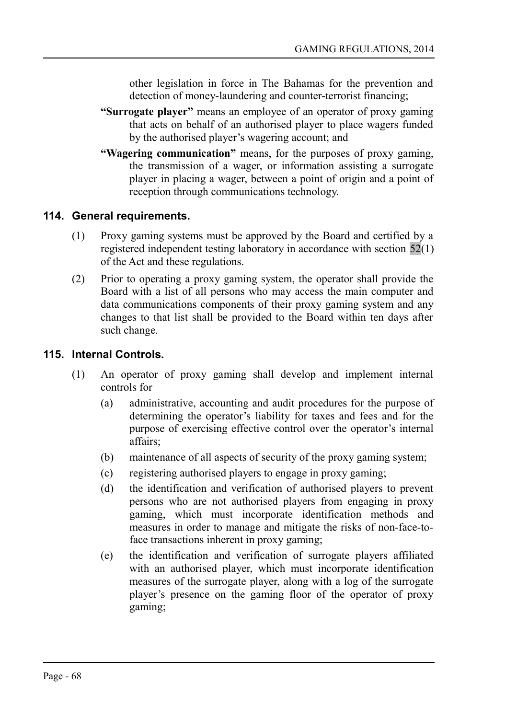other legislation in force in The Bahamas for the prevention and detection of money-laundering and counter-terrorist financing;

- **"Surrogate player"** means an employee of an operator of proxy gaming that acts on behalf of an authorised player to place wagers funded by the authorised player's wagering account; and
- **"Wagering communication"** means, for the purposes of proxy gaming, the transmission of a wager, or information assisting a surrogate player in placing a wager, between a point of origin and a point of reception through communications technology.

#### **114. General requirements.**

- (1) Proxy gaming systems must be approved by the Board and certified by a registered independent testing laboratory in accordance with section 52(1) of the Act and these regulations.
- (2) Prior to operating a proxy gaming system, the operator shall provide the Board with a list of all persons who may access the main computer and data communications components of their proxy gaming system and any changes to that list shall be provided to the Board within ten days after such change.

#### **115. Internal Controls.**

- (1) An operator of proxy gaming shall develop and implement internal controls for —
	- (a) administrative, accounting and audit procedures for the purpose of determining the operator's liability for taxes and fees and for the purpose of exercising effective control over the operator's internal affairs;
	- (b) maintenance of all aspects of security of the proxy gaming system;
	- (c) registering authorised players to engage in proxy gaming;
	- (d) the identification and verification of authorised players to prevent persons who are not authorised players from engaging in proxy gaming, which must incorporate identification methods and measures in order to manage and mitigate the risks of non-face-toface transactions inherent in proxy gaming;
	- (e) the identification and verification of surrogate players affiliated with an authorised player, which must incorporate identification measures of the surrogate player, along with a log of the surrogate player's presence on the gaming floor of the operator of proxy gaming;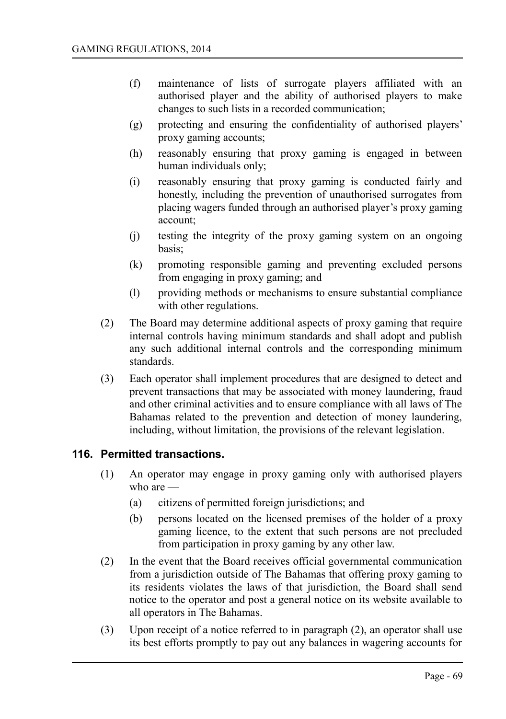- (f) maintenance of lists of surrogate players affiliated with an authorised player and the ability of authorised players to make changes to such lists in a recorded communication;
- (g) protecting and ensuring the confidentiality of authorised players' proxy gaming accounts;
- (h) reasonably ensuring that proxy gaming is engaged in between human individuals only;
- (i) reasonably ensuring that proxy gaming is conducted fairly and honestly, including the prevention of unauthorised surrogates from placing wagers funded through an authorised player's proxy gaming account;
- (j) testing the integrity of the proxy gaming system on an ongoing basis;
- (k) promoting responsible gaming and preventing excluded persons from engaging in proxy gaming; and
- (l) providing methods or mechanisms to ensure substantial compliance with other regulations.
- (2) The Board may determine additional aspects of proxy gaming that require internal controls having minimum standards and shall adopt and publish any such additional internal controls and the corresponding minimum standards.
- (3) Each operator shall implement procedures that are designed to detect and prevent transactions that may be associated with money laundering, fraud and other criminal activities and to ensure compliance with all laws of The Bahamas related to the prevention and detection of money laundering, including, without limitation, the provisions of the relevant legislation.

#### **116. Permitted transactions.**

- (1) An operator may engage in proxy gaming only with authorised players who are —
	- (a) citizens of permitted foreign jurisdictions; and
	- (b) persons located on the licensed premises of the holder of a proxy gaming licence, to the extent that such persons are not precluded from participation in proxy gaming by any other law.
- (2) In the event that the Board receives official governmental communication from a jurisdiction outside of The Bahamas that offering proxy gaming to its residents violates the laws of that jurisdiction, the Board shall send notice to the operator and post a general notice on its website available to all operators in The Bahamas.
- (3) Upon receipt of a notice referred to in paragraph (2), an operator shall use its best efforts promptly to pay out any balances in wagering accounts for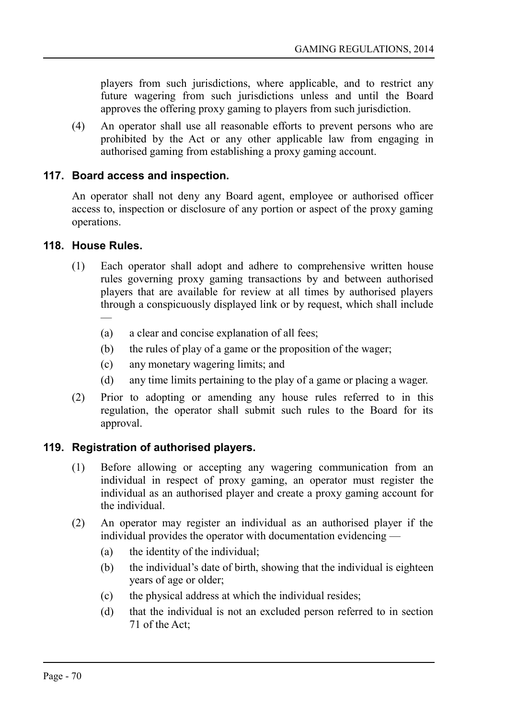players from such jurisdictions, where applicable, and to restrict any future wagering from such jurisdictions unless and until the Board approves the offering proxy gaming to players from such jurisdiction.

(4) An operator shall use all reasonable efforts to prevent persons who are prohibited by the Act or any other applicable law from engaging in authorised gaming from establishing a proxy gaming account.

#### **117. Board access and inspection.**

An operator shall not deny any Board agent, employee or authorised officer access to, inspection or disclosure of any portion or aspect of the proxy gaming operations.

#### **118. House Rules.**

- (1) Each operator shall adopt and adhere to comprehensive written house rules governing proxy gaming transactions by and between authorised players that are available for review at all times by authorised players through a conspicuously displayed link or by request, which shall include —
	- (a) a clear and concise explanation of all fees;
	- (b) the rules of play of a game or the proposition of the wager;
	- (c) any monetary wagering limits; and
	- (d) any time limits pertaining to the play of a game or placing a wager.
- (2) Prior to adopting or amending any house rules referred to in this regulation, the operator shall submit such rules to the Board for its approval.

#### **119. Registration of authorised players.**

- (1) Before allowing or accepting any wagering communication from an individual in respect of proxy gaming, an operator must register the individual as an authorised player and create a proxy gaming account for the individual.
- (2) An operator may register an individual as an authorised player if the individual provides the operator with documentation evidencing —
	- (a) the identity of the individual;
	- (b) the individual's date of birth, showing that the individual is eighteen years of age or older;
	- (c) the physical address at which the individual resides;
	- (d) that the individual is not an excluded person referred to in section 71 of the Act;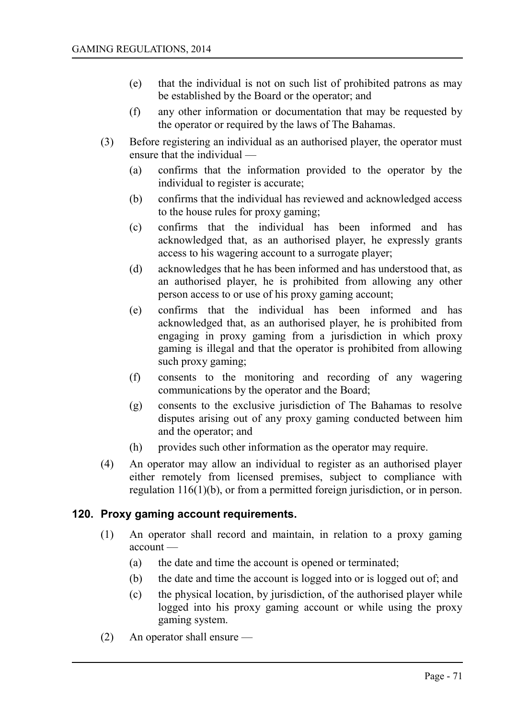- (e) that the individual is not on such list of prohibited patrons as may be established by the Board or the operator; and
- (f) any other information or documentation that may be requested by the operator or required by the laws of The Bahamas.
- (3) Before registering an individual as an authorised player, the operator must ensure that the individual —
	- (a) confirms that the information provided to the operator by the individual to register is accurate;
	- (b) confirms that the individual has reviewed and acknowledged access to the house rules for proxy gaming;
	- (c) confirms that the individual has been informed and has acknowledged that, as an authorised player, he expressly grants access to his wagering account to a surrogate player;
	- (d) acknowledges that he has been informed and has understood that, as an authorised player, he is prohibited from allowing any other person access to or use of his proxy gaming account;
	- (e) confirms that the individual has been informed and has acknowledged that, as an authorised player, he is prohibited from engaging in proxy gaming from a jurisdiction in which proxy gaming is illegal and that the operator is prohibited from allowing such proxy gaming;
	- (f) consents to the monitoring and recording of any wagering communications by the operator and the Board;
	- (g) consents to the exclusive jurisdiction of The Bahamas to resolve disputes arising out of any proxy gaming conducted between him and the operator; and
	- (h) provides such other information as the operator may require.
- (4) An operator may allow an individual to register as an authorised player either remotely from licensed premises, subject to compliance with regulation 116(1)(b), or from a permitted foreign jurisdiction, or in person.

#### **120. Proxy gaming account requirements.**

- (1) An operator shall record and maintain, in relation to a proxy gaming account —
	- (a) the date and time the account is opened or terminated;
	- (b) the date and time the account is logged into or is logged out of; and
	- (c) the physical location, by jurisdiction, of the authorised player while logged into his proxy gaming account or while using the proxy gaming system.
- (2) An operator shall ensure —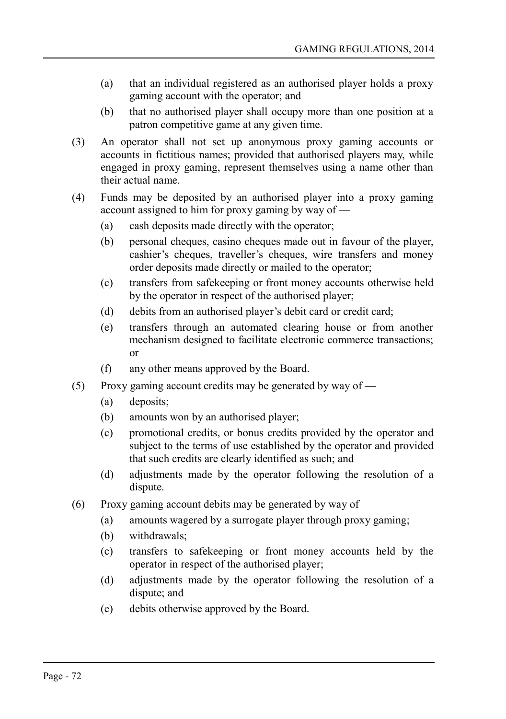- (a) that an individual registered as an authorised player holds a proxy gaming account with the operator; and
- (b) that no authorised player shall occupy more than one position at a patron competitive game at any given time.
- (3) An operator shall not set up anonymous proxy gaming accounts or accounts in fictitious names; provided that authorised players may, while engaged in proxy gaming, represent themselves using a name other than their actual name.
- (4) Funds may be deposited by an authorised player into a proxy gaming account assigned to him for proxy gaming by way of —
	- (a) cash deposits made directly with the operator;
	- (b) personal cheques, casino cheques made out in favour of the player, cashier's cheques, traveller's cheques, wire transfers and money order deposits made directly or mailed to the operator;
	- (c) transfers from safekeeping or front money accounts otherwise held by the operator in respect of the authorised player;
	- (d) debits from an authorised player's debit card or credit card;
	- (e) transfers through an automated clearing house or from another mechanism designed to facilitate electronic commerce transactions; or
	- (f) any other means approved by the Board.
- (5) Proxy gaming account credits may be generated by way of
	- (a) deposits;
	- (b) amounts won by an authorised player;
	- (c) promotional credits, or bonus credits provided by the operator and subject to the terms of use established by the operator and provided that such credits are clearly identified as such; and
	- (d) adjustments made by the operator following the resolution of a dispute.
- (6) Proxy gaming account debits may be generated by way of  $-$ 
	- (a) amounts wagered by a surrogate player through proxy gaming;
	- (b) withdrawals;
	- (c) transfers to safekeeping or front money accounts held by the operator in respect of the authorised player;
	- (d) adjustments made by the operator following the resolution of a dispute; and
	- (e) debits otherwise approved by the Board.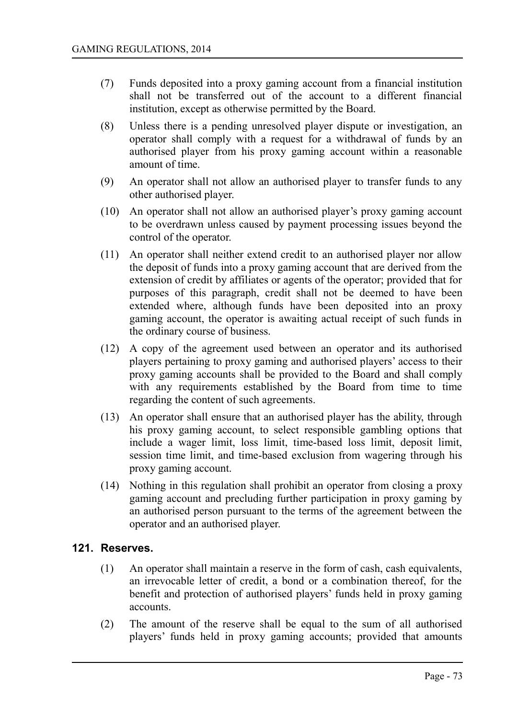- (7) Funds deposited into a proxy gaming account from a financial institution shall not be transferred out of the account to a different financial institution, except as otherwise permitted by the Board.
- (8) Unless there is a pending unresolved player dispute or investigation, an operator shall comply with a request for a withdrawal of funds by an authorised player from his proxy gaming account within a reasonable amount of time.
- (9) An operator shall not allow an authorised player to transfer funds to any other authorised player.
- (10) An operator shall not allow an authorised player's proxy gaming account to be overdrawn unless caused by payment processing issues beyond the control of the operator.
- (11) An operator shall neither extend credit to an authorised player nor allow the deposit of funds into a proxy gaming account that are derived from the extension of credit by affiliates or agents of the operator; provided that for purposes of this paragraph, credit shall not be deemed to have been extended where, although funds have been deposited into an proxy gaming account, the operator is awaiting actual receipt of such funds in the ordinary course of business.
- (12) A copy of the agreement used between an operator and its authorised players pertaining to proxy gaming and authorised players' access to their proxy gaming accounts shall be provided to the Board and shall comply with any requirements established by the Board from time to time regarding the content of such agreements.
- (13) An operator shall ensure that an authorised player has the ability, through his proxy gaming account, to select responsible gambling options that include a wager limit, loss limit, time-based loss limit, deposit limit, session time limit, and time-based exclusion from wagering through his proxy gaming account.
- (14) Nothing in this regulation shall prohibit an operator from closing a proxy gaming account and precluding further participation in proxy gaming by an authorised person pursuant to the terms of the agreement between the operator and an authorised player.

#### **121. Reserves.**

- (1) An operator shall maintain a reserve in the form of cash, cash equivalents, an irrevocable letter of credit, a bond or a combination thereof, for the benefit and protection of authorised players' funds held in proxy gaming accounts.
- (2) The amount of the reserve shall be equal to the sum of all authorised players' funds held in proxy gaming accounts; provided that amounts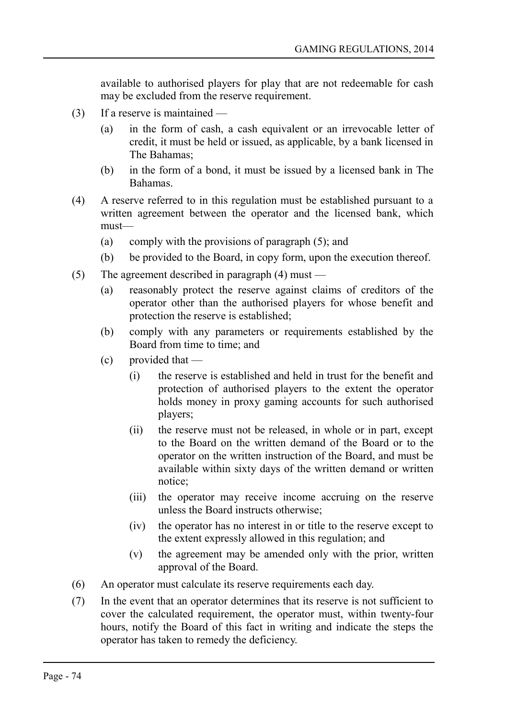available to authorised players for play that are not redeemable for cash may be excluded from the reserve requirement.

- (3) If a reserve is maintained
	- (a) in the form of cash, a cash equivalent or an irrevocable letter of credit, it must be held or issued, as applicable, by a bank licensed in The Bahamas;
	- (b) in the form of a bond, it must be issued by a licensed bank in The Bahamas.
- (4) A reserve referred to in this regulation must be established pursuant to a written agreement between the operator and the licensed bank, which must—
	- (a) comply with the provisions of paragraph (5); and
	- (b) be provided to the Board, in copy form, upon the execution thereof.
- (5) The agreement described in paragraph (4) must
	- (a) reasonably protect the reserve against claims of creditors of the operator other than the authorised players for whose benefit and protection the reserve is established;
	- (b) comply with any parameters or requirements established by the Board from time to time; and
	- (c) provided that
		- (i) the reserve is established and held in trust for the benefit and protection of authorised players to the extent the operator holds money in proxy gaming accounts for such authorised players;
		- (ii) the reserve must not be released, in whole or in part, except to the Board on the written demand of the Board or to the operator on the written instruction of the Board, and must be available within sixty days of the written demand or written notice;
		- (iii) the operator may receive income accruing on the reserve unless the Board instructs otherwise;
		- (iv) the operator has no interest in or title to the reserve except to the extent expressly allowed in this regulation; and
		- (v) the agreement may be amended only with the prior, written approval of the Board.
- (6) An operator must calculate its reserve requirements each day.
- (7) In the event that an operator determines that its reserve is not sufficient to cover the calculated requirement, the operator must, within twenty-four hours, notify the Board of this fact in writing and indicate the steps the operator has taken to remedy the deficiency.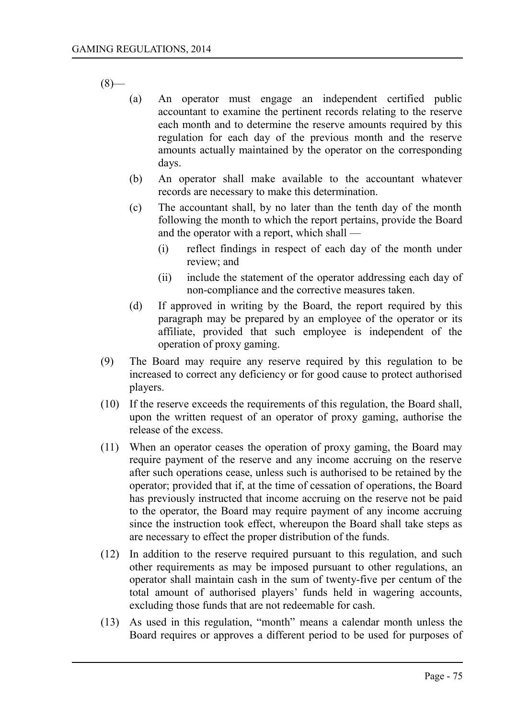$(8)$ —

- (a) An operator must engage an independent certified public accountant to examine the pertinent records relating to the reserve each month and to determine the reserve amounts required by this regulation for each day of the previous month and the reserve amounts actually maintained by the operator on the corresponding days.
- (b) An operator shall make available to the accountant whatever records are necessary to make this determination.
- (c) The accountant shall, by no later than the tenth day of the month following the month to which the report pertains, provide the Board and the operator with a report, which shall —
	- (i) reflect findings in respect of each day of the month under review; and
	- (ii) include the statement of the operator addressing each day of non-compliance and the corrective measures taken.
- (d) If approved in writing by the Board, the report required by this paragraph may be prepared by an employee of the operator or its affiliate, provided that such employee is independent of the operation of proxy gaming.
- (9) The Board may require any reserve required by this regulation to be increased to correct any deficiency or for good cause to protect authorised players.
- (10) If the reserve exceeds the requirements of this regulation, the Board shall, upon the written request of an operator of proxy gaming, authorise the release of the excess.
- (11) When an operator ceases the operation of proxy gaming, the Board may require payment of the reserve and any income accruing on the reserve after such operations cease, unless such is authorised to be retained by the operator; provided that if, at the time of cessation of operations, the Board has previously instructed that income accruing on the reserve not be paid to the operator, the Board may require payment of any income accruing since the instruction took effect, whereupon the Board shall take steps as are necessary to effect the proper distribution of the funds.
- (12) In addition to the reserve required pursuant to this regulation, and such other requirements as may be imposed pursuant to other regulations, an operator shall maintain cash in the sum of twenty-five per centum of the total amount of authorised players' funds held in wagering accounts, excluding those funds that are not redeemable for cash.
- (13) As used in this regulation, "month" means a calendar month unless the Board requires or approves a different period to be used for purposes of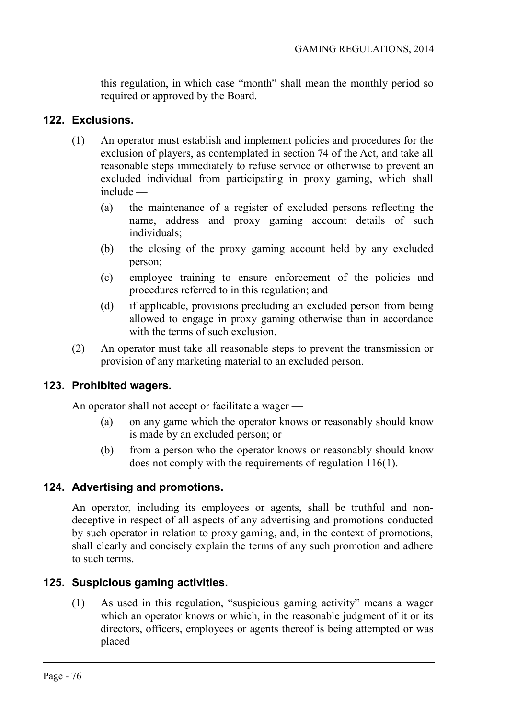this regulation, in which case "month" shall mean the monthly period so required or approved by the Board.

### **122. Exclusions.**

- (1) An operator must establish and implement policies and procedures for the exclusion of players, as contemplated in section 74 of the Act, and take all reasonable steps immediately to refuse service or otherwise to prevent an excluded individual from participating in proxy gaming, which shall include —
	- (a) the maintenance of a register of excluded persons reflecting the name, address and proxy gaming account details of such individuals;
	- (b) the closing of the proxy gaming account held by any excluded person;
	- (c) employee training to ensure enforcement of the policies and procedures referred to in this regulation; and
	- (d) if applicable, provisions precluding an excluded person from being allowed to engage in proxy gaming otherwise than in accordance with the terms of such exclusion.
- (2) An operator must take all reasonable steps to prevent the transmission or provision of any marketing material to an excluded person.

#### **123. Prohibited wagers.**

An operator shall not accept or facilitate a wager —

- (a) on any game which the operator knows or reasonably should know is made by an excluded person; or
- (b) from a person who the operator knows or reasonably should know does not comply with the requirements of regulation 116(1).

#### **124. Advertising and promotions.**

An operator, including its employees or agents, shall be truthful and nondeceptive in respect of all aspects of any advertising and promotions conducted by such operator in relation to proxy gaming, and, in the context of promotions, shall clearly and concisely explain the terms of any such promotion and adhere to such terms.

# **125. Suspicious gaming activities.**

(1) As used in this regulation, "suspicious gaming activity" means a wager which an operator knows or which, in the reasonable judgment of it or its directors, officers, employees or agents thereof is being attempted or was placed —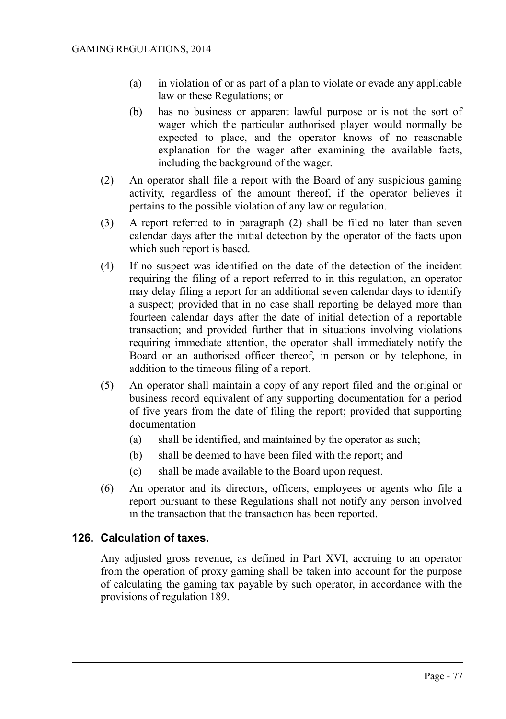- (a) in violation of or as part of a plan to violate or evade any applicable law or these Regulations; or
- (b) has no business or apparent lawful purpose or is not the sort of wager which the particular authorised player would normally be expected to place, and the operator knows of no reasonable explanation for the wager after examining the available facts, including the background of the wager.
- (2) An operator shall file a report with the Board of any suspicious gaming activity, regardless of the amount thereof, if the operator believes it pertains to the possible violation of any law or regulation.
- (3) A report referred to in paragraph (2) shall be filed no later than seven calendar days after the initial detection by the operator of the facts upon which such report is based.
- (4) If no suspect was identified on the date of the detection of the incident requiring the filing of a report referred to in this regulation, an operator may delay filing a report for an additional seven calendar days to identify a suspect; provided that in no case shall reporting be delayed more than fourteen calendar days after the date of initial detection of a reportable transaction; and provided further that in situations involving violations requiring immediate attention, the operator shall immediately notify the Board or an authorised officer thereof, in person or by telephone, in addition to the timeous filing of a report.
- (5) An operator shall maintain a copy of any report filed and the original or business record equivalent of any supporting documentation for a period of five years from the date of filing the report; provided that supporting documentation —
	- (a) shall be identified, and maintained by the operator as such;
	- (b) shall be deemed to have been filed with the report; and
	- (c) shall be made available to the Board upon request.
- (6) An operator and its directors, officers, employees or agents who file a report pursuant to these Regulations shall not notify any person involved in the transaction that the transaction has been reported.

# **126. Calculation of taxes.**

Any adjusted gross revenue, as defined in Part XVI, accruing to an operator from the operation of proxy gaming shall be taken into account for the purpose of calculating the gaming tax payable by such operator, in accordance with the provisions of regulation 189.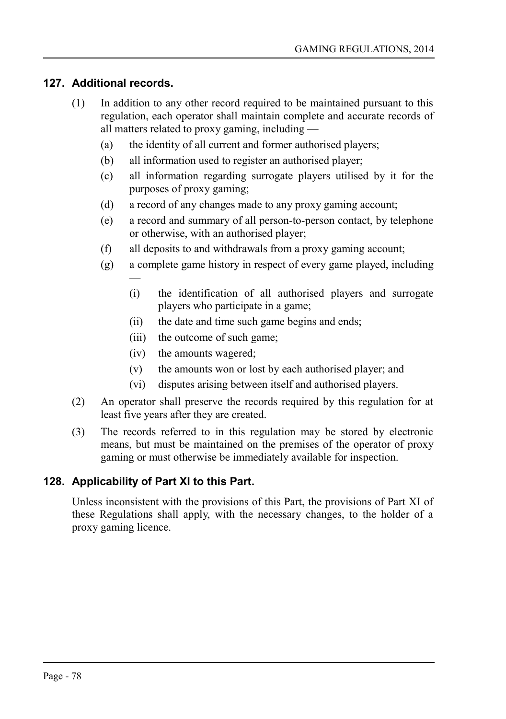### **127. Additional records.**

- (1) In addition to any other record required to be maintained pursuant to this regulation, each operator shall maintain complete and accurate records of all matters related to proxy gaming, including —
	- (a) the identity of all current and former authorised players;
	- (b) all information used to register an authorised player;
	- (c) all information regarding surrogate players utilised by it for the purposes of proxy gaming;
	- (d) a record of any changes made to any proxy gaming account;
	- (e) a record and summary of all person-to-person contact, by telephone or otherwise, with an authorised player;
	- (f) all deposits to and withdrawals from a proxy gaming account;
	- (g) a complete game history in respect of every game played, including
		- (i) the identification of all authorised players and surrogate players who participate in a game;
		- (ii) the date and time such game begins and ends;
		- (iii) the outcome of such game;
		- (iv) the amounts wagered;
		- (v) the amounts won or lost by each authorised player; and
		- (vi) disputes arising between itself and authorised players.
- (2) An operator shall preserve the records required by this regulation for at least five years after they are created.
- (3) The records referred to in this regulation may be stored by electronic means, but must be maintained on the premises of the operator of proxy gaming or must otherwise be immediately available for inspection.

# **128. Applicability of Part XI to this Part.**

—

Unless inconsistent with the provisions of this Part, the provisions of Part XI of these Regulations shall apply, with the necessary changes, to the holder of a proxy gaming licence.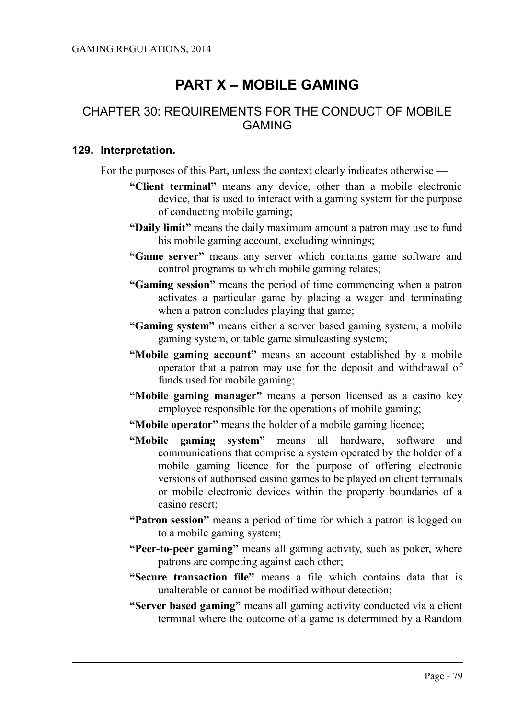# **PART X – MOBILE GAMING**

# CHAPTER 30: REQUIREMENTS FOR THE CONDUCT OF MOBILE GAMING

#### **129. Interpretation.**

For the purposes of this Part, unless the context clearly indicates otherwise —

- **"Client terminal"** means any device, other than a mobile electronic device, that is used to interact with a gaming system for the purpose of conducting mobile gaming;
- **"Daily limit"** means the daily maximum amount a patron may use to fund his mobile gaming account, excluding winnings;
- **"Game server"** means any server which contains game software and control programs to which mobile gaming relates;
- **"Gaming session"** means the period of time commencing when a patron activates a particular game by placing a wager and terminating when a patron concludes playing that game;
- **"Gaming system"** means either a server based gaming system, a mobile gaming system, or table game simulcasting system;
- **"Mobile gaming account"** means an account established by a mobile operator that a patron may use for the deposit and withdrawal of funds used for mobile gaming;
- **"Mobile gaming manager"** means a person licensed as a casino key employee responsible for the operations of mobile gaming;
- **"Mobile operator"** means the holder of a mobile gaming licence;
- **"Mobile gaming system"** means all hardware, software and communications that comprise a system operated by the holder of a mobile gaming licence for the purpose of offering electronic versions of authorised casino games to be played on client terminals or mobile electronic devices within the property boundaries of a casino resort;
- **"Patron session"** means a period of time for which a patron is logged on to a mobile gaming system;
- **"Peer-to-peer gaming"** means all gaming activity, such as poker, where patrons are competing against each other;
- **"Secure transaction file"** means a file which contains data that is unalterable or cannot be modified without detection;
- **"Server based gaming"** means all gaming activity conducted via a client terminal where the outcome of a game is determined by a Random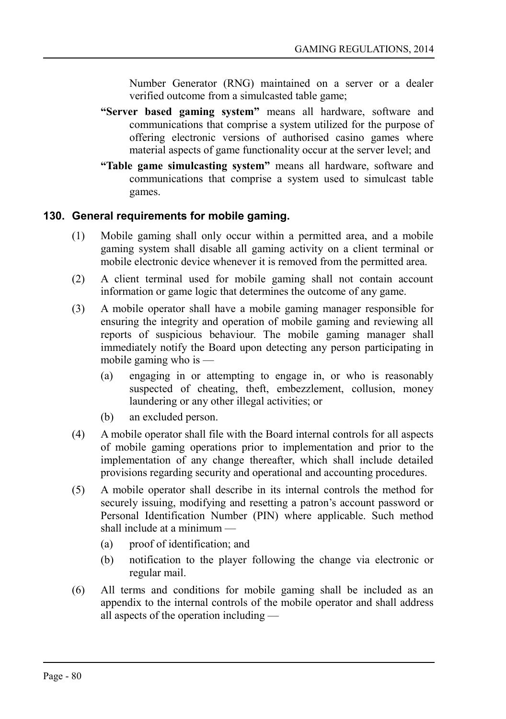Number Generator (RNG) maintained on a server or a dealer verified outcome from a simulcasted table game;

- **"Server based gaming system"** means all hardware, software and communications that comprise a system utilized for the purpose of offering electronic versions of authorised casino games where material aspects of game functionality occur at the server level; and
- **"Table game simulcasting system"** means all hardware, software and communications that comprise a system used to simulcast table games.

# **130. General requirements for mobile gaming.**

- (1) Mobile gaming shall only occur within a permitted area, and a mobile gaming system shall disable all gaming activity on a client terminal or mobile electronic device whenever it is removed from the permitted area.
- (2) A client terminal used for mobile gaming shall not contain account information or game logic that determines the outcome of any game.
- (3) A mobile operator shall have a mobile gaming manager responsible for ensuring the integrity and operation of mobile gaming and reviewing all reports of suspicious behaviour. The mobile gaming manager shall immediately notify the Board upon detecting any person participating in mobile gaming who is —
	- (a) engaging in or attempting to engage in, or who is reasonably suspected of cheating, theft, embezzlement, collusion, money laundering or any other illegal activities; or
	- (b) an excluded person.
- (4) A mobile operator shall file with the Board internal controls for all aspects of mobile gaming operations prior to implementation and prior to the implementation of any change thereafter, which shall include detailed provisions regarding security and operational and accounting procedures.
- (5) A mobile operator shall describe in its internal controls the method for securely issuing, modifying and resetting a patron's account password or Personal Identification Number (PIN) where applicable. Such method shall include at a minimum —
	- (a) proof of identification; and
	- (b) notification to the player following the change via electronic or regular mail.
- (6) All terms and conditions for mobile gaming shall be included as an appendix to the internal controls of the mobile operator and shall address all aspects of the operation including —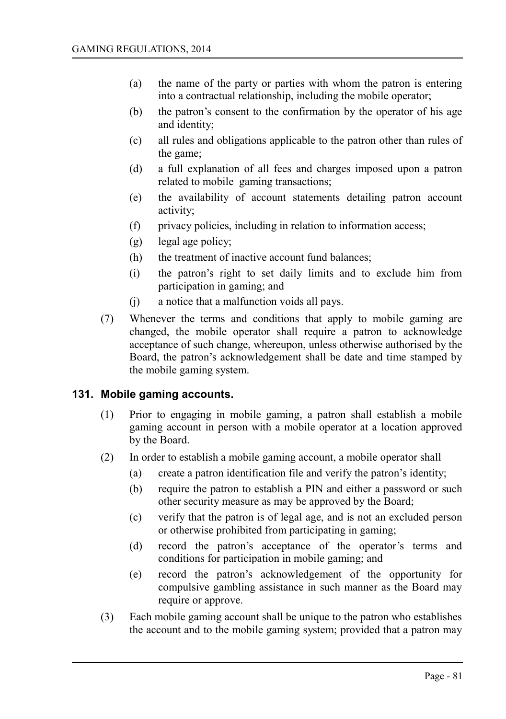- (a) the name of the party or parties with whom the patron is entering into a contractual relationship, including the mobile operator;
- (b) the patron's consent to the confirmation by the operator of his age and identity;
- (c) all rules and obligations applicable to the patron other than rules of the game;
- (d) a full explanation of all fees and charges imposed upon a patron related to mobile gaming transactions;
- (e) the availability of account statements detailing patron account activity;
- (f) privacy policies, including in relation to information access;
- (g) legal age policy;
- (h) the treatment of inactive account fund balances;
- (i) the patron's right to set daily limits and to exclude him from participation in gaming; and
- (j) a notice that a malfunction voids all pays.
- (7) Whenever the terms and conditions that apply to mobile gaming are changed, the mobile operator shall require a patron to acknowledge acceptance of such change, whereupon, unless otherwise authorised by the Board, the patron's acknowledgement shall be date and time stamped by the mobile gaming system.

# **131. Mobile gaming accounts.**

- (1) Prior to engaging in mobile gaming, a patron shall establish a mobile gaming account in person with a mobile operator at a location approved by the Board.
- (2) In order to establish a mobile gaming account, a mobile operator shall
	- (a) create a patron identification file and verify the patron's identity;
	- (b) require the patron to establish a PIN and either a password or such other security measure as may be approved by the Board;
	- (c) verify that the patron is of legal age, and is not an excluded person or otherwise prohibited from participating in gaming;
	- (d) record the patron's acceptance of the operator's terms and conditions for participation in mobile gaming; and
	- (e) record the patron's acknowledgement of the opportunity for compulsive gambling assistance in such manner as the Board may require or approve.
- (3) Each mobile gaming account shall be unique to the patron who establishes the account and to the mobile gaming system; provided that a patron may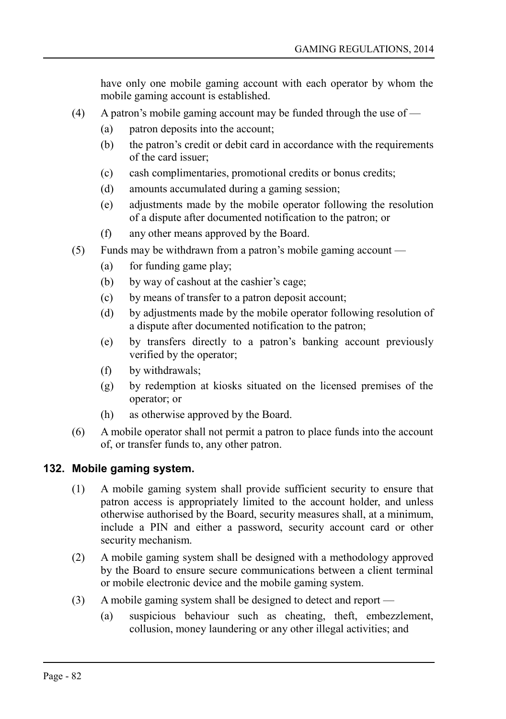have only one mobile gaming account with each operator by whom the mobile gaming account is established.

- (4) A patron's mobile gaming account may be funded through the use of  $-$ 
	- (a) patron deposits into the account;
	- (b) the patron's credit or debit card in accordance with the requirements of the card issuer;
	- (c) cash complimentaries, promotional credits or bonus credits;
	- (d) amounts accumulated during a gaming session;
	- (e) adjustments made by the mobile operator following the resolution of a dispute after documented notification to the patron; or
	- (f) any other means approved by the Board.
- (5) Funds may be withdrawn from a patron's mobile gaming account
	- (a) for funding game play;
	- (b) by way of cashout at the cashier's cage;
	- (c) by means of transfer to a patron deposit account;
	- (d) by adjustments made by the mobile operator following resolution of a dispute after documented notification to the patron;
	- (e) by transfers directly to a patron's banking account previously verified by the operator;
	- (f) by withdrawals;
	- (g) by redemption at kiosks situated on the licensed premises of the operator; or
	- (h) as otherwise approved by the Board.
- (6) A mobile operator shall not permit a patron to place funds into the account of, or transfer funds to, any other patron.

# **132. Mobile gaming system.**

- (1) A mobile gaming system shall provide sufficient security to ensure that patron access is appropriately limited to the account holder, and unless otherwise authorised by the Board, security measures shall, at a minimum, include a PIN and either a password, security account card or other security mechanism.
- (2) A mobile gaming system shall be designed with a methodology approved by the Board to ensure secure communications between a client terminal or mobile electronic device and the mobile gaming system.
- (3) A mobile gaming system shall be designed to detect and report
	- (a) suspicious behaviour such as cheating, theft, embezzlement, collusion, money laundering or any other illegal activities; and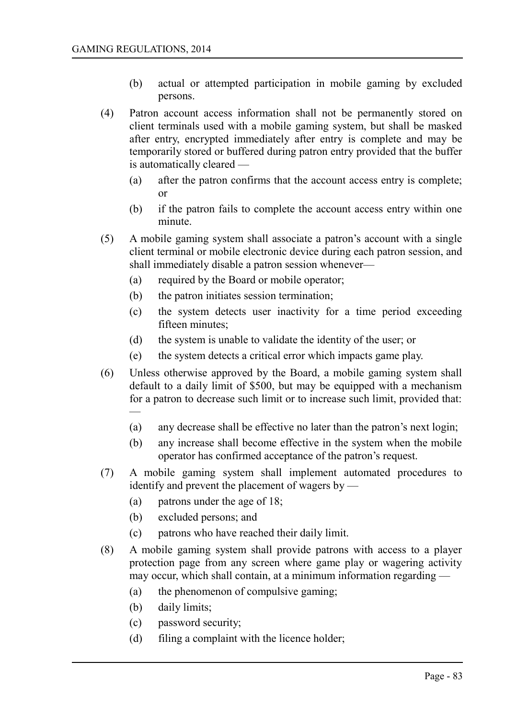- (b) actual or attempted participation in mobile gaming by excluded persons.
- (4) Patron account access information shall not be permanently stored on client terminals used with a mobile gaming system, but shall be masked after entry, encrypted immediately after entry is complete and may be temporarily stored or buffered during patron entry provided that the buffer is automatically cleared —
	- (a) after the patron confirms that the account access entry is complete; or
	- (b) if the patron fails to complete the account access entry within one minute.
- (5) A mobile gaming system shall associate a patron's account with a single client terminal or mobile electronic device during each patron session, and shall immediately disable a patron session whenever—
	- (a) required by the Board or mobile operator;
	- (b) the patron initiates session termination;
	- (c) the system detects user inactivity for a time period exceeding fifteen minutes;
	- (d) the system is unable to validate the identity of the user; or
	- (e) the system detects a critical error which impacts game play.
- (6) Unless otherwise approved by the Board, a mobile gaming system shall default to a daily limit of \$500, but may be equipped with a mechanism for a patron to decrease such limit or to increase such limit, provided that: —
	- (a) any decrease shall be effective no later than the patron's next login;
	- (b) any increase shall become effective in the system when the mobile operator has confirmed acceptance of the patron's request.
- (7) A mobile gaming system shall implement automated procedures to identify and prevent the placement of wagers by —
	- (a) patrons under the age of 18;
	- (b) excluded persons; and
	- (c) patrons who have reached their daily limit.
- (8) A mobile gaming system shall provide patrons with access to a player protection page from any screen where game play or wagering activity may occur, which shall contain, at a minimum information regarding —
	- (a) the phenomenon of compulsive gaming;
	- (b) daily limits;
	- (c) password security;
	- (d) filing a complaint with the licence holder;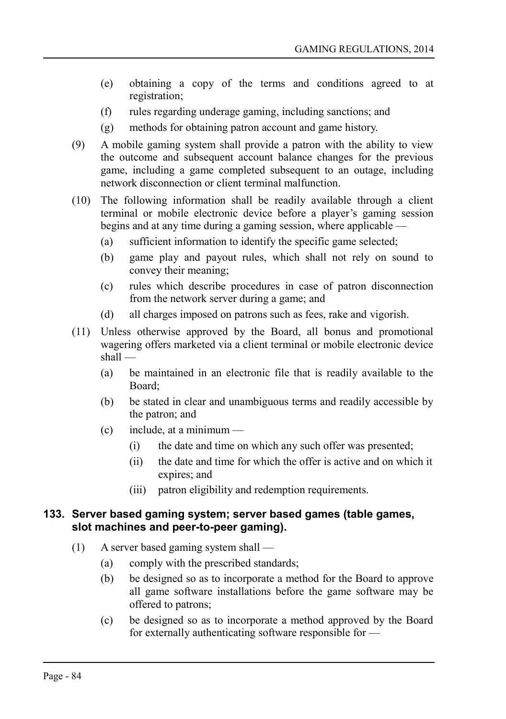- (e) obtaining a copy of the terms and conditions agreed to at registration;
- (f) rules regarding underage gaming, including sanctions; and
- (g) methods for obtaining patron account and game history.
- (9) A mobile gaming system shall provide a patron with the ability to view the outcome and subsequent account balance changes for the previous game, including a game completed subsequent to an outage, including network disconnection or client terminal malfunction.
- (10) The following information shall be readily available through a client terminal or mobile electronic device before a player's gaming session begins and at any time during a gaming session, where applicable —
	- (a) sufficient information to identify the specific game selected;
	- (b) game play and payout rules, which shall not rely on sound to convey their meaning;
	- (c) rules which describe procedures in case of patron disconnection from the network server during a game; and
	- (d) all charges imposed on patrons such as fees, rake and vigorish.
- (11) Unless otherwise approved by the Board, all bonus and promotional wagering offers marketed via a client terminal or mobile electronic device shall —
	- (a) be maintained in an electronic file that is readily available to the Board;
	- (b) be stated in clear and unambiguous terms and readily accessible by the patron; and
	- $(c)$  include, at a minimum
		- (i) the date and time on which any such offer was presented;
		- (ii) the date and time for which the offer is active and on which it expires; and
		- (iii) patron eligibility and redemption requirements.

### **133. Server based gaming system; server based games (table games, slot machines and peer-to-peer gaming).**

- (1) A server based gaming system shall
	- (a) comply with the prescribed standards;
	- (b) be designed so as to incorporate a method for the Board to approve all game software installations before the game software may be offered to patrons;
	- (c) be designed so as to incorporate a method approved by the Board for externally authenticating software responsible for —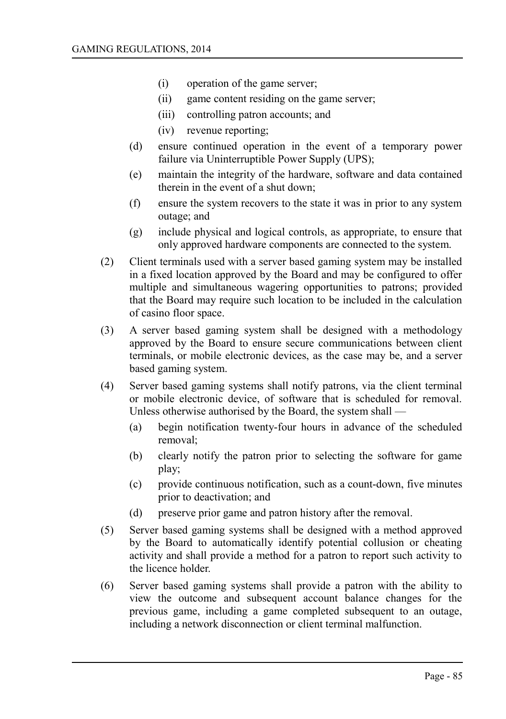- (i) operation of the game server;
- (ii) game content residing on the game server;
- (iii) controlling patron accounts; and
- (iv) revenue reporting;
- (d) ensure continued operation in the event of a temporary power failure via Uninterruptible Power Supply (UPS);
- (e) maintain the integrity of the hardware, software and data contained therein in the event of a shut down;
- (f) ensure the system recovers to the state it was in prior to any system outage; and
- (g) include physical and logical controls, as appropriate, to ensure that only approved hardware components are connected to the system.
- (2) Client terminals used with a server based gaming system may be installed in a fixed location approved by the Board and may be configured to offer multiple and simultaneous wagering opportunities to patrons; provided that the Board may require such location to be included in the calculation of casino floor space.
- (3) A server based gaming system shall be designed with a methodology approved by the Board to ensure secure communications between client terminals, or mobile electronic devices, as the case may be, and a server based gaming system.
- (4) Server based gaming systems shall notify patrons, via the client terminal or mobile electronic device, of software that is scheduled for removal. Unless otherwise authorised by the Board, the system shall —
	- (a) begin notification twenty-four hours in advance of the scheduled removal;
	- (b) clearly notify the patron prior to selecting the software for game play;
	- (c) provide continuous notification, such as a count-down, five minutes prior to deactivation; and
	- (d) preserve prior game and patron history after the removal.
- (5) Server based gaming systems shall be designed with a method approved by the Board to automatically identify potential collusion or cheating activity and shall provide a method for a patron to report such activity to the licence holder.
- (6) Server based gaming systems shall provide a patron with the ability to view the outcome and subsequent account balance changes for the previous game, including a game completed subsequent to an outage, including a network disconnection or client terminal malfunction.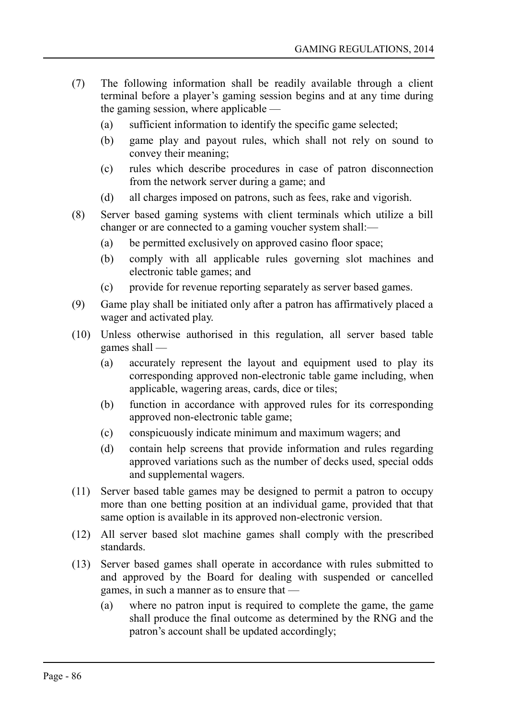- (7) The following information shall be readily available through a client terminal before a player's gaming session begins and at any time during the gaming session, where applicable —
	- (a) sufficient information to identify the specific game selected;
	- (b) game play and payout rules, which shall not rely on sound to convey their meaning;
	- (c) rules which describe procedures in case of patron disconnection from the network server during a game; and
	- (d) all charges imposed on patrons, such as fees, rake and vigorish.
- (8) Server based gaming systems with client terminals which utilize a bill changer or are connected to a gaming voucher system shall:—
	- (a) be permitted exclusively on approved casino floor space;
	- (b) comply with all applicable rules governing slot machines and electronic table games; and
	- (c) provide for revenue reporting separately as server based games.
- (9) Game play shall be initiated only after a patron has affirmatively placed a wager and activated play.
- (10) Unless otherwise authorised in this regulation, all server based table games shall —
	- (a) accurately represent the layout and equipment used to play its corresponding approved non-electronic table game including, when applicable, wagering areas, cards, dice or tiles;
	- (b) function in accordance with approved rules for its corresponding approved non-electronic table game;
	- (c) conspicuously indicate minimum and maximum wagers; and
	- (d) contain help screens that provide information and rules regarding approved variations such as the number of decks used, special odds and supplemental wagers.
- (11) Server based table games may be designed to permit a patron to occupy more than one betting position at an individual game, provided that that same option is available in its approved non-electronic version.
- (12) All server based slot machine games shall comply with the prescribed standards.
- (13) Server based games shall operate in accordance with rules submitted to and approved by the Board for dealing with suspended or cancelled games, in such a manner as to ensure that —
	- (a) where no patron input is required to complete the game, the game shall produce the final outcome as determined by the RNG and the patron's account shall be updated accordingly;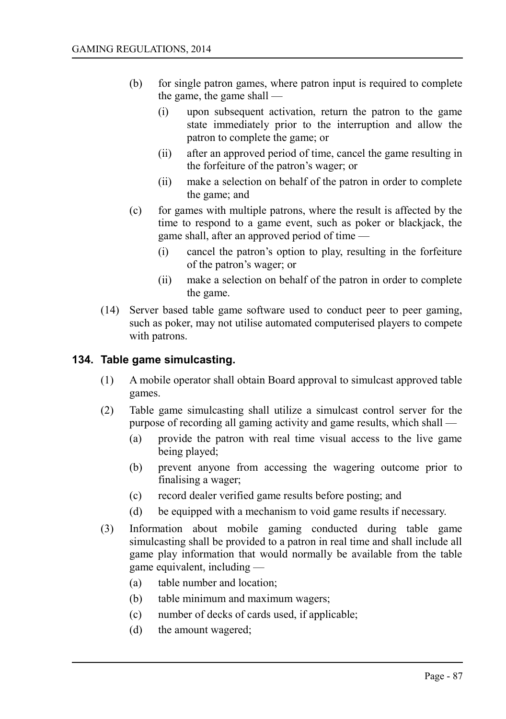- (b) for single patron games, where patron input is required to complete the game, the game shall —
	- (i) upon subsequent activation, return the patron to the game state immediately prior to the interruption and allow the patron to complete the game; or
	- (ii) after an approved period of time, cancel the game resulting in the forfeiture of the patron's wager; or
	- (ii) make a selection on behalf of the patron in order to complete the game; and
- (c) for games with multiple patrons, where the result is affected by the time to respond to a game event, such as poker or blackjack, the game shall, after an approved period of time —
	- (i) cancel the patron's option to play, resulting in the forfeiture of the patron's wager; or
	- (ii) make a selection on behalf of the patron in order to complete the game.
- (14) Server based table game software used to conduct peer to peer gaming, such as poker, may not utilise automated computerised players to compete with patrons.

### **134. Table game simulcasting.**

- (1) A mobile operator shall obtain Board approval to simulcast approved table games.
- (2) Table game simulcasting shall utilize a simulcast control server for the purpose of recording all gaming activity and game results, which shall —
	- (a) provide the patron with real time visual access to the live game being played;
	- (b) prevent anyone from accessing the wagering outcome prior to finalising a wager;
	- (c) record dealer verified game results before posting; and
	- (d) be equipped with a mechanism to void game results if necessary.
- (3) Information about mobile gaming conducted during table game simulcasting shall be provided to a patron in real time and shall include all game play information that would normally be available from the table game equivalent, including —
	- (a) table number and location;
	- (b) table minimum and maximum wagers;
	- (c) number of decks of cards used, if applicable;
	- (d) the amount wagered;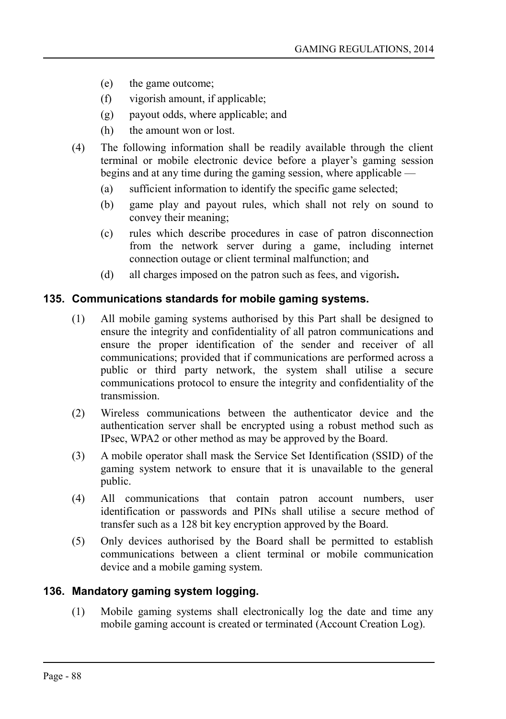- (e) the game outcome;
- (f) vigorish amount, if applicable;
- (g) payout odds, where applicable; and
- (h) the amount won or lost.
- (4) The following information shall be readily available through the client terminal or mobile electronic device before a player's gaming session begins and at any time during the gaming session, where applicable —
	- (a) sufficient information to identify the specific game selected;
	- (b) game play and payout rules, which shall not rely on sound to convey their meaning;
	- (c) rules which describe procedures in case of patron disconnection from the network server during a game, including internet connection outage or client terminal malfunction; and
	- (d) all charges imposed on the patron such as fees, and vigorish**.**

### **135. Communications standards for mobile gaming systems.**

- (1) All mobile gaming systems authorised by this Part shall be designed to ensure the integrity and confidentiality of all patron communications and ensure the proper identification of the sender and receiver of all communications; provided that if communications are performed across a public or third party network, the system shall utilise a secure communications protocol to ensure the integrity and confidentiality of the transmission.
- (2) Wireless communications between the authenticator device and the authentication server shall be encrypted using a robust method such as IPsec, WPA2 or other method as may be approved by the Board.
- (3) A mobile operator shall mask the Service Set Identification (SSID) of the gaming system network to ensure that it is unavailable to the general public.
- (4) All communications that contain patron account numbers, user identification or passwords and PINs shall utilise a secure method of transfer such as a 128 bit key encryption approved by the Board.
- (5) Only devices authorised by the Board shall be permitted to establish communications between a client terminal or mobile communication device and a mobile gaming system.

# **136. Mandatory gaming system logging.**

(1) Mobile gaming systems shall electronically log the date and time any mobile gaming account is created or terminated (Account Creation Log).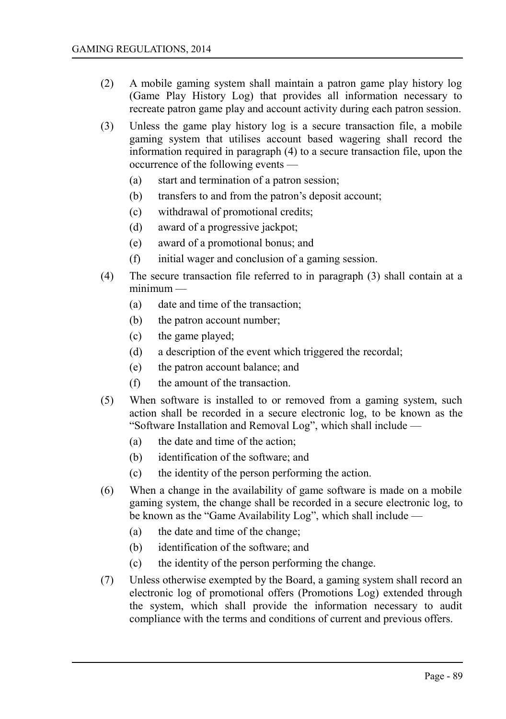- (2) A mobile gaming system shall maintain a patron game play history log (Game Play History Log) that provides all information necessary to recreate patron game play and account activity during each patron session.
- (3) Unless the game play history log is a secure transaction file, a mobile gaming system that utilises account based wagering shall record the information required in paragraph (4) to a secure transaction file, upon the occurrence of the following events —
	- (a) start and termination of a patron session;
	- (b) transfers to and from the patron's deposit account;
	- (c) withdrawal of promotional credits;
	- (d) award of a progressive jackpot;
	- (e) award of a promotional bonus; and
	- (f) initial wager and conclusion of a gaming session.
- (4) The secure transaction file referred to in paragraph (3) shall contain at a minimum —
	- (a) date and time of the transaction;
	- (b) the patron account number;
	- (c) the game played;
	- (d) a description of the event which triggered the recordal;
	- (e) the patron account balance; and
	- (f) the amount of the transaction.
- (5) When software is installed to or removed from a gaming system, such action shall be recorded in a secure electronic log, to be known as the "Software Installation and Removal Log", which shall include —
	- (a) the date and time of the action;
	- (b) identification of the software; and
	- (c) the identity of the person performing the action.
- (6) When a change in the availability of game software is made on a mobile gaming system, the change shall be recorded in a secure electronic log, to be known as the "Game Availability Log", which shall include —
	- (a) the date and time of the change;
	- (b) identification of the software; and
	- (c) the identity of the person performing the change.
- (7) Unless otherwise exempted by the Board, a gaming system shall record an electronic log of promotional offers (Promotions Log) extended through the system, which shall provide the information necessary to audit compliance with the terms and conditions of current and previous offers.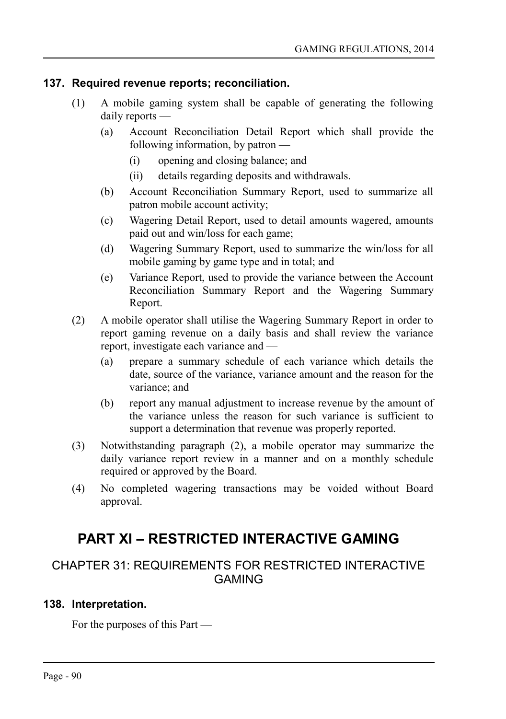#### **137. Required revenue reports; reconciliation.**

- (1) A mobile gaming system shall be capable of generating the following daily reports —
	- (a) Account Reconciliation Detail Report which shall provide the following information, by patron —
		- (i) opening and closing balance; and
		- (ii) details regarding deposits and withdrawals.
	- (b) Account Reconciliation Summary Report, used to summarize all patron mobile account activity;
	- (c) Wagering Detail Report, used to detail amounts wagered, amounts paid out and win/loss for each game;
	- (d) Wagering Summary Report, used to summarize the win/loss for all mobile gaming by game type and in total; and
	- (e) Variance Report, used to provide the variance between the Account Reconciliation Summary Report and the Wagering Summary Report.
- (2) A mobile operator shall utilise the Wagering Summary Report in order to report gaming revenue on a daily basis and shall review the variance report, investigate each variance and —
	- (a) prepare a summary schedule of each variance which details the date, source of the variance, variance amount and the reason for the variance; and
	- (b) report any manual adjustment to increase revenue by the amount of the variance unless the reason for such variance is sufficient to support a determination that revenue was properly reported.
- (3) Notwithstanding paragraph (2), a mobile operator may summarize the daily variance report review in a manner and on a monthly schedule required or approved by the Board.
- (4) No completed wagering transactions may be voided without Board approval.

# **PART XI – RESTRICTED INTERACTIVE GAMING**

# CHAPTER 31: REQUIREMENTS FOR RESTRICTED INTERACTIVE GAMING

# **138. Interpretation.**

For the purposes of this Part —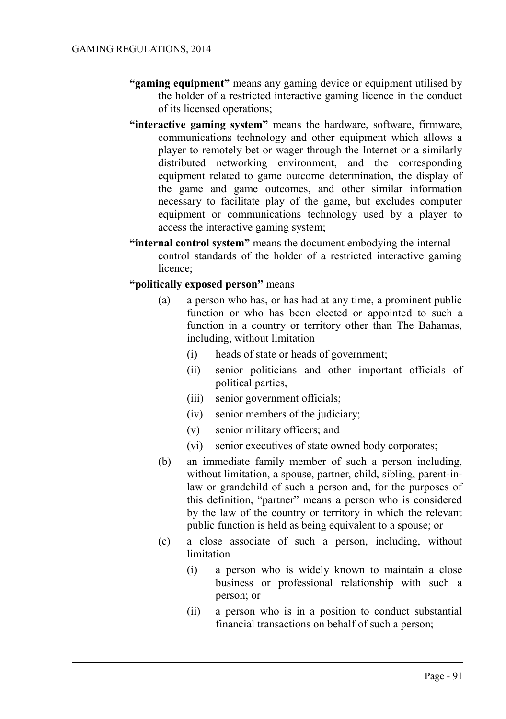- **"gaming equipment"** means any gaming device or equipment utilised by the holder of a restricted interactive gaming licence in the conduct of its licensed operations;
- **"interactive gaming system"** means the hardware, software, firmware, communications technology and other equipment which allows a player to remotely bet or wager through the Internet or a similarly distributed networking environment, and the corresponding equipment related to game outcome determination, the display of the game and game outcomes, and other similar information necessary to facilitate play of the game, but excludes computer equipment or communications technology used by a player to access the interactive gaming system;
- **"internal control system"** means the document embodying the internal control standards of the holder of a restricted interactive gaming licence;
- **"politically exposed person"** means
	- (a) a person who has, or has had at any time, a prominent public function or who has been elected or appointed to such a function in a country or territory other than The Bahamas, including, without limitation —
		- (i) heads of state or heads of government;
		- (ii) senior politicians and other important officials of political parties,
		- (iii) senior government officials;
		- (iv) senior members of the judiciary;
		- (v) senior military officers; and
		- (vi) senior executives of state owned body corporates;
	- (b) an immediate family member of such a person including, without limitation, a spouse, partner, child, sibling, parent-inlaw or grandchild of such a person and, for the purposes of this definition, "partner" means a person who is considered by the law of the country or territory in which the relevant public function is held as being equivalent to a spouse; or
	- (c) a close associate of such a person, including, without limitation —
		- (i) a person who is widely known to maintain a close business or professional relationship with such a person; or
		- (ii) a person who is in a position to conduct substantial financial transactions on behalf of such a person;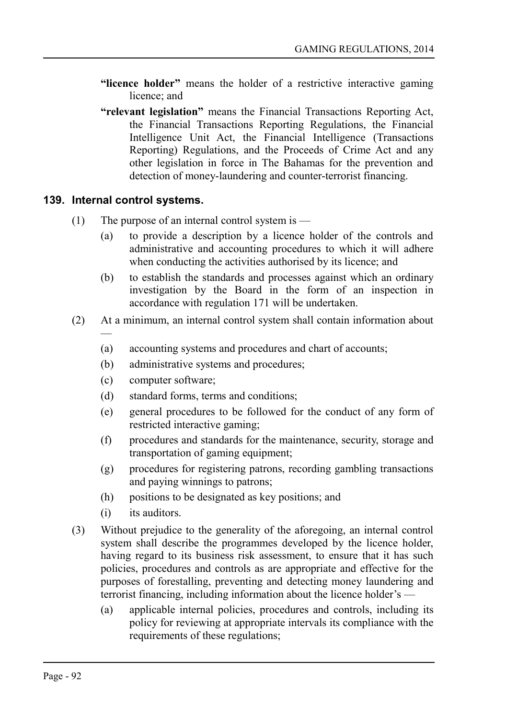- **"licence holder"** means the holder of a restrictive interactive gaming licence; and
- **"relevant legislation"** means the Financial Transactions Reporting Act, the Financial Transactions Reporting Regulations, the Financial Intelligence Unit Act, the Financial Intelligence (Transactions Reporting) Regulations, and the Proceeds of Crime Act and any other legislation in force in The Bahamas for the prevention and detection of money-laundering and counter-terrorist financing.

# **139. Internal control systems.**

- (1) The purpose of an internal control system is  $-$ 
	- (a) to provide a description by a licence holder of the controls and administrative and accounting procedures to which it will adhere when conducting the activities authorised by its licence; and
	- (b) to establish the standards and processes against which an ordinary investigation by the Board in the form of an inspection in accordance with regulation 171 will be undertaken.
- (2) At a minimum, an internal control system shall contain information about —
	- (a) accounting systems and procedures and chart of accounts;
	- (b) administrative systems and procedures;
	- (c) computer software;
	- (d) standard forms, terms and conditions;
	- (e) general procedures to be followed for the conduct of any form of restricted interactive gaming;
	- (f) procedures and standards for the maintenance, security, storage and transportation of gaming equipment;
	- (g) procedures for registering patrons, recording gambling transactions and paying winnings to patrons;
	- (h) positions to be designated as key positions; and
	- (i) its auditors.
- (3) Without prejudice to the generality of the aforegoing, an internal control system shall describe the programmes developed by the licence holder, having regard to its business risk assessment, to ensure that it has such policies, procedures and controls as are appropriate and effective for the purposes of forestalling, preventing and detecting money laundering and terrorist financing, including information about the licence holder's —
	- (a) applicable internal policies, procedures and controls, including its policy for reviewing at appropriate intervals its compliance with the requirements of these regulations;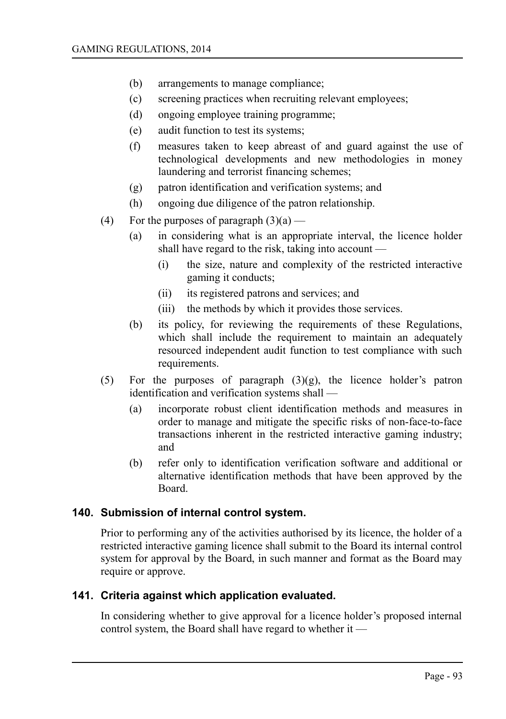- (b) arrangements to manage compliance;
- (c) screening practices when recruiting relevant employees;
- (d) ongoing employee training programme;
- (e) audit function to test its systems;
- (f) measures taken to keep abreast of and guard against the use of technological developments and new methodologies in money laundering and terrorist financing schemes;
- (g) patron identification and verification systems; and
- (h) ongoing due diligence of the patron relationship.
- (4) For the purposes of paragraph  $(3)(a)$ 
	- (a) in considering what is an appropriate interval, the licence holder shall have regard to the risk, taking into account —
		- (i) the size, nature and complexity of the restricted interactive gaming it conducts;
		- (ii) its registered patrons and services; and
		- (iii) the methods by which it provides those services.
	- (b) its policy, for reviewing the requirements of these Regulations, which shall include the requirement to maintain an adequately resourced independent audit function to test compliance with such requirements.
- (5) For the purposes of paragraph  $(3)(g)$ , the licence holder's patron identification and verification systems shall —
	- (a) incorporate robust client identification methods and measures in order to manage and mitigate the specific risks of non-face-to-face transactions inherent in the restricted interactive gaming industry; and
	- (b) refer only to identification verification software and additional or alternative identification methods that have been approved by the Board.

#### **140. Submission of internal control system.**

Prior to performing any of the activities authorised by its licence, the holder of a restricted interactive gaming licence shall submit to the Board its internal control system for approval by the Board, in such manner and format as the Board may require or approve.

#### **141. Criteria against which application evaluated.**

In considering whether to give approval for a licence holder's proposed internal control system, the Board shall have regard to whether it —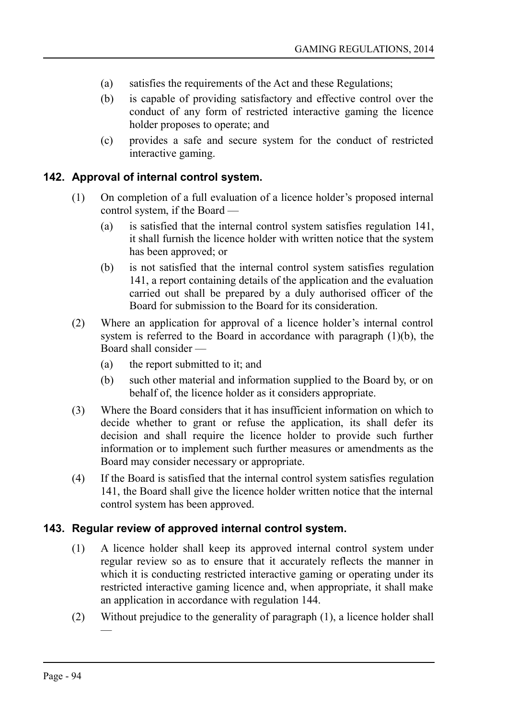- (a) satisfies the requirements of the Act and these Regulations;
- (b) is capable of providing satisfactory and effective control over the conduct of any form of restricted interactive gaming the licence holder proposes to operate; and
- (c) provides a safe and secure system for the conduct of restricted interactive gaming.

### **142. Approval of internal control system.**

- (1) On completion of a full evaluation of a licence holder's proposed internal control system, if the Board —
	- (a) is satisfied that the internal control system satisfies regulation 141, it shall furnish the licence holder with written notice that the system has been approved; or
	- (b) is not satisfied that the internal control system satisfies regulation 141, a report containing details of the application and the evaluation carried out shall be prepared by a duly authorised officer of the Board for submission to the Board for its consideration.
- (2) Where an application for approval of a licence holder's internal control system is referred to the Board in accordance with paragraph (1)(b), the Board shall consider —
	- (a) the report submitted to it; and
	- (b) such other material and information supplied to the Board by, or on behalf of, the licence holder as it considers appropriate.
- (3) Where the Board considers that it has insufficient information on which to decide whether to grant or refuse the application, its shall defer its decision and shall require the licence holder to provide such further information or to implement such further measures or amendments as the Board may consider necessary or appropriate.
- (4) If the Board is satisfied that the internal control system satisfies regulation 141, the Board shall give the licence holder written notice that the internal control system has been approved.

# **143. Regular review of approved internal control system.**

- (1) A licence holder shall keep its approved internal control system under regular review so as to ensure that it accurately reflects the manner in which it is conducting restricted interactive gaming or operating under its restricted interactive gaming licence and, when appropriate, it shall make an application in accordance with regulation 144.
- (2) Without prejudice to the generality of paragraph (1), a licence holder shall —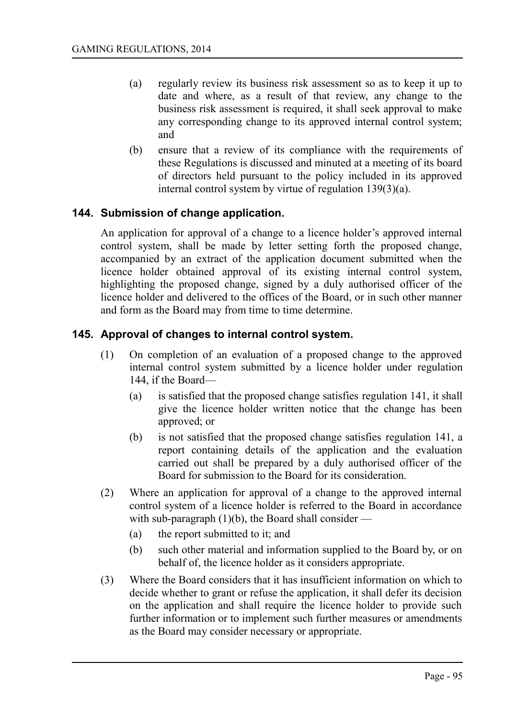- (a) regularly review its business risk assessment so as to keep it up to date and where, as a result of that review, any change to the business risk assessment is required, it shall seek approval to make any corresponding change to its approved internal control system; and
- (b) ensure that a review of its compliance with the requirements of these Regulations is discussed and minuted at a meeting of its board of directors held pursuant to the policy included in its approved internal control system by virtue of regulation 139(3)(a).

# **144. Submission of change application.**

An application for approval of a change to a licence holder's approved internal control system, shall be made by letter setting forth the proposed change, accompanied by an extract of the application document submitted when the licence holder obtained approval of its existing internal control system, highlighting the proposed change, signed by a duly authorised officer of the licence holder and delivered to the offices of the Board, or in such other manner and form as the Board may from time to time determine.

# **145. Approval of changes to internal control system.**

- (1) On completion of an evaluation of a proposed change to the approved internal control system submitted by a licence holder under regulation 144, if the Board—
	- (a) is satisfied that the proposed change satisfies regulation 141, it shall give the licence holder written notice that the change has been approved; or
	- (b) is not satisfied that the proposed change satisfies regulation 141, a report containing details of the application and the evaluation carried out shall be prepared by a duly authorised officer of the Board for submission to the Board for its consideration.
- (2) Where an application for approval of a change to the approved internal control system of a licence holder is referred to the Board in accordance with sub-paragraph  $(1)(b)$ , the Board shall consider —
	- (a) the report submitted to it; and
	- (b) such other material and information supplied to the Board by, or on behalf of, the licence holder as it considers appropriate.
- (3) Where the Board considers that it has insufficient information on which to decide whether to grant or refuse the application, it shall defer its decision on the application and shall require the licence holder to provide such further information or to implement such further measures or amendments as the Board may consider necessary or appropriate.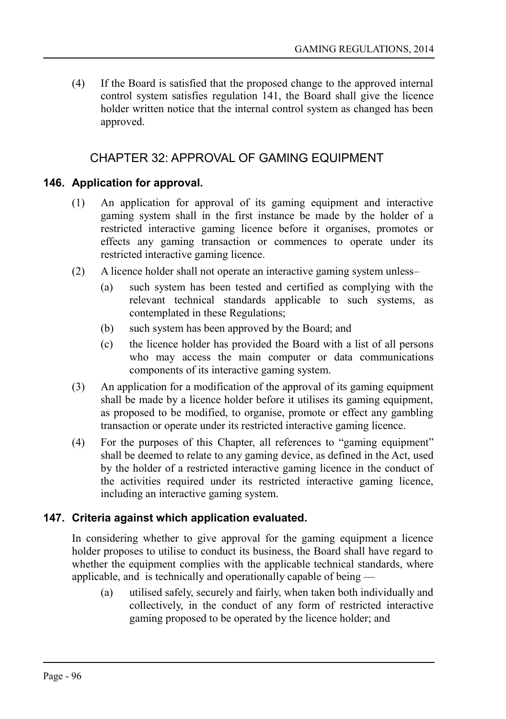(4) If the Board is satisfied that the proposed change to the approved internal control system satisfies regulation 141, the Board shall give the licence holder written notice that the internal control system as changed has been approved.

# CHAPTER 32: APPROVAL OF GAMING EQUIPMENT

### **146. Application for approval.**

- (1) An application for approval of its gaming equipment and interactive gaming system shall in the first instance be made by the holder of a restricted interactive gaming licence before it organises, promotes or effects any gaming transaction or commences to operate under its restricted interactive gaming licence.
- (2) A licence holder shall not operate an interactive gaming system unless–
	- (a) such system has been tested and certified as complying with the relevant technical standards applicable to such systems, as contemplated in these Regulations;
	- (b) such system has been approved by the Board; and
	- (c) the licence holder has provided the Board with a list of all persons who may access the main computer or data communications components of its interactive gaming system.
- (3) An application for a modification of the approval of its gaming equipment shall be made by a licence holder before it utilises its gaming equipment, as proposed to be modified, to organise, promote or effect any gambling transaction or operate under its restricted interactive gaming licence.
- (4) For the purposes of this Chapter, all references to "gaming equipment" shall be deemed to relate to any gaming device, as defined in the Act, used by the holder of a restricted interactive gaming licence in the conduct of the activities required under its restricted interactive gaming licence, including an interactive gaming system.

# **147. Criteria against which application evaluated.**

In considering whether to give approval for the gaming equipment a licence holder proposes to utilise to conduct its business, the Board shall have regard to whether the equipment complies with the applicable technical standards, where applicable, and is technically and operationally capable of being —

(a) utilised safely, securely and fairly, when taken both individually and collectively, in the conduct of any form of restricted interactive gaming proposed to be operated by the licence holder; and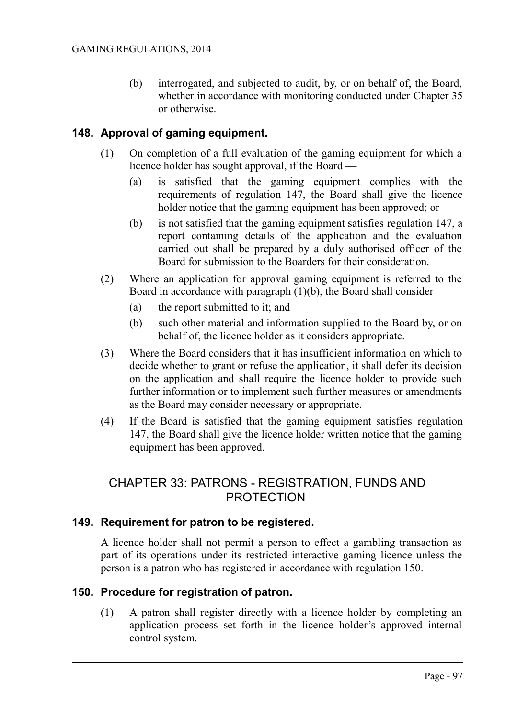(b) interrogated, and subjected to audit, by, or on behalf of, the Board, whether in accordance with monitoring conducted under Chapter 35 or otherwise.

# **148. Approval of gaming equipment.**

- (1) On completion of a full evaluation of the gaming equipment for which a licence holder has sought approval, if the Board —
	- (a) is satisfied that the gaming equipment complies with the requirements of regulation 147, the Board shall give the licence holder notice that the gaming equipment has been approved; or
	- (b) is not satisfied that the gaming equipment satisfies regulation 147, a report containing details of the application and the evaluation carried out shall be prepared by a duly authorised officer of the Board for submission to the Boarders for their consideration.
- (2) Where an application for approval gaming equipment is referred to the Board in accordance with paragraph  $(1)(b)$ , the Board shall consider —
	- (a) the report submitted to it; and
	- (b) such other material and information supplied to the Board by, or on behalf of, the licence holder as it considers appropriate.
- (3) Where the Board considers that it has insufficient information on which to decide whether to grant or refuse the application, it shall defer its decision on the application and shall require the licence holder to provide such further information or to implement such further measures or amendments as the Board may consider necessary or appropriate.
- (4) If the Board is satisfied that the gaming equipment satisfies regulation 147, the Board shall give the licence holder written notice that the gaming equipment has been approved.

# CHAPTER 33: PATRONS - REGISTRATION, FUNDS AND PROTECTION

#### **149. Requirement for patron to be registered.**

A licence holder shall not permit a person to effect a gambling transaction as part of its operations under its restricted interactive gaming licence unless the person is a patron who has registered in accordance with regulation 150.

# **150. Procedure for registration of patron.**

(1) A patron shall register directly with a licence holder by completing an application process set forth in the licence holder's approved internal control system.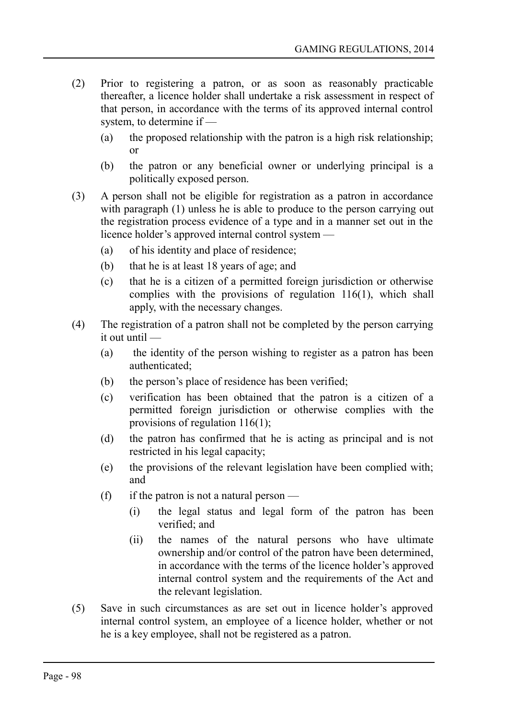- (2) Prior to registering a patron, or as soon as reasonably practicable thereafter, a licence holder shall undertake a risk assessment in respect of that person, in accordance with the terms of its approved internal control system, to determine if —
	- (a) the proposed relationship with the patron is a high risk relationship; or
	- (b) the patron or any beneficial owner or underlying principal is a politically exposed person.
- (3) A person shall not be eligible for registration as a patron in accordance with paragraph (1) unless he is able to produce to the person carrying out the registration process evidence of a type and in a manner set out in the licence holder's approved internal control system —
	- (a) of his identity and place of residence;
	- (b) that he is at least 18 years of age; and
	- (c) that he is a citizen of a permitted foreign jurisdiction or otherwise complies with the provisions of regulation 116(1), which shall apply, with the necessary changes.
- (4) The registration of a patron shall not be completed by the person carrying it out until —
	- (a) the identity of the person wishing to register as a patron has been authenticated;
	- (b) the person's place of residence has been verified;
	- (c) verification has been obtained that the patron is a citizen of a permitted foreign jurisdiction or otherwise complies with the provisions of regulation 116(1);
	- (d) the patron has confirmed that he is acting as principal and is not restricted in his legal capacity;
	- (e) the provisions of the relevant legislation have been complied with; and
	- (f) if the patron is not a natural person
		- (i) the legal status and legal form of the patron has been verified; and
		- (ii) the names of the natural persons who have ultimate ownership and/or control of the patron have been determined, in accordance with the terms of the licence holder's approved internal control system and the requirements of the Act and the relevant legislation.
- (5) Save in such circumstances as are set out in licence holder's approved internal control system, an employee of a licence holder, whether or not he is a key employee, shall not be registered as a patron.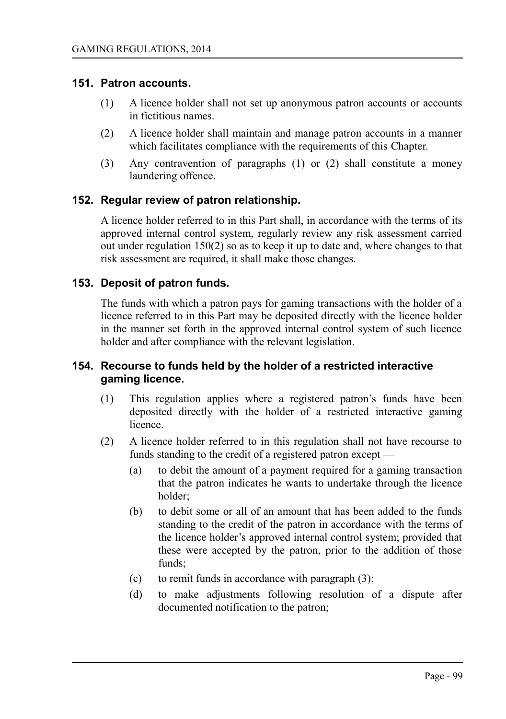#### **151. Patron accounts.**

- (1) A licence holder shall not set up anonymous patron accounts or accounts in fictitious names.
- (2) A licence holder shall maintain and manage patron accounts in a manner which facilitates compliance with the requirements of this Chapter.
- (3) Any contravention of paragraphs (1) or (2) shall constitute a money laundering offence.

### **152. Regular review of patron relationship.**

A licence holder referred to in this Part shall, in accordance with the terms of its approved internal control system, regularly review any risk assessment carried out under regulation 150(2) so as to keep it up to date and, where changes to that risk assessment are required, it shall make those changes.

#### **153. Deposit of patron funds.**

The funds with which a patron pays for gaming transactions with the holder of a licence referred to in this Part may be deposited directly with the licence holder in the manner set forth in the approved internal control system of such licence holder and after compliance with the relevant legislation.

#### **154. Recourse to funds held by the holder of a restricted interactive gaming licence.**

- (1) This regulation applies where a registered patron's funds have been deposited directly with the holder of a restricted interactive gaming licence.
- (2) A licence holder referred to in this regulation shall not have recourse to funds standing to the credit of a registered patron except —
	- (a) to debit the amount of a payment required for a gaming transaction that the patron indicates he wants to undertake through the licence holder;
	- (b) to debit some or all of an amount that has been added to the funds standing to the credit of the patron in accordance with the terms of the licence holder's approved internal control system; provided that these were accepted by the patron, prior to the addition of those funds;
	- (c) to remit funds in accordance with paragraph  $(3)$ ;
	- (d) to make adjustments following resolution of a dispute after documented notification to the patron;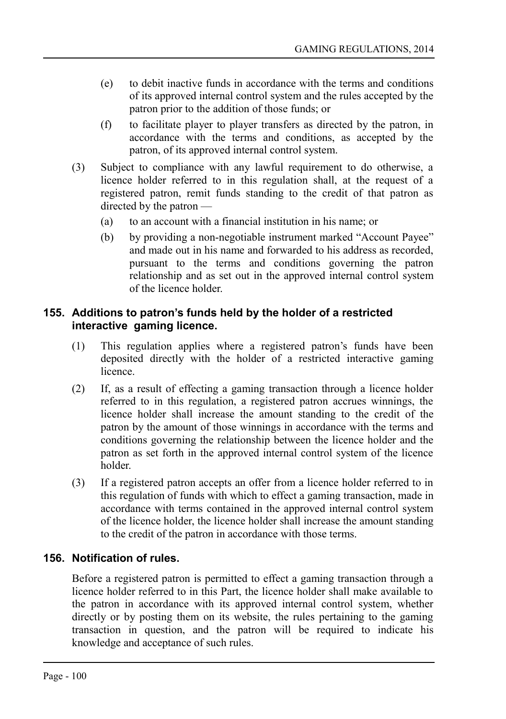- (e) to debit inactive funds in accordance with the terms and conditions of its approved internal control system and the rules accepted by the patron prior to the addition of those funds; or
- (f) to facilitate player to player transfers as directed by the patron, in accordance with the terms and conditions, as accepted by the patron, of its approved internal control system.
- (3) Subject to compliance with any lawful requirement to do otherwise, a licence holder referred to in this regulation shall, at the request of a registered patron, remit funds standing to the credit of that patron as directed by the patron —
	- (a) to an account with a financial institution in his name; or
	- (b) by providing a non-negotiable instrument marked "Account Payee" and made out in his name and forwarded to his address as recorded, pursuant to the terms and conditions governing the patron relationship and as set out in the approved internal control system of the licence holder.

# **155. Additions to patron's funds held by the holder of a restricted interactive gaming licence.**

- (1) This regulation applies where a registered patron's funds have been deposited directly with the holder of a restricted interactive gaming **licence**
- (2) If, as a result of effecting a gaming transaction through a licence holder referred to in this regulation, a registered patron accrues winnings, the licence holder shall increase the amount standing to the credit of the patron by the amount of those winnings in accordance with the terms and conditions governing the relationship between the licence holder and the patron as set forth in the approved internal control system of the licence holder.
- (3) If a registered patron accepts an offer from a licence holder referred to in this regulation of funds with which to effect a gaming transaction, made in accordance with terms contained in the approved internal control system of the licence holder, the licence holder shall increase the amount standing to the credit of the patron in accordance with those terms.

# **156. Notification of rules.**

Before a registered patron is permitted to effect a gaming transaction through a licence holder referred to in this Part, the licence holder shall make available to the patron in accordance with its approved internal control system, whether directly or by posting them on its website, the rules pertaining to the gaming transaction in question, and the patron will be required to indicate his knowledge and acceptance of such rules.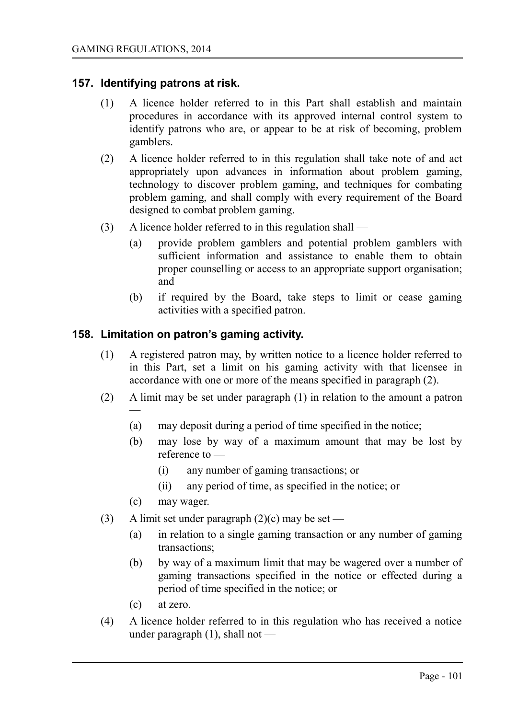#### **157. Identifying patrons at risk.**

- (1) A licence holder referred to in this Part shall establish and maintain procedures in accordance with its approved internal control system to identify patrons who are, or appear to be at risk of becoming, problem gamblers.
- (2) A licence holder referred to in this regulation shall take note of and act appropriately upon advances in information about problem gaming, technology to discover problem gaming, and techniques for combating problem gaming, and shall comply with every requirement of the Board designed to combat problem gaming.
- (3) A licence holder referred to in this regulation shall
	- (a) provide problem gamblers and potential problem gamblers with sufficient information and assistance to enable them to obtain proper counselling or access to an appropriate support organisation; and
	- (b) if required by the Board, take steps to limit or cease gaming activities with a specified patron.

#### **158. Limitation on patron's gaming activity.**

- (1) A registered patron may, by written notice to a licence holder referred to in this Part, set a limit on his gaming activity with that licensee in accordance with one or more of the means specified in paragraph (2).
- (2) A limit may be set under paragraph (1) in relation to the amount a patron —
	- (a) may deposit during a period of time specified in the notice;
	- (b) may lose by way of a maximum amount that may be lost by reference to —
		- (i) any number of gaming transactions; or
		- (ii) any period of time, as specified in the notice; or
	- (c) may wager.
- (3) A limit set under paragraph  $(2)(c)$  may be set
	- (a) in relation to a single gaming transaction or any number of gaming transactions;
	- (b) by way of a maximum limit that may be wagered over a number of gaming transactions specified in the notice or effected during a period of time specified in the notice; or
	- (c) at zero.
- (4) A licence holder referred to in this regulation who has received a notice under paragraph (1), shall not —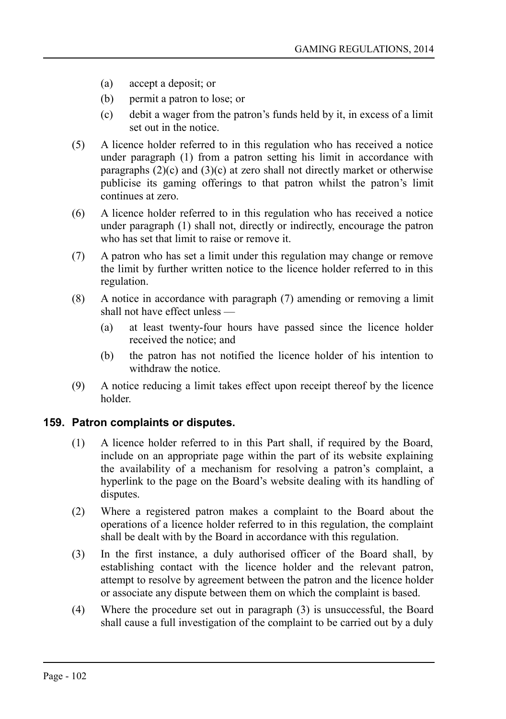- (a) accept a deposit; or
- (b) permit a patron to lose; or
- (c) debit a wager from the patron's funds held by it, in excess of a limit set out in the notice.
- (5) A licence holder referred to in this regulation who has received a notice under paragraph (1) from a patron setting his limit in accordance with paragraphs  $(2)(c)$  and  $(3)(c)$  at zero shall not directly market or otherwise publicise its gaming offerings to that patron whilst the patron's limit continues at zero.
- (6) A licence holder referred to in this regulation who has received a notice under paragraph (1) shall not, directly or indirectly, encourage the patron who has set that limit to raise or remove it.
- (7) A patron who has set a limit under this regulation may change or remove the limit by further written notice to the licence holder referred to in this regulation.
- (8) A notice in accordance with paragraph (7) amending or removing a limit shall not have effect unless —
	- (a) at least twenty-four hours have passed since the licence holder received the notice; and
	- (b) the patron has not notified the licence holder of his intention to withdraw the notice.
- (9) A notice reducing a limit takes effect upon receipt thereof by the licence holder.

#### **159. Patron complaints or disputes.**

- (1) A licence holder referred to in this Part shall, if required by the Board, include on an appropriate page within the part of its website explaining the availability of a mechanism for resolving a patron's complaint, a hyperlink to the page on the Board's website dealing with its handling of disputes.
- (2) Where a registered patron makes a complaint to the Board about the operations of a licence holder referred to in this regulation, the complaint shall be dealt with by the Board in accordance with this regulation.
- (3) In the first instance, a duly authorised officer of the Board shall, by establishing contact with the licence holder and the relevant patron, attempt to resolve by agreement between the patron and the licence holder or associate any dispute between them on which the complaint is based.
- (4) Where the procedure set out in paragraph (3) is unsuccessful, the Board shall cause a full investigation of the complaint to be carried out by a duly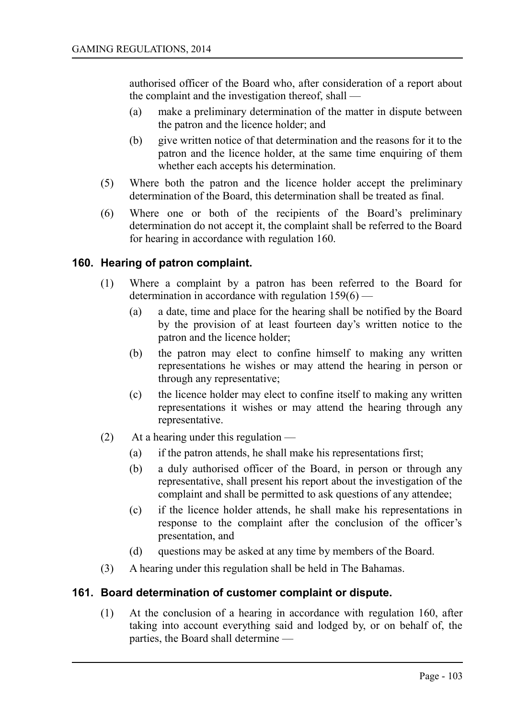authorised officer of the Board who, after consideration of a report about the complaint and the investigation thereof, shall —

- (a) make a preliminary determination of the matter in dispute between the patron and the licence holder; and
- (b) give written notice of that determination and the reasons for it to the patron and the licence holder, at the same time enquiring of them whether each accepts his determination.
- (5) Where both the patron and the licence holder accept the preliminary determination of the Board, this determination shall be treated as final.
- (6) Where one or both of the recipients of the Board's preliminary determination do not accept it, the complaint shall be referred to the Board for hearing in accordance with regulation 160.

# **160. Hearing of patron complaint.**

- (1) Where a complaint by a patron has been referred to the Board for determination in accordance with regulation 159(6) —
	- (a) a date, time and place for the hearing shall be notified by the Board by the provision of at least fourteen day's written notice to the patron and the licence holder;
	- (b) the patron may elect to confine himself to making any written representations he wishes or may attend the hearing in person or through any representative;
	- (c) the licence holder may elect to confine itself to making any written representations it wishes or may attend the hearing through any representative.
- (2) At a hearing under this regulation
	- (a) if the patron attends, he shall make his representations first;
	- (b) a duly authorised officer of the Board, in person or through any representative, shall present his report about the investigation of the complaint and shall be permitted to ask questions of any attendee;
	- (c) if the licence holder attends, he shall make his representations in response to the complaint after the conclusion of the officer's presentation, and
	- (d) questions may be asked at any time by members of the Board.
- (3) A hearing under this regulation shall be held in The Bahamas.

#### **161. Board determination of customer complaint or dispute.**

(1) At the conclusion of a hearing in accordance with regulation 160, after taking into account everything said and lodged by, or on behalf of, the parties, the Board shall determine —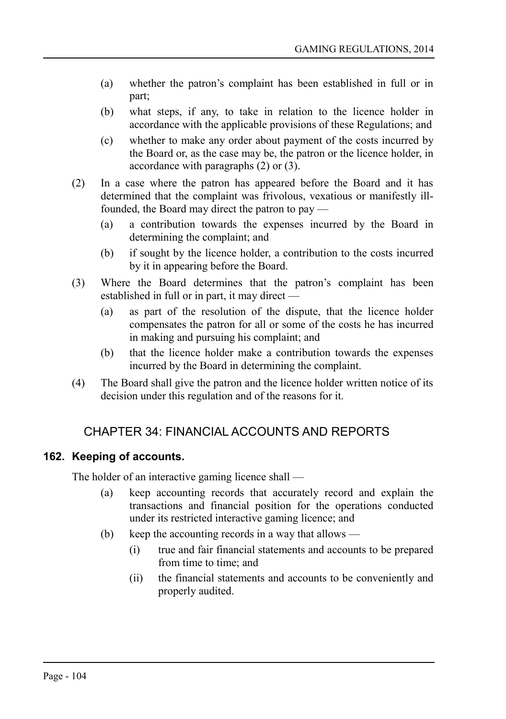- (a) whether the patron's complaint has been established in full or in part;
- (b) what steps, if any, to take in relation to the licence holder in accordance with the applicable provisions of these Regulations; and
- (c) whether to make any order about payment of the costs incurred by the Board or, as the case may be, the patron or the licence holder, in accordance with paragraphs (2) or (3).
- (2) In a case where the patron has appeared before the Board and it has determined that the complaint was frivolous, vexatious or manifestly illfounded, the Board may direct the patron to pay —
	- (a) a contribution towards the expenses incurred by the Board in determining the complaint; and
	- (b) if sought by the licence holder, a contribution to the costs incurred by it in appearing before the Board.
- (3) Where the Board determines that the patron's complaint has been established in full or in part, it may direct —
	- (a) as part of the resolution of the dispute, that the licence holder compensates the patron for all or some of the costs he has incurred in making and pursuing his complaint; and
	- (b) that the licence holder make a contribution towards the expenses incurred by the Board in determining the complaint.
- (4) The Board shall give the patron and the licence holder written notice of its decision under this regulation and of the reasons for it.

# CHAPTER 34: FINANCIAL ACCOUNTS AND REPORTS

# **162. Keeping of accounts.**

The holder of an interactive gaming licence shall —

- (a) keep accounting records that accurately record and explain the transactions and financial position for the operations conducted under its restricted interactive gaming licence; and
- (b) keep the accounting records in a way that allows
	- (i) true and fair financial statements and accounts to be prepared from time to time; and
	- (ii) the financial statements and accounts to be conveniently and properly audited.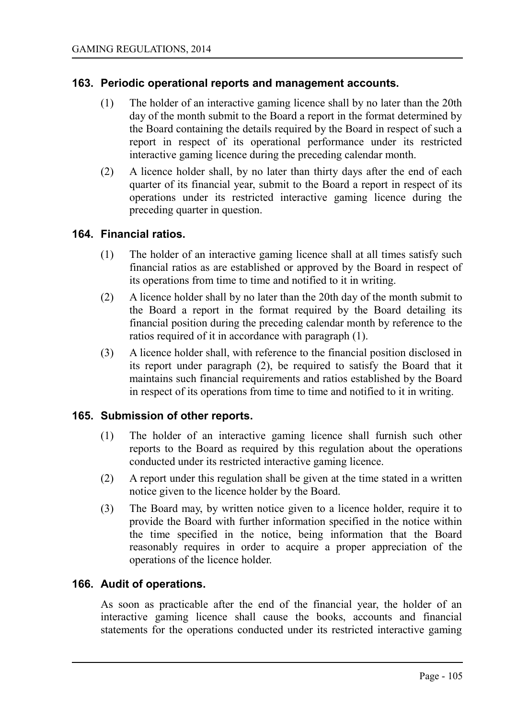#### **163. Periodic operational reports and management accounts.**

- (1) The holder of an interactive gaming licence shall by no later than the 20th day of the month submit to the Board a report in the format determined by the Board containing the details required by the Board in respect of such a report in respect of its operational performance under its restricted interactive gaming licence during the preceding calendar month.
- (2) A licence holder shall, by no later than thirty days after the end of each quarter of its financial year, submit to the Board a report in respect of its operations under its restricted interactive gaming licence during the preceding quarter in question.

#### **164. Financial ratios.**

- (1) The holder of an interactive gaming licence shall at all times satisfy such financial ratios as are established or approved by the Board in respect of its operations from time to time and notified to it in writing.
- (2) A licence holder shall by no later than the 20th day of the month submit to the Board a report in the format required by the Board detailing its financial position during the preceding calendar month by reference to the ratios required of it in accordance with paragraph (1).
- (3) A licence holder shall, with reference to the financial position disclosed in its report under paragraph (2), be required to satisfy the Board that it maintains such financial requirements and ratios established by the Board in respect of its operations from time to time and notified to it in writing.

#### **165. Submission of other reports.**

- (1) The holder of an interactive gaming licence shall furnish such other reports to the Board as required by this regulation about the operations conducted under its restricted interactive gaming licence.
- (2) A report under this regulation shall be given at the time stated in a written notice given to the licence holder by the Board.
- (3) The Board may, by written notice given to a licence holder, require it to provide the Board with further information specified in the notice within the time specified in the notice, being information that the Board reasonably requires in order to acquire a proper appreciation of the operations of the licence holder.

#### **166. Audit of operations.**

As soon as practicable after the end of the financial year, the holder of an interactive gaming licence shall cause the books, accounts and financial statements for the operations conducted under its restricted interactive gaming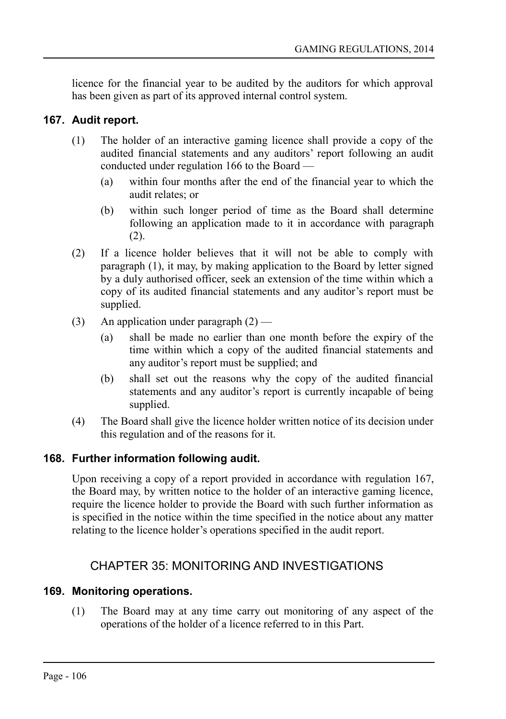licence for the financial year to be audited by the auditors for which approval has been given as part of its approved internal control system.

# **167. Audit report.**

- (1) The holder of an interactive gaming licence shall provide a copy of the audited financial statements and any auditors' report following an audit conducted under regulation 166 to the Board —
	- (a) within four months after the end of the financial year to which the audit relates; or
	- (b) within such longer period of time as the Board shall determine following an application made to it in accordance with paragraph (2).
- (2) If a licence holder believes that it will not be able to comply with paragraph (1), it may, by making application to the Board by letter signed by a duly authorised officer, seek an extension of the time within which a copy of its audited financial statements and any auditor's report must be supplied.
- (3) An application under paragraph  $(2)$ 
	- (a) shall be made no earlier than one month before the expiry of the time within which a copy of the audited financial statements and any auditor's report must be supplied; and
	- (b) shall set out the reasons why the copy of the audited financial statements and any auditor's report is currently incapable of being supplied.
- (4) The Board shall give the licence holder written notice of its decision under this regulation and of the reasons for it.

# **168. Further information following audit.**

Upon receiving a copy of a report provided in accordance with regulation 167, the Board may, by written notice to the holder of an interactive gaming licence, require the licence holder to provide the Board with such further information as is specified in the notice within the time specified in the notice about any matter relating to the licence holder's operations specified in the audit report.

# CHAPTER 35: MONITORING AND INVESTIGATIONS

# **169. Monitoring operations.**

(1) The Board may at any time carry out monitoring of any aspect of the operations of the holder of a licence referred to in this Part.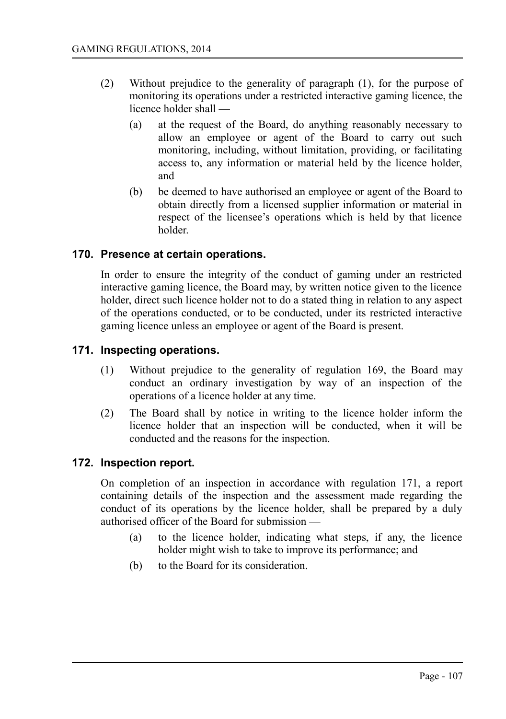- (2) Without prejudice to the generality of paragraph (1), for the purpose of monitoring its operations under a restricted interactive gaming licence, the licence holder shall —
	- (a) at the request of the Board, do anything reasonably necessary to allow an employee or agent of the Board to carry out such monitoring, including, without limitation, providing, or facilitating access to, any information or material held by the licence holder, and
	- (b) be deemed to have authorised an employee or agent of the Board to obtain directly from a licensed supplier information or material in respect of the licensee's operations which is held by that licence holder.

### **170. Presence at certain operations.**

In order to ensure the integrity of the conduct of gaming under an restricted interactive gaming licence, the Board may, by written notice given to the licence holder, direct such licence holder not to do a stated thing in relation to any aspect of the operations conducted, or to be conducted, under its restricted interactive gaming licence unless an employee or agent of the Board is present.

### **171. Inspecting operations.**

- (1) Without prejudice to the generality of regulation 169, the Board may conduct an ordinary investigation by way of an inspection of the operations of a licence holder at any time.
- (2) The Board shall by notice in writing to the licence holder inform the licence holder that an inspection will be conducted, when it will be conducted and the reasons for the inspection.

#### **172. Inspection report.**

On completion of an inspection in accordance with regulation 171, a report containing details of the inspection and the assessment made regarding the conduct of its operations by the licence holder, shall be prepared by a duly authorised officer of the Board for submission —

- (a) to the licence holder, indicating what steps, if any, the licence holder might wish to take to improve its performance; and
- (b) to the Board for its consideration.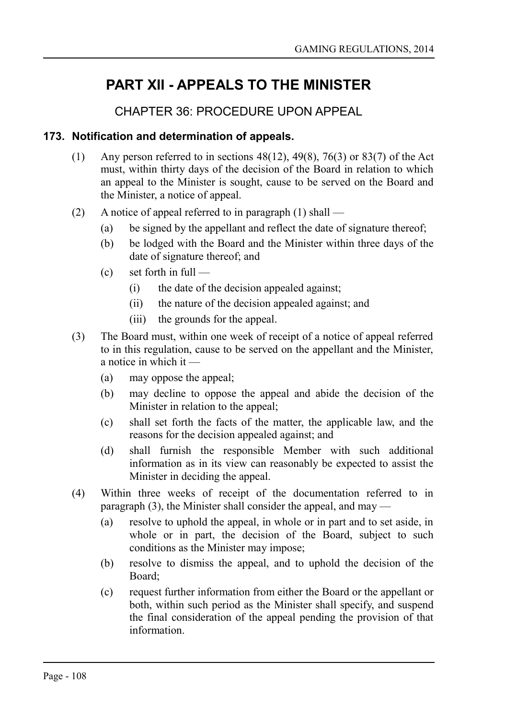# **PART XII - APPEALS TO THE MINISTER**

# CHAPTER 36: PROCEDURE UPON APPEAL

### **173. Notification and determination of appeals.**

- (1) Any person referred to in sections  $48(12)$ ,  $49(8)$ ,  $76(3)$  or  $83(7)$  of the Act must, within thirty days of the decision of the Board in relation to which an appeal to the Minister is sought, cause to be served on the Board and the Minister, a notice of appeal.
- (2) A notice of appeal referred to in paragraph (1) shall
	- (a) be signed by the appellant and reflect the date of signature thereof;
	- (b) be lodged with the Board and the Minister within three days of the date of signature thereof; and
	- $(c)$  set forth in full
		- (i) the date of the decision appealed against;
		- (ii) the nature of the decision appealed against; and
		- (iii) the grounds for the appeal.
- (3) The Board must, within one week of receipt of a notice of appeal referred to in this regulation, cause to be served on the appellant and the Minister, a notice in which it —
	- (a) may oppose the appeal;
	- (b) may decline to oppose the appeal and abide the decision of the Minister in relation to the appeal;
	- (c) shall set forth the facts of the matter, the applicable law, and the reasons for the decision appealed against; and
	- (d) shall furnish the responsible Member with such additional information as in its view can reasonably be expected to assist the Minister in deciding the appeal.
- (4) Within three weeks of receipt of the documentation referred to in paragraph (3), the Minister shall consider the appeal, and may —
	- (a) resolve to uphold the appeal, in whole or in part and to set aside, in whole or in part, the decision of the Board, subject to such conditions as the Minister may impose;
	- (b) resolve to dismiss the appeal, and to uphold the decision of the Board;
	- (c) request further information from either the Board or the appellant or both, within such period as the Minister shall specify, and suspend the final consideration of the appeal pending the provision of that information.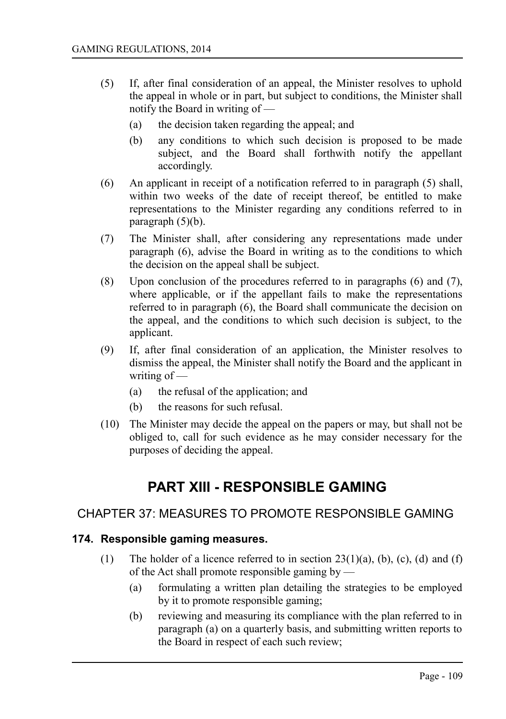- (5) If, after final consideration of an appeal, the Minister resolves to uphold the appeal in whole or in part, but subject to conditions, the Minister shall notify the Board in writing of —
	- (a) the decision taken regarding the appeal; and
	- (b) any conditions to which such decision is proposed to be made subject, and the Board shall forthwith notify the appellant accordingly.
- (6) An applicant in receipt of a notification referred to in paragraph (5) shall, within two weeks of the date of receipt thereof, be entitled to make representations to the Minister regarding any conditions referred to in paragraph  $(5)(b)$ .
- (7) The Minister shall, after considering any representations made under paragraph (6), advise the Board in writing as to the conditions to which the decision on the appeal shall be subject.
- (8) Upon conclusion of the procedures referred to in paragraphs (6) and (7), where applicable, or if the appellant fails to make the representations referred to in paragraph (6), the Board shall communicate the decision on the appeal, and the conditions to which such decision is subject, to the applicant.
- (9) If, after final consideration of an application, the Minister resolves to dismiss the appeal, the Minister shall notify the Board and the applicant in writing of —
	- (a) the refusal of the application; and
	- (b) the reasons for such refusal.
- (10) The Minister may decide the appeal on the papers or may, but shall not be obliged to, call for such evidence as he may consider necessary for the purposes of deciding the appeal.

# **PART XIII - RESPONSIBLE GAMING**

## CHAPTER 37: MEASURES TO PROMOTE RESPONSIBLE GAMING

#### **174. Responsible gaming measures.**

- (1) The holder of a licence referred to in section  $23(1)(a)$ , (b), (c), (d) and (f) of the Act shall promote responsible gaming by —
	- (a) formulating a written plan detailing the strategies to be employed by it to promote responsible gaming;
	- (b) reviewing and measuring its compliance with the plan referred to in paragraph (a) on a quarterly basis, and submitting written reports to the Board in respect of each such review;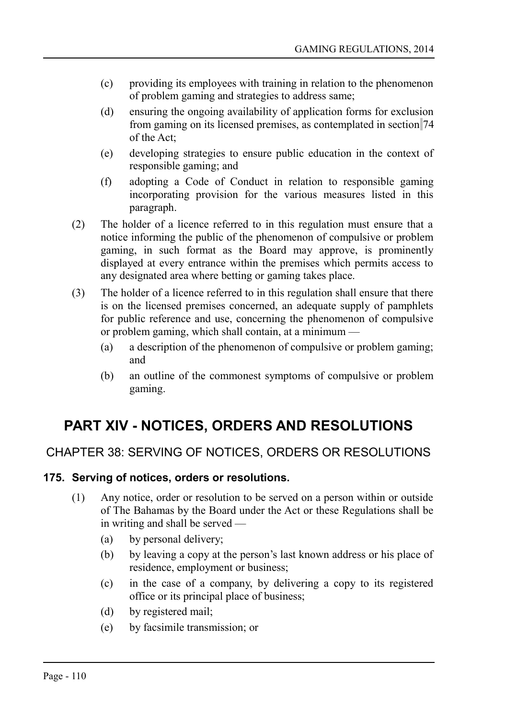- (c) providing its employees with training in relation to the phenomenon of problem gaming and strategies to address same;
- (d) ensuring the ongoing availability of application forms for exclusion from gaming on its licensed premises, as contemplated in section 74 of the Act;
- (e) developing strategies to ensure public education in the context of responsible gaming; and
- (f) adopting a Code of Conduct in relation to responsible gaming incorporating provision for the various measures listed in this paragraph.
- (2) The holder of a licence referred to in this regulation must ensure that a notice informing the public of the phenomenon of compulsive or problem gaming, in such format as the Board may approve, is prominently displayed at every entrance within the premises which permits access to any designated area where betting or gaming takes place.
- (3) The holder of a licence referred to in this regulation shall ensure that there is on the licensed premises concerned, an adequate supply of pamphlets for public reference and use, concerning the phenomenon of compulsive or problem gaming, which shall contain, at a minimum —
	- (a) a description of the phenomenon of compulsive or problem gaming; and
	- (b) an outline of the commonest symptoms of compulsive or problem gaming.

# **PART XIV - NOTICES, ORDERS AND RESOLUTIONS**

## CHAPTER 38: SERVING OF NOTICES, ORDERS OR RESOLUTIONS

## **175. Serving of notices, orders or resolutions.**

- (1) Any notice, order or resolution to be served on a person within or outside of The Bahamas by the Board under the Act or these Regulations shall be in writing and shall be served —
	- (a) by personal delivery;
	- (b) by leaving a copy at the person's last known address or his place of residence, employment or business;
	- (c) in the case of a company, by delivering a copy to its registered office or its principal place of business;
	- (d) by registered mail;
	- (e) by facsimile transmission; or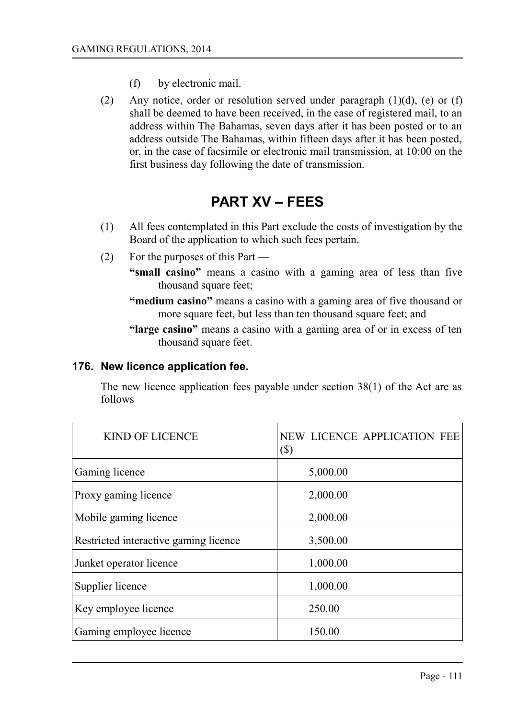- (f) by electronic mail.
- (2) Any notice, order or resolution served under paragraph  $(1)(d)$ , (e) or  $(f)$ shall be deemed to have been received, in the case of registered mail, to an address within The Bahamas, seven days after it has been posted or to an address outside The Bahamas, within fifteen days after it has been posted, or, in the case of facsimile or electronic mail transmission, at 10:00 on the first business day following the date of transmission.

# **PART XV – FEES**

- (1) All fees contemplated in this Part exclude the costs of investigation by the Board of the application to which such fees pertain.
- (2) For the purposes of this Part
	- **"small casino"** means a casino with a gaming area of less than five thousand square feet;
	- **"medium casino"** means a casino with a gaming area of five thousand or more square feet, but less than ten thousand square feet; and
	- **"large casino"** means a casino with a gaming area of or in excess of ten thousand square feet.

## **176. New licence application fee.**

The new licence application fees payable under section 38(1) of the Act are as follows —

| <b>KIND OF LICENCE</b>                | NEW LICENCE APPLICATION FEE<br>$(\$)$ |
|---------------------------------------|---------------------------------------|
| Gaming licence                        | 5,000.00                              |
| Proxy gaming licence                  | 2,000.00                              |
| Mobile gaming licence                 | 2,000.00                              |
| Restricted interactive gaming licence | 3,500.00                              |
| Junket operator licence               | 1,000.00                              |
| Supplier licence                      | 1,000.00                              |
| Key employee licence                  | 250.00                                |
| Gaming employee licence               | 150.00                                |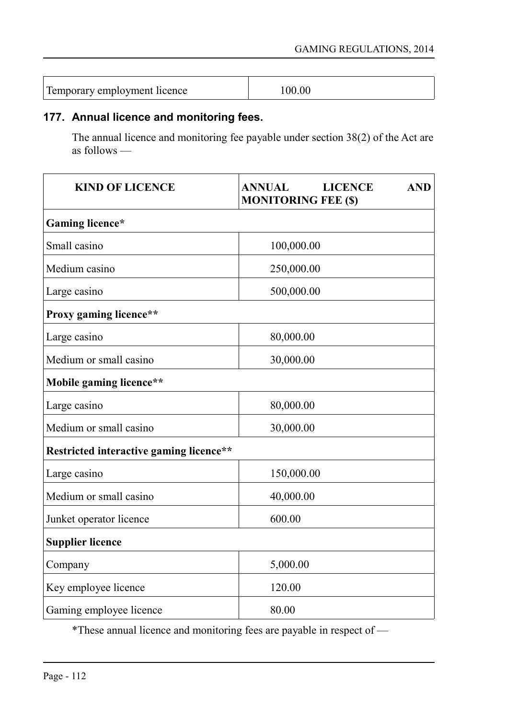| 00.00 |
|-------|
|       |

## **177. Annual licence and monitoring fees.**

The annual licence and monitoring fee payable under section 38(2) of the Act are as follows —

| <b>KIND OF LICENCE</b>                  | <b>LICENCE</b><br><b>AND</b><br><b>ANNUAL</b><br><b>MONITORING FEE (\$)</b> |  |
|-----------------------------------------|-----------------------------------------------------------------------------|--|
| Gaming licence*                         |                                                                             |  |
| Small casino                            | 100,000.00                                                                  |  |
| Medium casino                           | 250,000.00                                                                  |  |
| Large casino                            | 500,000.00                                                                  |  |
| Proxy gaming licence**                  |                                                                             |  |
| Large casino                            | 80,000.00                                                                   |  |
| Medium or small casino                  | 30,000.00                                                                   |  |
| Mobile gaming licence**                 |                                                                             |  |
| Large casino                            | 80,000.00                                                                   |  |
| Medium or small casino                  | 30,000.00                                                                   |  |
| Restricted interactive gaming licence** |                                                                             |  |
| Large casino                            | 150,000.00                                                                  |  |
| Medium or small casino                  | 40,000.00                                                                   |  |
| Junket operator licence                 | 600.00                                                                      |  |
| <b>Supplier licence</b>                 |                                                                             |  |
| Company                                 | 5,000.00                                                                    |  |
| Key employee licence                    | 120.00                                                                      |  |
| Gaming employee licence                 | 80.00                                                                       |  |

\*These annual licence and monitoring fees are payable in respect of —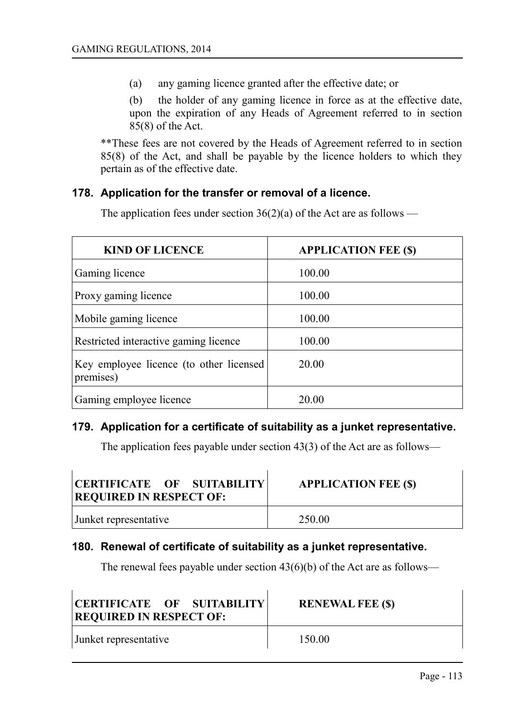(a) any gaming licence granted after the effective date; or

(b) the holder of any gaming licence in force as at the effective date, upon the expiration of any Heads of Agreement referred to in section 85(8) of the Act.

\*\*These fees are not covered by the Heads of Agreement referred to in section 85(8) of the Act, and shall be payable by the licence holders to which they pertain as of the effective date.

#### **178. Application for the transfer or removal of a licence.**

The application fees under section  $36(2)(a)$  of the Act are as follows —

| <b>KIND OF LICENCE</b>                               | <b>APPLICATION FEE (\$)</b> |
|------------------------------------------------------|-----------------------------|
| Gaming licence                                       | 100.00                      |
| Proxy gaming licence                                 | 100.00                      |
| Mobile gaming licence                                | 100.00                      |
| Restricted interactive gaming licence                | 100.00                      |
| Key employee licence (to other licensed<br>premises) | 20.00                       |
| Gaming employee licence                              | 20.00                       |

#### **179. Application for a certificate of suitability as a junket representative.**

The application fees payable under section 43(3) of the Act are as follows—

| CERTIFICATE OF SUITABILITY<br><b>REQUIRED IN RESPECT OF:</b> | <b>APPLICATION FEE (\$)</b> |
|--------------------------------------------------------------|-----------------------------|
| Junket representative                                        | 250.00                      |

#### **180. Renewal of certificate of suitability as a junket representative.**

The renewal fees payable under section  $43(6)(b)$  of the Act are as follows—

| CERTIFICATE OF SUITABILITY<br><b>REQUIRED IN RESPECT OF:</b> | <b>RENEWAL FEE (\$)</b> |
|--------------------------------------------------------------|-------------------------|
| Junket representative                                        | 150.00                  |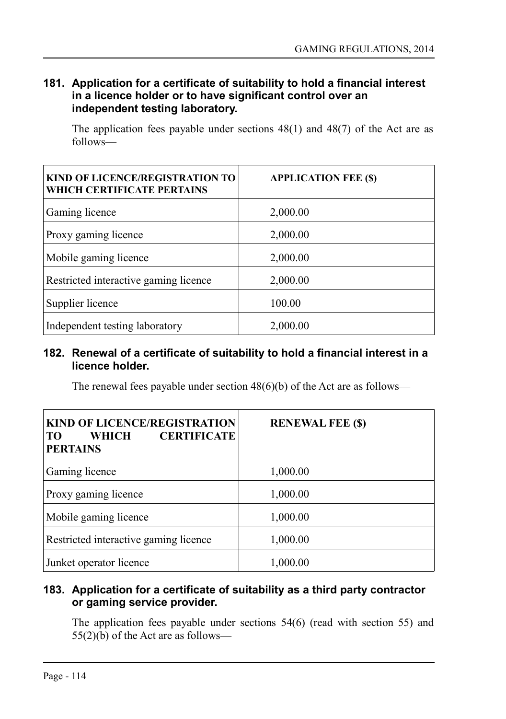## **181. Application for a certificate of suitability to hold a financial interest in a licence holder or to have significant control over an independent testing laboratory.**

The application fees payable under sections 48(1) and 48(7) of the Act are as follows—

| <b>KIND OF LICENCE/REGISTRATION TO</b><br>WHICH CERTIFICATE PERTAINS | <b>APPLICATION FEE (\$)</b> |
|----------------------------------------------------------------------|-----------------------------|
| Gaming licence                                                       | 2,000.00                    |
| Proxy gaming licence                                                 | 2,000.00                    |
| Mobile gaming licence                                                | 2,000.00                    |
| Restricted interactive gaming licence                                | 2,000.00                    |
| Supplier licence                                                     | 100.00                      |
| Independent testing laboratory                                       | 2,000.00                    |

#### **182. Renewal of a certificate of suitability to hold a financial interest in a licence holder.**

The renewal fees payable under section  $48(6)(b)$  of the Act are as follows—

| <b>KIND OF LICENCE/REGISTRATION</b><br><b>CERTIFICATE</b><br>WHICH<br>TO<br><b>PERTAINS</b> | <b>RENEWAL FEE (\$)</b> |
|---------------------------------------------------------------------------------------------|-------------------------|
| Gaming licence                                                                              | 1,000.00                |
| Proxy gaming licence                                                                        | 1,000.00                |
| Mobile gaming licence                                                                       | 1,000.00                |
| Restricted interactive gaming licence                                                       | 1,000.00                |
| Junket operator licence                                                                     | 1,000.00                |

## **183. Application for a certificate of suitability as a third party contractor or gaming service provider.**

The application fees payable under sections 54(6) (read with section 55) and  $55(2)(b)$  of the Act are as follows—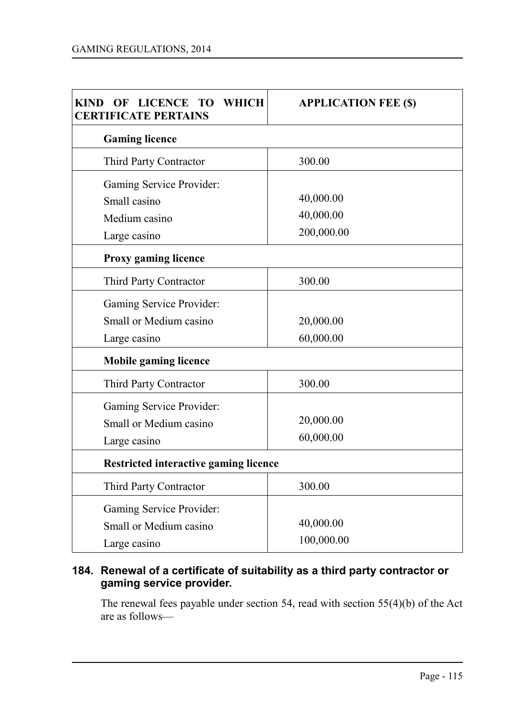| LICENCE TO WHICH<br><b>KIND</b><br>OF<br><b>CERTIFICATE PERTAINS</b> | <b>APPLICATION FEE (\$)</b> |  |
|----------------------------------------------------------------------|-----------------------------|--|
| <b>Gaming licence</b>                                                |                             |  |
| Third Party Contractor                                               | 300.00                      |  |
| Gaming Service Provider:                                             |                             |  |
| Small casino                                                         | 40,000.00                   |  |
| Medium casino                                                        | 40,000.00                   |  |
| Large casino                                                         | 200,000.00                  |  |
| <b>Proxy gaming licence</b>                                          |                             |  |
| Third Party Contractor                                               | 300.00                      |  |
| Gaming Service Provider:                                             |                             |  |
| Small or Medium casino                                               | 20,000.00                   |  |
| Large casino                                                         | 60,000.00                   |  |
| <b>Mobile gaming licence</b>                                         |                             |  |
| Third Party Contractor                                               | 300.00                      |  |
| Gaming Service Provider:                                             |                             |  |
| Small or Medium casino                                               | 20,000.00                   |  |
| Large casino                                                         | 60,000.00                   |  |
| Restricted interactive gaming licence                                |                             |  |
| Third Party Contractor                                               | 300.00                      |  |
| Gaming Service Provider:                                             |                             |  |
| Small or Medium casino                                               | 40,000.00                   |  |
| Large casino                                                         | 100,000.00                  |  |

## **184. Renewal of a certificate of suitability as a third party contractor or gaming service provider.**

The renewal fees payable under section 54, read with section 55(4)(b) of the Act are as follows—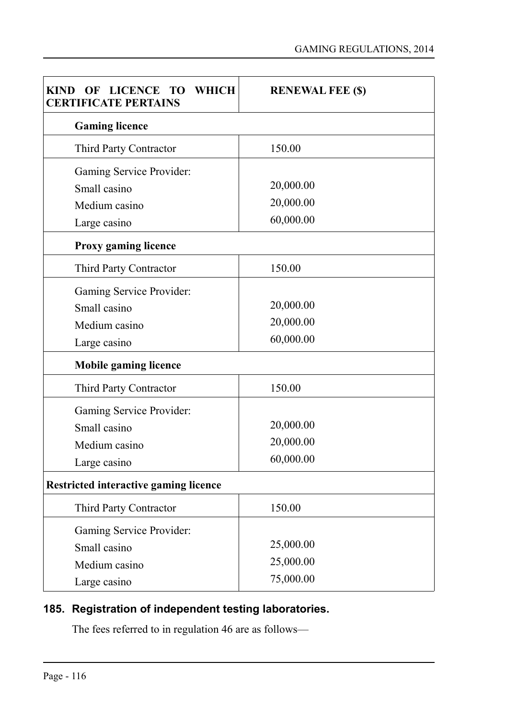| OF LICENCE TO WHICH<br>KIND<br><b>CERTIFICATE PERTAINS</b> | <b>RENEWAL FEE (\$)</b> |  |
|------------------------------------------------------------|-------------------------|--|
| <b>Gaming licence</b>                                      |                         |  |
| Third Party Contractor                                     | 150.00                  |  |
| Gaming Service Provider:                                   |                         |  |
| Small casino                                               | 20,000.00               |  |
| Medium casino                                              | 20,000.00               |  |
| Large casino                                               | 60,000.00               |  |
| Proxy gaming licence                                       |                         |  |
| Third Party Contractor                                     | 150.00                  |  |
| Gaming Service Provider:                                   |                         |  |
| Small casino                                               | 20,000.00               |  |
| Medium casino                                              | 20,000.00               |  |
| Large casino                                               | 60,000.00               |  |
| <b>Mobile gaming licence</b>                               |                         |  |
| Third Party Contractor                                     | 150.00                  |  |
| Gaming Service Provider:                                   |                         |  |
| Small casino                                               | 20,000.00               |  |
| Medium casino                                              | 20,000.00               |  |
| Large casino                                               | 60,000.00               |  |
| <b>Restricted interactive gaming licence</b>               |                         |  |
| Third Party Contractor                                     | 150.00                  |  |
| Gaming Service Provider:                                   |                         |  |
| Small casino                                               | 25,000.00               |  |
| Medium casino                                              | 25,000.00               |  |
| Large casino                                               | 75,000.00               |  |

## **185. Registration of independent testing laboratories.**

The fees referred to in regulation 46 are as follows—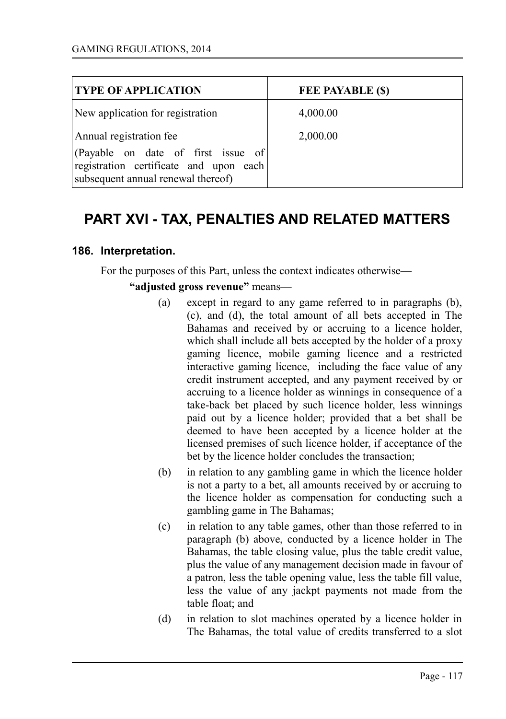| <b>TYPE OF APPLICATION</b>                                                                                         | <b>FEE PAYABLE (\$)</b> |
|--------------------------------------------------------------------------------------------------------------------|-------------------------|
| New application for registration                                                                                   | 4,000.00                |
| Annual registration fee                                                                                            | 2,000.00                |
| (Payable on date of first issue of<br>registration certificate and upon each<br>subsequent annual renewal thereof) |                         |

# **PART XVI - TAX, PENALTIES AND RELATED MATTERS**

#### **186. Interpretation.**

For the purposes of this Part, unless the context indicates otherwise—

**"adjusted gross revenue"** means—

- (a) except in regard to any game referred to in paragraphs (b), (c), and (d), the total amount of all bets accepted in The Bahamas and received by or accruing to a licence holder, which shall include all bets accepted by the holder of a proxy gaming licence, mobile gaming licence and a restricted interactive gaming licence, including the face value of any credit instrument accepted, and any payment received by or accruing to a licence holder as winnings in consequence of a take-back bet placed by such licence holder, less winnings paid out by a licence holder; provided that a bet shall be deemed to have been accepted by a licence holder at the licensed premises of such licence holder, if acceptance of the bet by the licence holder concludes the transaction;
- (b) in relation to any gambling game in which the licence holder is not a party to a bet, all amounts received by or accruing to the licence holder as compensation for conducting such a gambling game in The Bahamas;
- (c) in relation to any table games, other than those referred to in paragraph (b) above, conducted by a licence holder in The Bahamas, the table closing value, plus the table credit value, plus the value of any management decision made in favour of a patron, less the table opening value, less the table fill value, less the value of any jackpt payments not made from the table float; and
- (d) in relation to slot machines operated by a licence holder in The Bahamas, the total value of credits transferred to a slot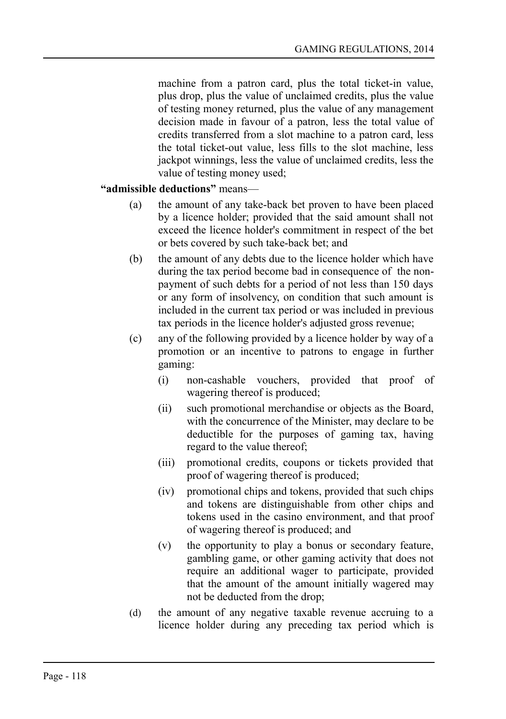machine from a patron card, plus the total ticket-in value, plus drop, plus the value of unclaimed credits, plus the value of testing money returned, plus the value of any management decision made in favour of a patron, less the total value of credits transferred from a slot machine to a patron card, less the total ticket-out value, less fills to the slot machine, less jackpot winnings, less the value of unclaimed credits, less the value of testing money used;

#### **"admissible deductions"** means—

- (a) the amount of any take-back bet proven to have been placed by a licence holder; provided that the said amount shall not exceed the licence holder's commitment in respect of the bet or bets covered by such take-back bet; and
- (b) the amount of any debts due to the licence holder which have during the tax period become bad in consequence of the nonpayment of such debts for a period of not less than 150 days or any form of insolvency, on condition that such amount is included in the current tax period or was included in previous tax periods in the licence holder's adjusted gross revenue;
- (c) any of the following provided by a licence holder by way of a promotion or an incentive to patrons to engage in further gaming:
	- (i) non-cashable vouchers, provided that proof of wagering thereof is produced;
	- (ii) such promotional merchandise or objects as the Board, with the concurrence of the Minister, may declare to be deductible for the purposes of gaming tax, having regard to the value thereof;
	- (iii) promotional credits, coupons or tickets provided that proof of wagering thereof is produced;
	- (iv) promotional chips and tokens, provided that such chips and tokens are distinguishable from other chips and tokens used in the casino environment, and that proof of wagering thereof is produced; and
	- (v) the opportunity to play a bonus or secondary feature, gambling game, or other gaming activity that does not require an additional wager to participate, provided that the amount of the amount initially wagered may not be deducted from the drop;
- (d) the amount of any negative taxable revenue accruing to a licence holder during any preceding tax period which is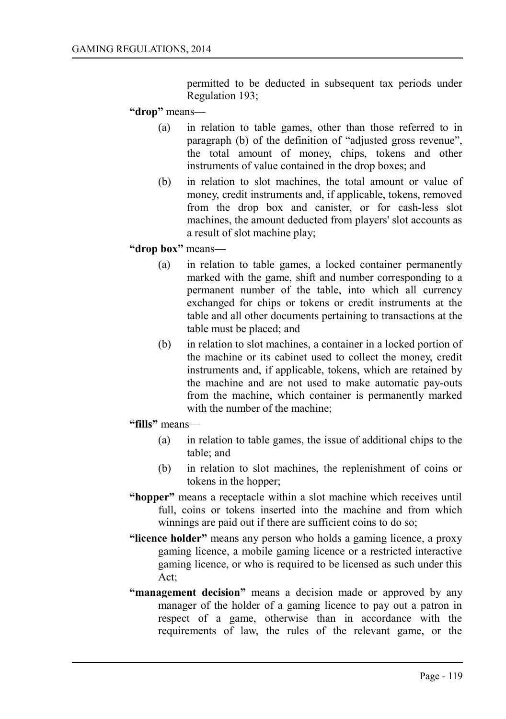permitted to be deducted in subsequent tax periods under Regulation 193;

#### **"drop"** means—

- (a) in relation to table games, other than those referred to in paragraph (b) of the definition of "adjusted gross revenue", the total amount of money, chips, tokens and other instruments of value contained in the drop boxes; and
- (b) in relation to slot machines, the total amount or value of money, credit instruments and, if applicable, tokens, removed from the drop box and canister, or for cash-less slot machines, the amount deducted from players' slot accounts as a result of slot machine play;

#### **"drop box"** means—

- (a) in relation to table games, a locked container permanently marked with the game, shift and number corresponding to a permanent number of the table, into which all currency exchanged for chips or tokens or credit instruments at the table and all other documents pertaining to transactions at the table must be placed; and
- (b) in relation to slot machines, a container in a locked portion of the machine or its cabinet used to collect the money, credit instruments and, if applicable, tokens, which are retained by the machine and are not used to make automatic pay-outs from the machine, which container is permanently marked with the number of the machine;

#### **"fills"** means—

- (a) in relation to table games, the issue of additional chips to the table; and
- (b) in relation to slot machines, the replenishment of coins or tokens in the hopper;
- **"hopper"** means a receptacle within a slot machine which receives until full, coins or tokens inserted into the machine and from which winnings are paid out if there are sufficient coins to do so;
- **"licence holder"** means any person who holds a gaming licence, a proxy gaming licence, a mobile gaming licence or a restricted interactive gaming licence, or who is required to be licensed as such under this Act;
- **"management decision"** means a decision made or approved by any manager of the holder of a gaming licence to pay out a patron in respect of a game, otherwise than in accordance with the requirements of law, the rules of the relevant game, or the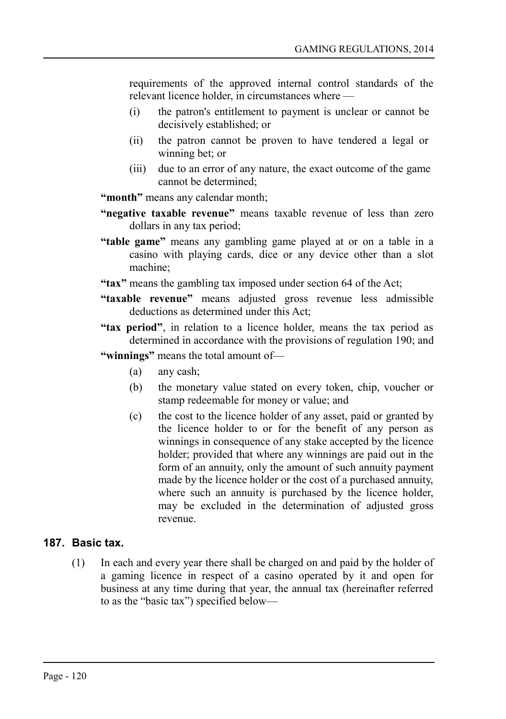requirements of the approved internal control standards of the relevant licence holder, in circumstances where —

- (i) the patron's entitlement to payment is unclear or cannot be decisively established; or
- (ii) the patron cannot be proven to have tendered a legal or winning bet; or
- (iii) due to an error of any nature, the exact outcome of the game cannot be determined;

**"month"** means any calendar month;

- **"negative taxable revenue"** means taxable revenue of less than zero dollars in any tax period;
- **"table game"** means any gambling game played at or on a table in a casino with playing cards, dice or any device other than a slot machine;
- **"tax"** means the gambling tax imposed under section 64 of the Act;
- **"taxable revenue"** means adjusted gross revenue less admissible deductions as determined under this Act;
- **"tax period"**, in relation to a licence holder, means the tax period as determined in accordance with the provisions of regulation 190; and
- **"winnings"** means the total amount of—
	- (a) any cash;
	- (b) the monetary value stated on every token, chip, voucher or stamp redeemable for money or value; and
	- (c) the cost to the licence holder of any asset, paid or granted by the licence holder to or for the benefit of any person as winnings in consequence of any stake accepted by the licence holder; provided that where any winnings are paid out in the form of an annuity, only the amount of such annuity payment made by the licence holder or the cost of a purchased annuity, where such an annuity is purchased by the licence holder, may be excluded in the determination of adjusted gross revenue.

## **187. Basic tax.**

(1) In each and every year there shall be charged on and paid by the holder of a gaming licence in respect of a casino operated by it and open for business at any time during that year, the annual tax (hereinafter referred to as the "basic tax") specified below—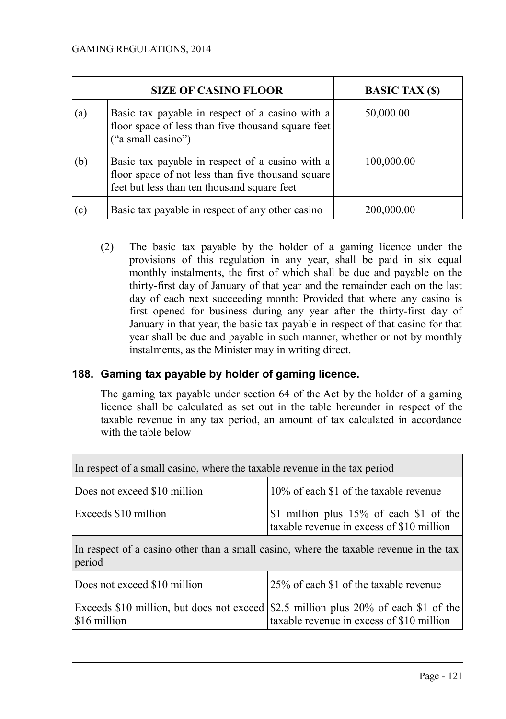|     | <b>SIZE OF CASINO FLOOR</b>                                                                                                                         | <b>BASIC TAX (\$)</b> |
|-----|-----------------------------------------------------------------------------------------------------------------------------------------------------|-----------------------|
| (a) | Basic tax payable in respect of a casino with a<br>floor space of less than five thousand square feet<br>("a small casino")                         | 50,000.00             |
| (b) | Basic tax payable in respect of a casino with a<br>floor space of not less than five thousand square<br>feet but less than ten thousand square feet | 100,000.00            |
| (c) | Basic tax payable in respect of any other casino                                                                                                    | 200,000.00            |

(2) The basic tax payable by the holder of a gaming licence under the provisions of this regulation in any year, shall be paid in six equal monthly instalments, the first of which shall be due and payable on the thirty-first day of January of that year and the remainder each on the last day of each next succeeding month: Provided that where any casino is first opened for business during any year after the thirty-first day of January in that year, the basic tax payable in respect of that casino for that year shall be due and payable in such manner, whether or not by monthly instalments, as the Minister may in writing direct.

## **188. Gaming tax payable by holder of gaming licence.**

The gaming tax payable under section 64 of the Act by the holder of a gaming licence shall be calculated as set out in the table hereunder in respect of the taxable revenue in any tax period, an amount of tax calculated in accordance with the table below —

| In respect of a small casino, where the taxable revenue in the tax period —                          |                                                                                                                                  |  |  |
|------------------------------------------------------------------------------------------------------|----------------------------------------------------------------------------------------------------------------------------------|--|--|
| Does not exceed \$10 million                                                                         | 10% of each \$1 of the taxable revenue                                                                                           |  |  |
| Exceeds \$10 million                                                                                 | \$1 million plus $15\%$ of each \$1 of the<br>taxable revenue in excess of \$10 million                                          |  |  |
| In respect of a casino other than a small casino, where the taxable revenue in the tax<br>$period$ — |                                                                                                                                  |  |  |
| Does not exceed \$10 million                                                                         | 25% of each \$1 of the taxable revenue                                                                                           |  |  |
| \$16 million                                                                                         | Exceeds \$10 million, but does not exceed \$2.5 million plus 20% of each \$1 of the<br>taxable revenue in excess of \$10 million |  |  |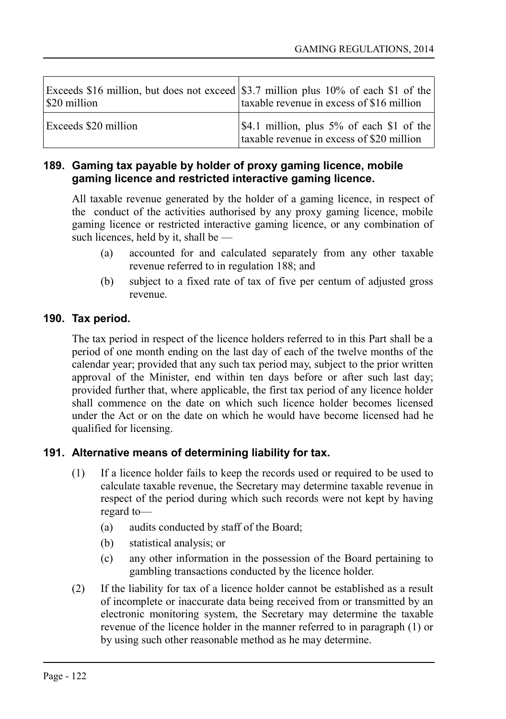| \$20 million         | Exceeds \$16 million, but does not exceed \$3.7 million plus 10% of each \$1 of the<br>taxable revenue in excess of \$16 million |
|----------------------|----------------------------------------------------------------------------------------------------------------------------------|
| Exceeds \$20 million | $ \$4.1$ million, plus 5% of each \$1 of the<br>taxable revenue in excess of \$20 million                                        |

## **189. Gaming tax payable by holder of proxy gaming licence, mobile gaming licence and restricted interactive gaming licence.**

All taxable revenue generated by the holder of a gaming licence, in respect of the conduct of the activities authorised by any proxy gaming licence, mobile gaming licence or restricted interactive gaming licence, or any combination of such licences, held by it, shall be —

- (a) accounted for and calculated separately from any other taxable revenue referred to in regulation 188; and
- (b) subject to a fixed rate of tax of five per centum of adjusted gross revenue.

## **190. Tax period.**

The tax period in respect of the licence holders referred to in this Part shall be a period of one month ending on the last day of each of the twelve months of the calendar year; provided that any such tax period may, subject to the prior written approval of the Minister, end within ten days before or after such last day; provided further that, where applicable, the first tax period of any licence holder shall commence on the date on which such licence holder becomes licensed under the Act or on the date on which he would have become licensed had he qualified for licensing.

## **191. Alternative means of determining liability for tax.**

- (1) If a licence holder fails to keep the records used or required to be used to calculate taxable revenue, the Secretary may determine taxable revenue in respect of the period during which such records were not kept by having regard to—
	- (a) audits conducted by staff of the Board;
	- (b) statistical analysis; or
	- (c) any other information in the possession of the Board pertaining to gambling transactions conducted by the licence holder.
- (2) If the liability for tax of a licence holder cannot be established as a result of incomplete or inaccurate data being received from or transmitted by an electronic monitoring system, the Secretary may determine the taxable revenue of the licence holder in the manner referred to in paragraph (1) or by using such other reasonable method as he may determine.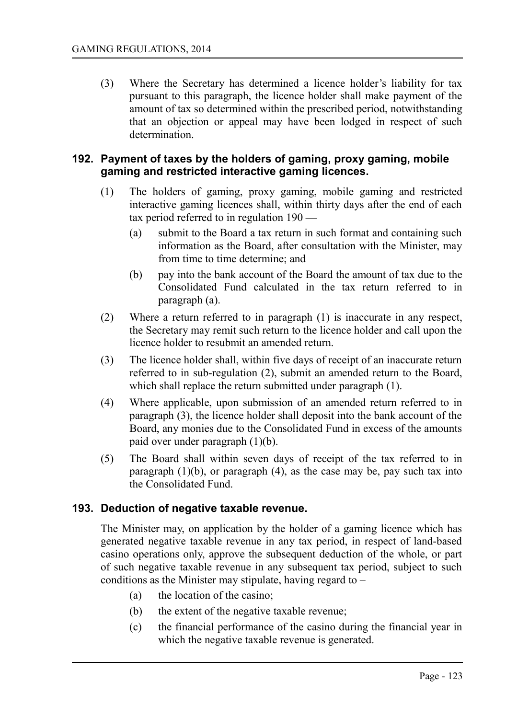(3) Where the Secretary has determined a licence holder's liability for tax pursuant to this paragraph, the licence holder shall make payment of the amount of tax so determined within the prescribed period, notwithstanding that an objection or appeal may have been lodged in respect of such determination.

### **192. Payment of taxes by the holders of gaming, proxy gaming, mobile gaming and restricted interactive gaming licences.**

- (1) The holders of gaming, proxy gaming, mobile gaming and restricted interactive gaming licences shall, within thirty days after the end of each tax period referred to in regulation 190 —
	- (a) submit to the Board a tax return in such format and containing such information as the Board, after consultation with the Minister, may from time to time determine; and
	- (b) pay into the bank account of the Board the amount of tax due to the Consolidated Fund calculated in the tax return referred to in paragraph (a).
- (2) Where a return referred to in paragraph (1) is inaccurate in any respect, the Secretary may remit such return to the licence holder and call upon the licence holder to resubmit an amended return.
- (3) The licence holder shall, within five days of receipt of an inaccurate return referred to in sub-regulation (2), submit an amended return to the Board, which shall replace the return submitted under paragraph  $(1)$ .
- (4) Where applicable, upon submission of an amended return referred to in paragraph (3), the licence holder shall deposit into the bank account of the Board, any monies due to the Consolidated Fund in excess of the amounts paid over under paragraph (1)(b).
- (5) The Board shall within seven days of receipt of the tax referred to in paragraph  $(1)(b)$ , or paragraph  $(4)$ , as the case may be, pay such tax into the Consolidated Fund.

## **193. Deduction of negative taxable revenue.**

The Minister may, on application by the holder of a gaming licence which has generated negative taxable revenue in any tax period, in respect of land-based casino operations only, approve the subsequent deduction of the whole, or part of such negative taxable revenue in any subsequent tax period, subject to such conditions as the Minister may stipulate, having regard to –

- (a) the location of the casino;
- (b) the extent of the negative taxable revenue;
- (c) the financial performance of the casino during the financial year in which the negative taxable revenue is generated.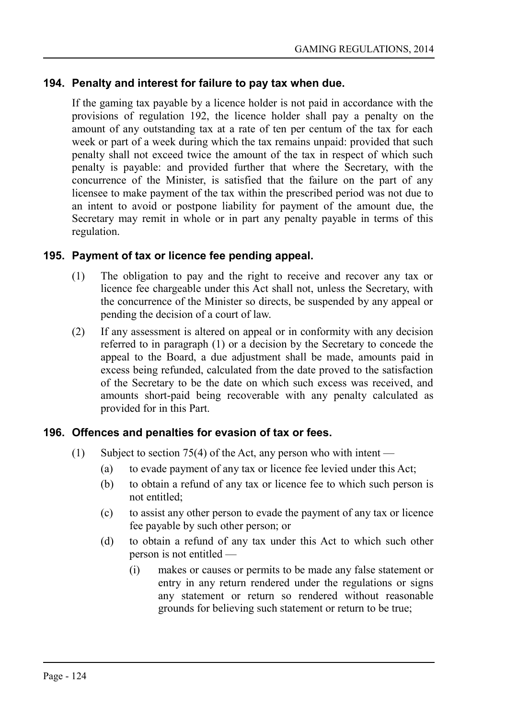### **194. Penalty and interest for failure to pay tax when due.**

If the gaming tax payable by a licence holder is not paid in accordance with the provisions of regulation 192, the licence holder shall pay a penalty on the amount of any outstanding tax at a rate of ten per centum of the tax for each week or part of a week during which the tax remains unpaid: provided that such penalty shall not exceed twice the amount of the tax in respect of which such penalty is payable: and provided further that where the Secretary, with the concurrence of the Minister, is satisfied that the failure on the part of any licensee to make payment of the tax within the prescribed period was not due to an intent to avoid or postpone liability for payment of the amount due, the Secretary may remit in whole or in part any penalty payable in terms of this regulation.

### **195. Payment of tax or licence fee pending appeal.**

- (1) The obligation to pay and the right to receive and recover any tax or licence fee chargeable under this Act shall not, unless the Secretary, with the concurrence of the Minister so directs, be suspended by any appeal or pending the decision of a court of law.
- (2) If any assessment is altered on appeal or in conformity with any decision referred to in paragraph (1) or a decision by the Secretary to concede the appeal to the Board, a due adjustment shall be made, amounts paid in excess being refunded, calculated from the date proved to the satisfaction of the Secretary to be the date on which such excess was received, and amounts short-paid being recoverable with any penalty calculated as provided for in this Part.

#### **196. Offences and penalties for evasion of tax or fees.**

- (1) Subject to section 75(4) of the Act, any person who with intent
	- (a) to evade payment of any tax or licence fee levied under this Act;
	- (b) to obtain a refund of any tax or licence fee to which such person is not entitled;
	- (c) to assist any other person to evade the payment of any tax or licence fee payable by such other person; or
	- (d) to obtain a refund of any tax under this Act to which such other person is not entitled —
		- (i) makes or causes or permits to be made any false statement or entry in any return rendered under the regulations or signs any statement or return so rendered without reasonable grounds for believing such statement or return to be true;